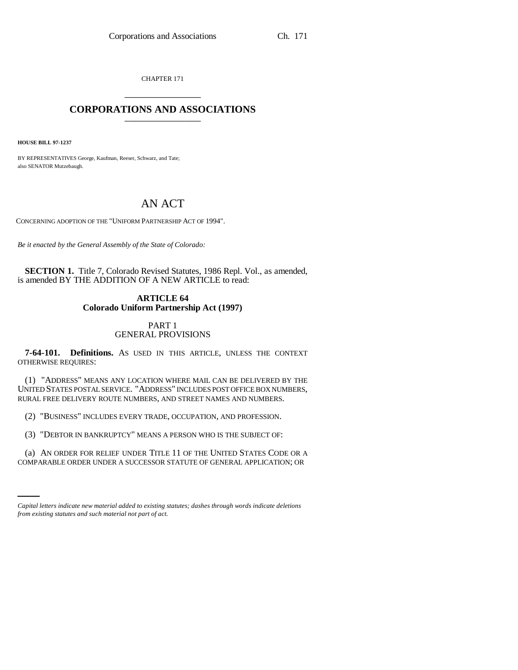CHAPTER 171 \_\_\_\_\_\_\_\_\_\_\_\_\_\_\_

# **CORPORATIONS AND ASSOCIATIONS** \_\_\_\_\_\_\_\_\_\_\_\_\_\_\_

**HOUSE BILL 97-1237**

BY REPRESENTATIVES George, Kaufman, Reeser, Schwarz, and Tate; also SENATOR Mutzebaugh.

# AN ACT

CONCERNING ADOPTION OF THE "UNIFORM PARTNERSHIP ACT OF 1994".

*Be it enacted by the General Assembly of the State of Colorado:*

**SECTION 1.** Title 7, Colorado Revised Statutes, 1986 Repl. Vol., as amended, is amended BY THE ADDITION OF A NEW ARTICLE to read:

## **ARTICLE 64 Colorado Uniform Partnership Act (1997)**

## PART 1 GENERAL PROVISIONS

**7-64-101. Definitions.** AS USED IN THIS ARTICLE, UNLESS THE CONTEXT OTHERWISE REQUIRES:

(1) "ADDRESS" MEANS ANY LOCATION WHERE MAIL CAN BE DELIVERED BY THE UNITED STATES POSTAL SERVICE. "ADDRESS" INCLUDES POST OFFICE BOX NUMBERS, RURAL FREE DELIVERY ROUTE NUMBERS, AND STREET NAMES AND NUMBERS.

(2) "BUSINESS" INCLUDES EVERY TRADE, OCCUPATION, AND PROFESSION.

(3) "DEBTOR IN BANKRUPTCY" MEANS A PERSON WHO IS THE SUBJECT OF:

(a) AN ORDER FOR RELIEF UNDER TITLE 11 OF THE UNITED STATES CODE OR A COMPARABLE ORDER UNDER A SUCCESSOR STATUTE OF GENERAL APPLICATION; OR

*Capital letters indicate new material added to existing statutes; dashes through words indicate deletions from existing statutes and such material not part of act.*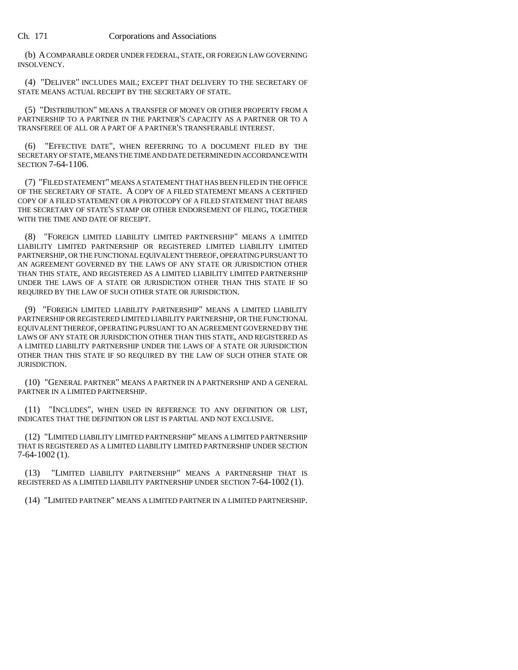(b) A COMPARABLE ORDER UNDER FEDERAL, STATE, OR FOREIGN LAW GOVERNING INSOLVENCY.

(4) "DELIVER" INCLUDES MAIL; EXCEPT THAT DELIVERY TO THE SECRETARY OF STATE MEANS ACTUAL RECEIPT BY THE SECRETARY OF STATE.

(5) "DISTRIBUTION" MEANS A TRANSFER OF MONEY OR OTHER PROPERTY FROM A PARTNERSHIP TO A PARTNER IN THE PARTNER'S CAPACITY AS A PARTNER OR TO A TRANSFEREE OF ALL OR A PART OF A PARTNER'S TRANSFERABLE INTEREST.

(6) "EFFECTIVE DATE", WHEN REFERRING TO A DOCUMENT FILED BY THE SECRETARY OF STATE, MEANS THE TIME AND DATE DETERMINED IN ACCORDANCE WITH SECTION 7-64-1106.

(7) "FILED STATEMENT" MEANS A STATEMENT THAT HAS BEEN FILED IN THE OFFICE OF THE SECRETARY OF STATE. A COPY OF A FILED STATEMENT MEANS A CERTIFIED COPY OF A FILED STATEMENT OR A PHOTOCOPY OF A FILED STATEMENT THAT BEARS THE SECRETARY OF STATE'S STAMP OR OTHER ENDORSEMENT OF FILING, TOGETHER WITH THE TIME AND DATE OF RECEIPT.

(8) "FOREIGN LIMITED LIABILITY LIMITED PARTNERSHIP" MEANS A LIMITED LIABILITY LIMITED PARTNERSHIP OR REGISTERED LIMITED LIABILITY LIMITED PARTNERSHIP, OR THE FUNCTIONAL EQUIVALENT THEREOF, OPERATING PURSUANT TO AN AGREEMENT GOVERNED BY THE LAWS OF ANY STATE OR JURISDICTION OTHER THAN THIS STATE, AND REGISTERED AS A LIMITED LIABILITY LIMITED PARTNERSHIP UNDER THE LAWS OF A STATE OR JURISDICTION OTHER THAN THIS STATE IF SO REQUIRED BY THE LAW OF SUCH OTHER STATE OR JURISDICTION.

(9) "FOREIGN LIMITED LIABILITY PARTNERSHIP" MEANS A LIMITED LIABILITY PARTNERSHIP OR REGISTERED LIMITED LIABILITY PARTNERSHIP, OR THE FUNCTIONAL EQUIVALENT THEREOF, OPERATING PURSUANT TO AN AGREEMENT GOVERNED BY THE LAWS OF ANY STATE OR JURISDICTION OTHER THAN THIS STATE, AND REGISTERED AS A LIMITED LIABILITY PARTNERSHIP UNDER THE LAWS OF A STATE OR JURISDICTION OTHER THAN THIS STATE IF SO REQUIRED BY THE LAW OF SUCH OTHER STATE OR JURISDICTION.

(10) "GENERAL PARTNER" MEANS A PARTNER IN A PARTNERSHIP AND A GENERAL PARTNER IN A LIMITED PARTNERSHIP.

(11) "INCLUDES", WHEN USED IN REFERENCE TO ANY DEFINITION OR LIST, INDICATES THAT THE DEFINITION OR LIST IS PARTIAL AND NOT EXCLUSIVE.

(12) "LIMITED LIABILITY LIMITED PARTNERSHIP" MEANS A LIMITED PARTNERSHIP THAT IS REGISTERED AS A LIMITED LIABILITY LIMITED PARTNERSHIP UNDER SECTION 7-64-1002 (1).

(13) "LIMITED LIABILITY PARTNERSHIP" MEANS A PARTNERSHIP THAT IS REGISTERED AS A LIMITED LIABILITY PARTNERSHIP UNDER SECTION 7-64-1002 (1).

(14) "LIMITED PARTNER" MEANS A LIMITED PARTNER IN A LIMITED PARTNERSHIP.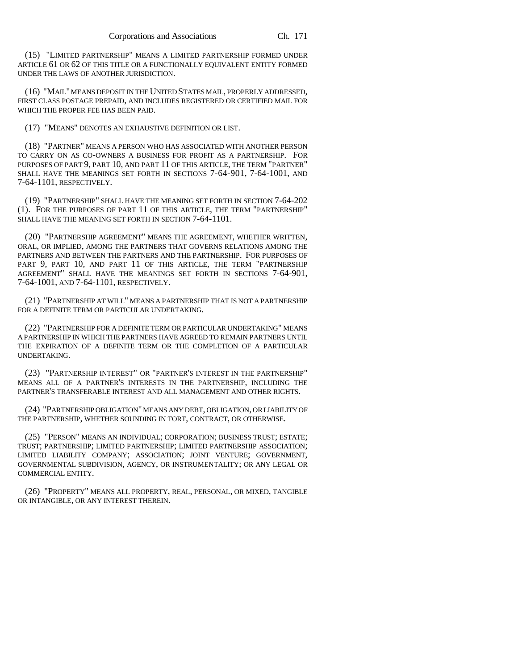(15) "LIMITED PARTNERSHIP" MEANS A LIMITED PARTNERSHIP FORMED UNDER ARTICLE 61 OR 62 OF THIS TITLE OR A FUNCTIONALLY EQUIVALENT ENTITY FORMED UNDER THE LAWS OF ANOTHER JURISDICTION.

(16) "MAIL" MEANS DEPOSIT IN THE UNITED STATES MAIL, PROPERLY ADDRESSED, FIRST CLASS POSTAGE PREPAID, AND INCLUDES REGISTERED OR CERTIFIED MAIL FOR WHICH THE PROPER FEE HAS BEEN PAID.

(17) "MEANS" DENOTES AN EXHAUSTIVE DEFINITION OR LIST.

(18) "PARTNER" MEANS A PERSON WHO HAS ASSOCIATED WITH ANOTHER PERSON TO CARRY ON AS CO-OWNERS A BUSINESS FOR PROFIT AS A PARTNERSHIP. FOR PURPOSES OF PART 9, PART 10, AND PART 11 OF THIS ARTICLE, THE TERM "PARTNER" SHALL HAVE THE MEANINGS SET FORTH IN SECTIONS 7-64-901, 7-64-1001, AND 7-64-1101, RESPECTIVELY.

(19) "PARTNERSHIP" SHALL HAVE THE MEANING SET FORTH IN SECTION 7-64-202 (1). FOR THE PURPOSES OF PART 11 OF THIS ARTICLE, THE TERM "PARTNERSHIP" SHALL HAVE THE MEANING SET FORTH IN SECTION 7-64-1101.

(20) "PARTNERSHIP AGREEMENT" MEANS THE AGREEMENT, WHETHER WRITTEN, ORAL, OR IMPLIED, AMONG THE PARTNERS THAT GOVERNS RELATIONS AMONG THE PARTNERS AND BETWEEN THE PARTNERS AND THE PARTNERSHIP. FOR PURPOSES OF PART 9, PART 10, AND PART 11 OF THIS ARTICLE, THE TERM "PARTNERSHIP AGREEMENT" SHALL HAVE THE MEANINGS SET FORTH IN SECTIONS 7-64-901, 7-64-1001, AND 7-64-1101, RESPECTIVELY.

(21) "PARTNERSHIP AT WILL" MEANS A PARTNERSHIP THAT IS NOT A PARTNERSHIP FOR A DEFINITE TERM OR PARTICULAR UNDERTAKING.

(22) "PARTNERSHIP FOR A DEFINITE TERM OR PARTICULAR UNDERTAKING" MEANS A PARTNERSHIP IN WHICH THE PARTNERS HAVE AGREED TO REMAIN PARTNERS UNTIL THE EXPIRATION OF A DEFINITE TERM OR THE COMPLETION OF A PARTICULAR UNDERTAKING.

(23) "PARTNERSHIP INTEREST" OR "PARTNER'S INTEREST IN THE PARTNERSHIP" MEANS ALL OF A PARTNER'S INTERESTS IN THE PARTNERSHIP, INCLUDING THE PARTNER'S TRANSFERABLE INTEREST AND ALL MANAGEMENT AND OTHER RIGHTS.

(24) "PARTNERSHIP OBLIGATION" MEANS ANY DEBT, OBLIGATION, OR LIABILITY OF THE PARTNERSHIP, WHETHER SOUNDING IN TORT, CONTRACT, OR OTHERWISE.

(25) "PERSON" MEANS AN INDIVIDUAL; CORPORATION; BUSINESS TRUST; ESTATE; TRUST; PARTNERSHIP; LIMITED PARTNERSHIP; LIMITED PARTNERSHIP ASSOCIATION; LIMITED LIABILITY COMPANY; ASSOCIATION; JOINT VENTURE; GOVERNMENT, GOVERNMENTAL SUBDIVISION, AGENCY, OR INSTRUMENTALITY; OR ANY LEGAL OR COMMERCIAL ENTITY.

(26) "PROPERTY" MEANS ALL PROPERTY, REAL, PERSONAL, OR MIXED, TANGIBLE OR INTANGIBLE, OR ANY INTEREST THEREIN.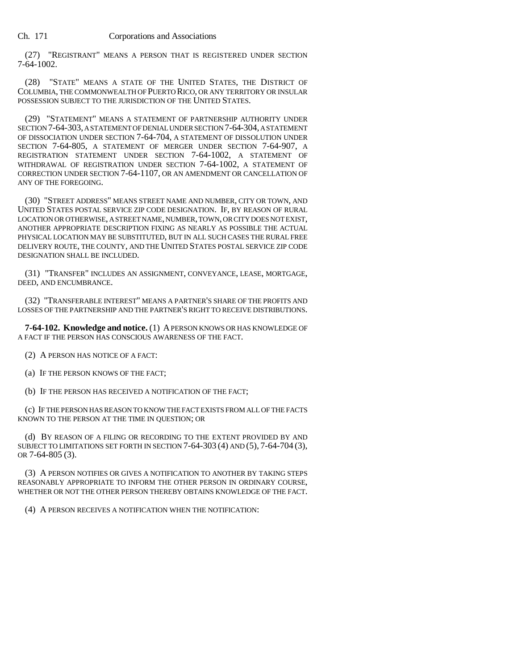(27) "REGISTRANT" MEANS A PERSON THAT IS REGISTERED UNDER SECTION 7-64-1002.

(28) "STATE" MEANS A STATE OF THE UNITED STATES, THE DISTRICT OF COLUMBIA, THE COMMONWEALTH OF PUERTO RICO, OR ANY TERRITORY OR INSULAR POSSESSION SUBJECT TO THE JURISDICTION OF THE UNITED STATES.

(29) "STATEMENT" MEANS A STATEMENT OF PARTNERSHIP AUTHORITY UNDER SECTION 7-64-303, A STATEMENT OF DENIAL UNDER SECTION 7-64-304, A STATEMENT OF DISSOCIATION UNDER SECTION 7-64-704, A STATEMENT OF DISSOLUTION UNDER SECTION 7-64-805, A STATEMENT OF MERGER UNDER SECTION 7-64-907, A REGISTRATION STATEMENT UNDER SECTION 7-64-1002, A STATEMENT OF WITHDRAWAL OF REGISTRATION UNDER SECTION 7-64-1002, A STATEMENT OF CORRECTION UNDER SECTION 7-64-1107, OR AN AMENDMENT OR CANCELLATION OF ANY OF THE FOREGOING.

(30) "STREET ADDRESS" MEANS STREET NAME AND NUMBER, CITY OR TOWN, AND UNITED STATES POSTAL SERVICE ZIP CODE DESIGNATION. IF, BY REASON OF RURAL LOCATION OR OTHERWISE, A STREET NAME, NUMBER, TOWN, OR CITY DOES NOT EXIST, ANOTHER APPROPRIATE DESCRIPTION FIXING AS NEARLY AS POSSIBLE THE ACTUAL PHYSICAL LOCATION MAY BE SUBSTITUTED, BUT IN ALL SUCH CASES THE RURAL FREE DELIVERY ROUTE, THE COUNTY, AND THE UNITED STATES POSTAL SERVICE ZIP CODE DESIGNATION SHALL BE INCLUDED.

(31) "TRANSFER" INCLUDES AN ASSIGNMENT, CONVEYANCE, LEASE, MORTGAGE, DEED, AND ENCUMBRANCE.

(32) "TRANSFERABLE INTEREST" MEANS A PARTNER'S SHARE OF THE PROFITS AND LOSSES OF THE PARTNERSHIP AND THE PARTNER'S RIGHT TO RECEIVE DISTRIBUTIONS.

**7-64-102. Knowledge and notice.** (1) A PERSON KNOWS OR HAS KNOWLEDGE OF A FACT IF THE PERSON HAS CONSCIOUS AWARENESS OF THE FACT.

(2) A PERSON HAS NOTICE OF A FACT:

(a) IF THE PERSON KNOWS OF THE FACT;

(b) IF THE PERSON HAS RECEIVED A NOTIFICATION OF THE FACT;

(c) IF THE PERSON HAS REASON TO KNOW THE FACT EXISTS FROM ALL OF THE FACTS KNOWN TO THE PERSON AT THE TIME IN QUESTION; OR

(d) BY REASON OF A FILING OR RECORDING TO THE EXTENT PROVIDED BY AND SUBJECT TO LIMITATIONS SET FORTH IN SECTION 7-64-303 (4) AND (5), 7-64-704 (3), OR 7-64-805 (3).

(3) A PERSON NOTIFIES OR GIVES A NOTIFICATION TO ANOTHER BY TAKING STEPS REASONABLY APPROPRIATE TO INFORM THE OTHER PERSON IN ORDINARY COURSE, WHETHER OR NOT THE OTHER PERSON THEREBY OBTAINS KNOWLEDGE OF THE FACT.

(4) A PERSON RECEIVES A NOTIFICATION WHEN THE NOTIFICATION: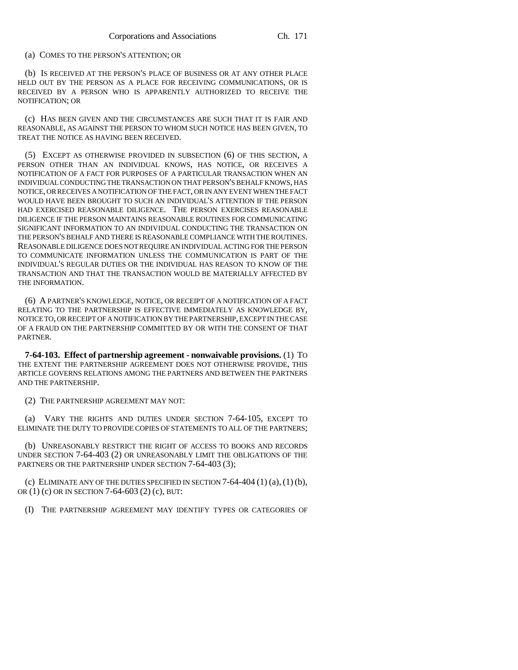## (a) COMES TO THE PERSON'S ATTENTION; OR

(b) IS RECEIVED AT THE PERSON'S PLACE OF BUSINESS OR AT ANY OTHER PLACE HELD OUT BY THE PERSON AS A PLACE FOR RECEIVING COMMUNICATIONS, OR IS RECEIVED BY A PERSON WHO IS APPARENTLY AUTHORIZED TO RECEIVE THE NOTIFICATION; OR

(c) HAS BEEN GIVEN AND THE CIRCUMSTANCES ARE SUCH THAT IT IS FAIR AND REASONABLE, AS AGAINST THE PERSON TO WHOM SUCH NOTICE HAS BEEN GIVEN, TO TREAT THE NOTICE AS HAVING BEEN RECEIVED.

(5) EXCEPT AS OTHERWISE PROVIDED IN SUBSECTION (6) OF THIS SECTION, A PERSON OTHER THAN AN INDIVIDUAL KNOWS, HAS NOTICE, OR RECEIVES A NOTIFICATION OF A FACT FOR PURPOSES OF A PARTICULAR TRANSACTION WHEN AN INDIVIDUAL CONDUCTING THE TRANSACTION ON THAT PERSON'S BEHALF KNOWS, HAS NOTICE, OR RECEIVES A NOTIFICATION OF THE FACT, OR IN ANY EVENT WHEN THE FACT WOULD HAVE BEEN BROUGHT TO SUCH AN INDIVIDUAL'S ATTENTION IF THE PERSON HAD EXERCISED REASONABLE DILIGENCE. THE PERSON EXERCISES REASONABLE DILIGENCE IF THE PERSON MAINTAINS REASONABLE ROUTINES FOR COMMUNICATING SIGNIFICANT INFORMATION TO AN INDIVIDUAL CONDUCTING THE TRANSACTION ON THE PERSON'S BEHALF AND THERE IS REASONABLE COMPLIANCE WITH THE ROUTINES. REASONABLE DILIGENCE DOES NOT REQUIRE AN INDIVIDUAL ACTING FOR THE PERSON TO COMMUNICATE INFORMATION UNLESS THE COMMUNICATION IS PART OF THE INDIVIDUAL'S REGULAR DUTIES OR THE INDIVIDUAL HAS REASON TO KNOW OF THE TRANSACTION AND THAT THE TRANSACTION WOULD BE MATERIALLY AFFECTED BY THE INFORMATION.

(6) A PARTNER'S KNOWLEDGE, NOTICE, OR RECEIPT OF A NOTIFICATION OF A FACT RELATING TO THE PARTNERSHIP IS EFFECTIVE IMMEDIATELY AS KNOWLEDGE BY, NOTICE TO, OR RECEIPT OF A NOTIFICATION BY THE PARTNERSHIP, EXCEPT IN THE CASE OF A FRAUD ON THE PARTNERSHIP COMMITTED BY OR WITH THE CONSENT OF THAT PARTNER.

**7-64-103. Effect of partnership agreement - nonwaivable provisions.** (1) TO THE EXTENT THE PARTNERSHIP AGREEMENT DOES NOT OTHERWISE PROVIDE, THIS ARTICLE GOVERNS RELATIONS AMONG THE PARTNERS AND BETWEEN THE PARTNERS AND THE PARTNERSHIP.

(2) THE PARTNERSHIP AGREEMENT MAY NOT:

(a) VARY THE RIGHTS AND DUTIES UNDER SECTION 7-64-105, EXCEPT TO ELIMINATE THE DUTY TO PROVIDE COPIES OF STATEMENTS TO ALL OF THE PARTNERS;

(b) UNREASONABLY RESTRICT THE RIGHT OF ACCESS TO BOOKS AND RECORDS UNDER SECTION 7-64-403 (2) OR UNREASONABLY LIMIT THE OBLIGATIONS OF THE PARTNERS OR THE PARTNERSHIP UNDER SECTION 7-64-403 (3);

(c) ELIMINATE ANY OF THE DUTIES SPECIFIED IN SECTION  $7-64-404$  (1) (a), (1) (b), OR (1) (c) OR IN SECTION 7-64-603 (2) (c), BUT:

(I) THE PARTNERSHIP AGREEMENT MAY IDENTIFY TYPES OR CATEGORIES OF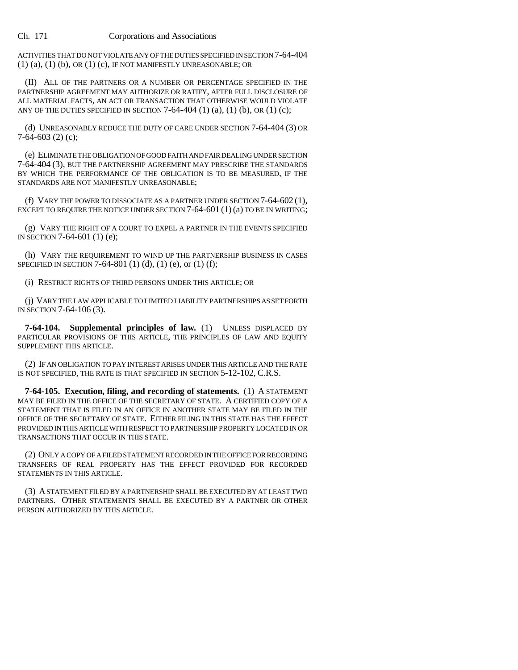ACTIVITIES THAT DO NOT VIOLATE ANY OF THE DUTIES SPECIFIED IN SECTION 7-64-404 (1) (a), (1) (b), OR (1) (c), IF NOT MANIFESTLY UNREASONABLE; OR

(II) ALL OF THE PARTNERS OR A NUMBER OR PERCENTAGE SPECIFIED IN THE PARTNERSHIP AGREEMENT MAY AUTHORIZE OR RATIFY, AFTER FULL DISCLOSURE OF ALL MATERIAL FACTS, AN ACT OR TRANSACTION THAT OTHERWISE WOULD VIOLATE ANY OF THE DUTIES SPECIFIED IN SECTION  $7-64-404$  (1) (a), (1) (b), OR (1) (c);

(d) UNREASONABLY REDUCE THE DUTY OF CARE UNDER SECTION 7-64-404 (3) OR 7-64-603 (2) (c);

(e) ELIMINATE THE OBLIGATION OF GOOD FAITH AND FAIR DEALING UNDER SECTION 7-64-404 (3), BUT THE PARTNERSHIP AGREEMENT MAY PRESCRIBE THE STANDARDS BY WHICH THE PERFORMANCE OF THE OBLIGATION IS TO BE MEASURED, IF THE STANDARDS ARE NOT MANIFESTLY UNREASONABLE;

(f) VARY THE POWER TO DISSOCIATE AS A PARTNER UNDER SECTION 7-64-602 (1), EXCEPT TO REQUIRE THE NOTICE UNDER SECTION  $7-64-601(1)(a)$  TO BE IN WRITING;

(g) VARY THE RIGHT OF A COURT TO EXPEL A PARTNER IN THE EVENTS SPECIFIED IN SECTION 7-64-601 (1) (e);

(h) VARY THE REQUIREMENT TO WIND UP THE PARTNERSHIP BUSINESS IN CASES SPECIFIED IN SECTION 7-64-801 (1) (d), (1) (e), or (1) (f);

(i) RESTRICT RIGHTS OF THIRD PERSONS UNDER THIS ARTICLE; OR

(j) VARY THE LAW APPLICABLE TO LIMITED LIABILITY PARTNERSHIPS AS SET FORTH IN SECTION 7-64-106 (3).

**7-64-104. Supplemental principles of law.** (1) UNLESS DISPLACED BY PARTICULAR PROVISIONS OF THIS ARTICLE, THE PRINCIPLES OF LAW AND EQUITY SUPPLEMENT THIS ARTICLE.

(2) IF AN OBLIGATION TO PAY INTEREST ARISES UNDER THIS ARTICLE AND THE RATE IS NOT SPECIFIED, THE RATE IS THAT SPECIFIED IN SECTION 5-12-102, C.R.S.

**7-64-105. Execution, filing, and recording of statements.** (1) A STATEMENT MAY BE FILED IN THE OFFICE OF THE SECRETARY OF STATE. A CERTIFIED COPY OF A STATEMENT THAT IS FILED IN AN OFFICE IN ANOTHER STATE MAY BE FILED IN THE OFFICE OF THE SECRETARY OF STATE. EITHER FILING IN THIS STATE HAS THE EFFECT PROVIDED IN THIS ARTICLE WITH RESPECT TO PARTNERSHIP PROPERTY LOCATED IN OR TRANSACTIONS THAT OCCUR IN THIS STATE.

(2) ONLY A COPY OF A FILED STATEMENT RECORDED IN THE OFFICE FOR RECORDING TRANSFERS OF REAL PROPERTY HAS THE EFFECT PROVIDED FOR RECORDED STATEMENTS IN THIS ARTICLE.

(3) A STATEMENT FILED BY A PARTNERSHIP SHALL BE EXECUTED BY AT LEAST TWO PARTNERS. OTHER STATEMENTS SHALL BE EXECUTED BY A PARTNER OR OTHER PERSON AUTHORIZED BY THIS ARTICLE.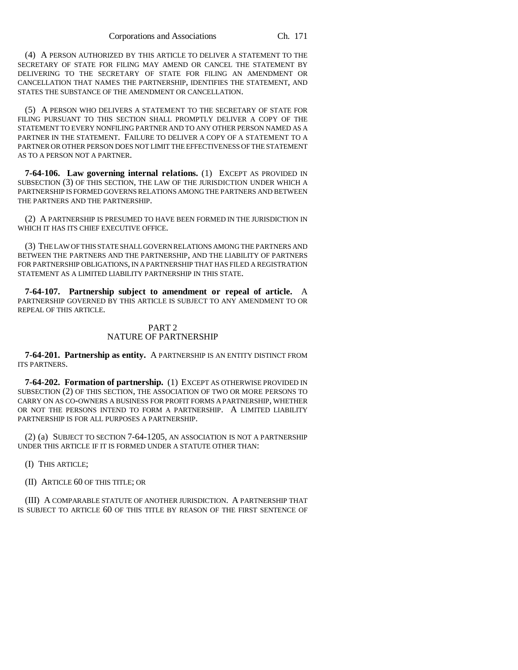(4) A PERSON AUTHORIZED BY THIS ARTICLE TO DELIVER A STATEMENT TO THE SECRETARY OF STATE FOR FILING MAY AMEND OR CANCEL THE STATEMENT BY DELIVERING TO THE SECRETARY OF STATE FOR FILING AN AMENDMENT OR CANCELLATION THAT NAMES THE PARTNERSHIP, IDENTIFIES THE STATEMENT, AND STATES THE SUBSTANCE OF THE AMENDMENT OR CANCELLATION.

(5) A PERSON WHO DELIVERS A STATEMENT TO THE SECRETARY OF STATE FOR FILING PURSUANT TO THIS SECTION SHALL PROMPTLY DELIVER A COPY OF THE STATEMENT TO EVERY NONFILING PARTNER AND TO ANY OTHER PERSON NAMED AS A PARTNER IN THE STATEMENT. FAILURE TO DELIVER A COPY OF A STATEMENT TO A PARTNER OR OTHER PERSON DOES NOT LIMIT THE EFFECTIVENESS OF THE STATEMENT AS TO A PERSON NOT A PARTNER.

**7-64-106. Law governing internal relations.** (1) EXCEPT AS PROVIDED IN SUBSECTION (3) OF THIS SECTION, THE LAW OF THE JURISDICTION UNDER WHICH A PARTNERSHIP IS FORMED GOVERNS RELATIONS AMONG THE PARTNERS AND BETWEEN THE PARTNERS AND THE PARTNERSHIP.

(2) A PARTNERSHIP IS PRESUMED TO HAVE BEEN FORMED IN THE JURISDICTION IN WHICH IT HAS ITS CHIEF EXECUTIVE OFFICE.

(3) THE LAW OF THIS STATE SHALL GOVERN RELATIONS AMONG THE PARTNERS AND BETWEEN THE PARTNERS AND THE PARTNERSHIP, AND THE LIABILITY OF PARTNERS FOR PARTNERSHIP OBLIGATIONS, IN A PARTNERSHIP THAT HAS FILED A REGISTRATION STATEMENT AS A LIMITED LIABILITY PARTNERSHIP IN THIS STATE.

**7-64-107. Partnership subject to amendment or repeal of article.** A PARTNERSHIP GOVERNED BY THIS ARTICLE IS SUBJECT TO ANY AMENDMENT TO OR REPEAL OF THIS ARTICLE.

## PART 2 NATURE OF PARTNERSHIP

**7-64-201. Partnership as entity.** A PARTNERSHIP IS AN ENTITY DISTINCT FROM ITS PARTNERS.

**7-64-202. Formation of partnership.** (1) EXCEPT AS OTHERWISE PROVIDED IN SUBSECTION (2) OF THIS SECTION, THE ASSOCIATION OF TWO OR MORE PERSONS TO CARRY ON AS CO-OWNERS A BUSINESS FOR PROFIT FORMS A PARTNERSHIP, WHETHER OR NOT THE PERSONS INTEND TO FORM A PARTNERSHIP. A LIMITED LIABILITY PARTNERSHIP IS FOR ALL PURPOSES A PARTNERSHIP.

(2) (a) SUBJECT TO SECTION 7-64-1205, AN ASSOCIATION IS NOT A PARTNERSHIP UNDER THIS ARTICLE IF IT IS FORMED UNDER A STATUTE OTHER THAN:

(I) THIS ARTICLE;

(II) ARTICLE 60 OF THIS TITLE; OR

(III) A COMPARABLE STATUTE OF ANOTHER JURISDICTION. A PARTNERSHIP THAT IS SUBJECT TO ARTICLE 60 OF THIS TITLE BY REASON OF THE FIRST SENTENCE OF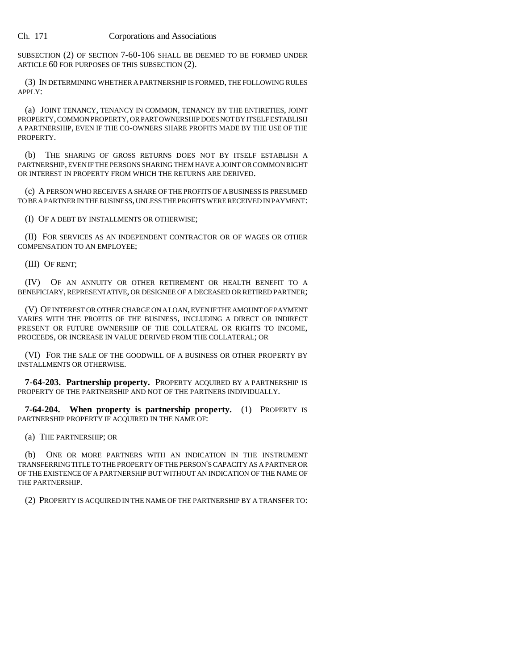SUBSECTION (2) OF SECTION 7-60-106 SHALL BE DEEMED TO BE FORMED UNDER ARTICLE 60 FOR PURPOSES OF THIS SUBSECTION (2).

(3) IN DETERMINING WHETHER A PARTNERSHIP IS FORMED, THE FOLLOWING RULES APPLY:

(a) JOINT TENANCY, TENANCY IN COMMON, TENANCY BY THE ENTIRETIES, JOINT PROPERTY, COMMON PROPERTY, OR PART OWNERSHIP DOES NOT BY ITSELF ESTABLISH A PARTNERSHIP, EVEN IF THE CO-OWNERS SHARE PROFITS MADE BY THE USE OF THE PROPERTY.

(b) THE SHARING OF GROSS RETURNS DOES NOT BY ITSELF ESTABLISH A PARTNERSHIP, EVEN IF THE PERSONS SHARING THEM HAVE A JOINT OR COMMON RIGHT OR INTEREST IN PROPERTY FROM WHICH THE RETURNS ARE DERIVED.

(c) A PERSON WHO RECEIVES A SHARE OF THE PROFITS OF A BUSINESS IS PRESUMED TO BE A PARTNER IN THE BUSINESS, UNLESS THE PROFITS WERE RECEIVED IN PAYMENT:

(I) OF A DEBT BY INSTALLMENTS OR OTHERWISE;

(II) FOR SERVICES AS AN INDEPENDENT CONTRACTOR OR OF WAGES OR OTHER COMPENSATION TO AN EMPLOYEE;

(III) OF RENT;

(IV) OF AN ANNUITY OR OTHER RETIREMENT OR HEALTH BENEFIT TO A BENEFICIARY, REPRESENTATIVE, OR DESIGNEE OF A DECEASED OR RETIRED PARTNER;

(V) OF INTEREST OR OTHER CHARGE ON A LOAN, EVEN IF THE AMOUNT OF PAYMENT VARIES WITH THE PROFITS OF THE BUSINESS, INCLUDING A DIRECT OR INDIRECT PRESENT OR FUTURE OWNERSHIP OF THE COLLATERAL OR RIGHTS TO INCOME, PROCEEDS, OR INCREASE IN VALUE DERIVED FROM THE COLLATERAL; OR

(VI) FOR THE SALE OF THE GOODWILL OF A BUSINESS OR OTHER PROPERTY BY INSTALLMENTS OR OTHERWISE.

**7-64-203. Partnership property.** PROPERTY ACQUIRED BY A PARTNERSHIP IS PROPERTY OF THE PARTNERSHIP AND NOT OF THE PARTNERS INDIVIDUALLY.

**7-64-204. When property is partnership property.** (1) PROPERTY IS PARTNERSHIP PROPERTY IF ACQUIRED IN THE NAME OF:

(a) THE PARTNERSHIP; OR

(b) ONE OR MORE PARTNERS WITH AN INDICATION IN THE INSTRUMENT TRANSFERRING TITLE TO THE PROPERTY OF THE PERSON'S CAPACITY AS A PARTNER OR OF THE EXISTENCE OF A PARTNERSHIP BUT WITHOUT AN INDICATION OF THE NAME OF THE PARTNERSHIP.

(2) PROPERTY IS ACQUIRED IN THE NAME OF THE PARTNERSHIP BY A TRANSFER TO: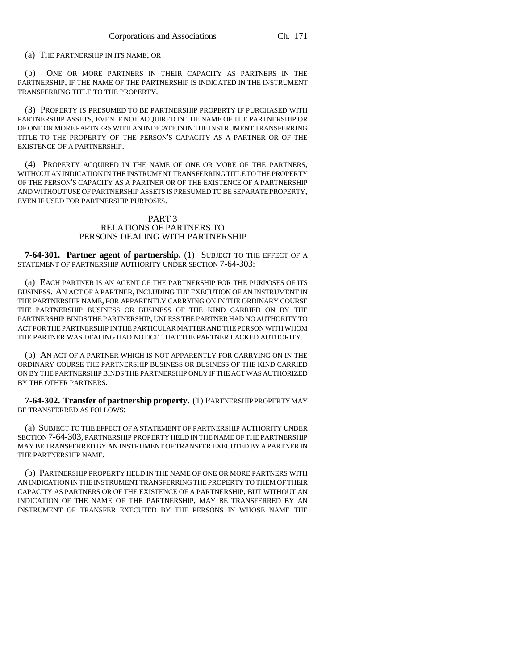(a) THE PARTNERSHIP IN ITS NAME; OR

(b) ONE OR MORE PARTNERS IN THEIR CAPACITY AS PARTNERS IN THE PARTNERSHIP, IF THE NAME OF THE PARTNERSHIP IS INDICATED IN THE INSTRUMENT TRANSFERRING TITLE TO THE PROPERTY.

(3) PROPERTY IS PRESUMED TO BE PARTNERSHIP PROPERTY IF PURCHASED WITH PARTNERSHIP ASSETS, EVEN IF NOT ACQUIRED IN THE NAME OF THE PARTNERSHIP OR OF ONE OR MORE PARTNERS WITH AN INDICATION IN THE INSTRUMENT TRANSFERRING TITLE TO THE PROPERTY OF THE PERSON'S CAPACITY AS A PARTNER OR OF THE EXISTENCE OF A PARTNERSHIP.

(4) PROPERTY ACQUIRED IN THE NAME OF ONE OR MORE OF THE PARTNERS, WITHOUT AN INDICATION IN THE INSTRUMENT TRANSFERRING TITLE TO THE PROPERTY OF THE PERSON'S CAPACITY AS A PARTNER OR OF THE EXISTENCE OF A PARTNERSHIP AND WITHOUT USE OF PARTNERSHIP ASSETS IS PRESUMED TO BE SEPARATE PROPERTY, EVEN IF USED FOR PARTNERSHIP PURPOSES.

## PART 3 RELATIONS OF PARTNERS TO PERSONS DEALING WITH PARTNERSHIP

**7-64-301. Partner agent of partnership.** (1) SUBJECT TO THE EFFECT OF A STATEMENT OF PARTNERSHIP AUTHORITY UNDER SECTION 7-64-303:

(a) EACH PARTNER IS AN AGENT OF THE PARTNERSHIP FOR THE PURPOSES OF ITS BUSINESS. AN ACT OF A PARTNER, INCLUDING THE EXECUTION OF AN INSTRUMENT IN THE PARTNERSHIP NAME, FOR APPARENTLY CARRYING ON IN THE ORDINARY COURSE THE PARTNERSHIP BUSINESS OR BUSINESS OF THE KIND CARRIED ON BY THE PARTNERSHIP BINDS THE PARTNERSHIP, UNLESS THE PARTNER HAD NO AUTHORITY TO ACT FOR THE PARTNERSHIP IN THE PARTICULAR MATTER AND THE PERSON WITH WHOM THE PARTNER WAS DEALING HAD NOTICE THAT THE PARTNER LACKED AUTHORITY.

(b) AN ACT OF A PARTNER WHICH IS NOT APPARENTLY FOR CARRYING ON IN THE ORDINARY COURSE THE PARTNERSHIP BUSINESS OR BUSINESS OF THE KIND CARRIED ON BY THE PARTNERSHIP BINDS THE PARTNERSHIP ONLY IF THE ACT WAS AUTHORIZED BY THE OTHER PARTNERS.

**7-64-302. Transfer of partnership property.** (1) PARTNERSHIP PROPERTY MAY BE TRANSFERRED AS FOLLOWS:

(a) SUBJECT TO THE EFFECT OF A STATEMENT OF PARTNERSHIP AUTHORITY UNDER SECTION 7-64-303, PARTNERSHIP PROPERTY HELD IN THE NAME OF THE PARTNERSHIP MAY BE TRANSFERRED BY AN INSTRUMENT OF TRANSFER EXECUTED BY A PARTNER IN THE PARTNERSHIP NAME.

(b) PARTNERSHIP PROPERTY HELD IN THE NAME OF ONE OR MORE PARTNERS WITH AN INDICATION IN THE INSTRUMENT TRANSFERRING THE PROPERTY TO THEM OF THEIR CAPACITY AS PARTNERS OR OF THE EXISTENCE OF A PARTNERSHIP, BUT WITHOUT AN INDICATION OF THE NAME OF THE PARTNERSHIP, MAY BE TRANSFERRED BY AN INSTRUMENT OF TRANSFER EXECUTED BY THE PERSONS IN WHOSE NAME THE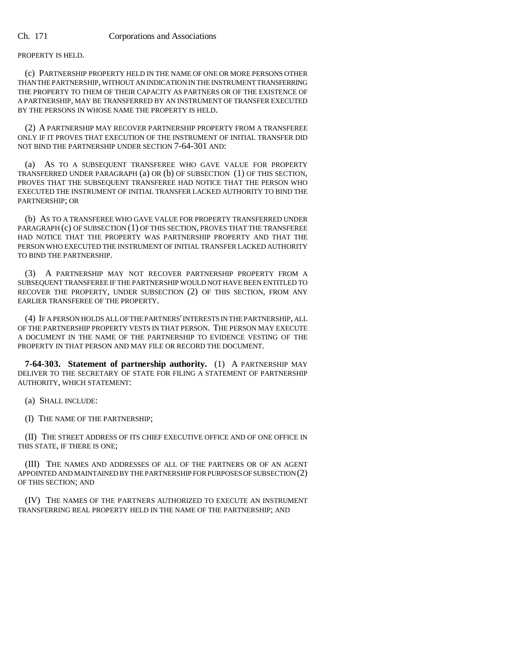PROPERTY IS HELD.

(c) PARTNERSHIP PROPERTY HELD IN THE NAME OF ONE OR MORE PERSONS OTHER THAN THE PARTNERSHIP, WITHOUT AN INDICATION IN THE INSTRUMENT TRANSFERRING THE PROPERTY TO THEM OF THEIR CAPACITY AS PARTNERS OR OF THE EXISTENCE OF A PARTNERSHIP, MAY BE TRANSFERRED BY AN INSTRUMENT OF TRANSFER EXECUTED BY THE PERSONS IN WHOSE NAME THE PROPERTY IS HELD.

(2) A PARTNERSHIP MAY RECOVER PARTNERSHIP PROPERTY FROM A TRANSFEREE ONLY IF IT PROVES THAT EXECUTION OF THE INSTRUMENT OF INITIAL TRANSFER DID NOT BIND THE PARTNERSHIP UNDER SECTION 7-64-301 AND:

(a) AS TO A SUBSEQUENT TRANSFEREE WHO GAVE VALUE FOR PROPERTY TRANSFERRED UNDER PARAGRAPH (a) OR (b) OF SUBSECTION (1) OF THIS SECTION, PROVES THAT THE SUBSEQUENT TRANSFEREE HAD NOTICE THAT THE PERSON WHO EXECUTED THE INSTRUMENT OF INITIAL TRANSFER LACKED AUTHORITY TO BIND THE PARTNERSHIP; OR

(b) AS TO A TRANSFEREE WHO GAVE VALUE FOR PROPERTY TRANSFERRED UNDER PARAGRAPH (c) OF SUBSECTION (1) OF THIS SECTION, PROVES THAT THE TRANSFEREE HAD NOTICE THAT THE PROPERTY WAS PARTNERSHIP PROPERTY AND THAT THE PERSON WHO EXECUTED THE INSTRUMENT OF INITIAL TRANSFER LACKED AUTHORITY TO BIND THE PARTNERSHIP.

(3) A PARTNERSHIP MAY NOT RECOVER PARTNERSHIP PROPERTY FROM A SUBSEQUENT TRANSFEREE IF THE PARTNERSHIP WOULD NOT HAVE BEEN ENTITLED TO RECOVER THE PROPERTY, UNDER SUBSECTION (2) OF THIS SECTION, FROM ANY EARLIER TRANSFEREE OF THE PROPERTY.

(4) IF A PERSON HOLDS ALL OF THE PARTNERS' INTERESTS IN THE PARTNERSHIP, ALL OF THE PARTNERSHIP PROPERTY VESTS IN THAT PERSON. THE PERSON MAY EXECUTE A DOCUMENT IN THE NAME OF THE PARTNERSHIP TO EVIDENCE VESTING OF THE PROPERTY IN THAT PERSON AND MAY FILE OR RECORD THE DOCUMENT.

**7-64-303. Statement of partnership authority.** (1) A PARTNERSHIP MAY DELIVER TO THE SECRETARY OF STATE FOR FILING A STATEMENT OF PARTNERSHIP AUTHORITY, WHICH STATEMENT:

(a) SHALL INCLUDE:

(I) THE NAME OF THE PARTNERSHIP;

(II) THE STREET ADDRESS OF ITS CHIEF EXECUTIVE OFFICE AND OF ONE OFFICE IN THIS STATE, IF THERE IS ONE;

(III) THE NAMES AND ADDRESSES OF ALL OF THE PARTNERS OR OF AN AGENT APPOINTED AND MAINTAINED BY THE PARTNERSHIP FOR PURPOSES OF SUBSECTION (2) OF THIS SECTION; AND

(IV) THE NAMES OF THE PARTNERS AUTHORIZED TO EXECUTE AN INSTRUMENT TRANSFERRING REAL PROPERTY HELD IN THE NAME OF THE PARTNERSHIP; AND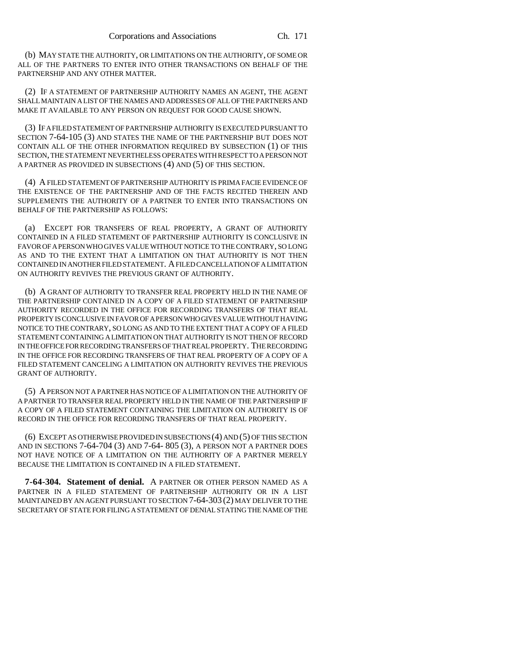(b) MAY STATE THE AUTHORITY, OR LIMITATIONS ON THE AUTHORITY, OF SOME OR ALL OF THE PARTNERS TO ENTER INTO OTHER TRANSACTIONS ON BEHALF OF THE PARTNERSHIP AND ANY OTHER MATTER.

(2) IF A STATEMENT OF PARTNERSHIP AUTHORITY NAMES AN AGENT, THE AGENT SHALL MAINTAIN A LIST OF THE NAMES AND ADDRESSES OF ALL OF THE PARTNERS AND MAKE IT AVAILABLE TO ANY PERSON ON REQUEST FOR GOOD CAUSE SHOWN.

(3) IF A FILED STATEMENT OF PARTNERSHIP AUTHORITY IS EXECUTED PURSUANT TO SECTION 7-64-105 (3) AND STATES THE NAME OF THE PARTNERSHIP BUT DOES NOT CONTAIN ALL OF THE OTHER INFORMATION REQUIRED BY SUBSECTION (1) OF THIS SECTION, THE STATEMENT NEVERTHELESS OPERATES WITH RESPECT TO A PERSON NOT A PARTNER AS PROVIDED IN SUBSECTIONS (4) AND (5) OF THIS SECTION.

(4) A FILED STATEMENT OF PARTNERSHIP AUTHORITY IS PRIMA FACIE EVIDENCE OF THE EXISTENCE OF THE PARTNERSHIP AND OF THE FACTS RECITED THEREIN AND SUPPLEMENTS THE AUTHORITY OF A PARTNER TO ENTER INTO TRANSACTIONS ON BEHALF OF THE PARTNERSHIP AS FOLLOWS:

(a) EXCEPT FOR TRANSFERS OF REAL PROPERTY, A GRANT OF AUTHORITY CONTAINED IN A FILED STATEMENT OF PARTNERSHIP AUTHORITY IS CONCLUSIVE IN FAVOR OF A PERSON WHO GIVES VALUE WITHOUT NOTICE TO THE CONTRARY, SO LONG AS AND TO THE EXTENT THAT A LIMITATION ON THAT AUTHORITY IS NOT THEN CONTAINED IN ANOTHER FILED STATEMENT. A FILED CANCELLATION OF A LIMITATION ON AUTHORITY REVIVES THE PREVIOUS GRANT OF AUTHORITY.

(b) A GRANT OF AUTHORITY TO TRANSFER REAL PROPERTY HELD IN THE NAME OF THE PARTNERSHIP CONTAINED IN A COPY OF A FILED STATEMENT OF PARTNERSHIP AUTHORITY RECORDED IN THE OFFICE FOR RECORDING TRANSFERS OF THAT REAL PROPERTY IS CONCLUSIVE IN FAVOR OF A PERSON WHO GIVES VALUE WITHOUT HAVING NOTICE TO THE CONTRARY, SO LONG AS AND TO THE EXTENT THAT A COPY OF A FILED STATEMENT CONTAINING A LIMITATION ON THAT AUTHORITY IS NOT THEN OF RECORD IN THE OFFICE FOR RECORDING TRANSFERS OF THAT REAL PROPERTY. THE RECORDING IN THE OFFICE FOR RECORDING TRANSFERS OF THAT REAL PROPERTY OF A COPY OF A FILED STATEMENT CANCELING A LIMITATION ON AUTHORITY REVIVES THE PREVIOUS GRANT OF AUTHORITY.

(5) A PERSON NOT A PARTNER HAS NOTICE OF A LIMITATION ON THE AUTHORITY OF A PARTNER TO TRANSFER REAL PROPERTY HELD IN THE NAME OF THE PARTNERSHIP IF A COPY OF A FILED STATEMENT CONTAINING THE LIMITATION ON AUTHORITY IS OF RECORD IN THE OFFICE FOR RECORDING TRANSFERS OF THAT REAL PROPERTY.

(6) EXCEPT AS OTHERWISE PROVIDED IN SUBSECTIONS (4) AND (5) OF THIS SECTION AND IN SECTIONS 7-64-704 (3) AND 7-64- 805 (3), A PERSON NOT A PARTNER DOES NOT HAVE NOTICE OF A LIMITATION ON THE AUTHORITY OF A PARTNER MERELY BECAUSE THE LIMITATION IS CONTAINED IN A FILED STATEMENT.

**7-64-304. Statement of denial.** A PARTNER OR OTHER PERSON NAMED AS A PARTNER IN A FILED STATEMENT OF PARTNERSHIP AUTHORITY OR IN A LIST MAINTAINED BY AN AGENT PURSUANT TO SECTION 7-64-303 (2) MAY DELIVER TO THE SECRETARY OF STATE FOR FILING A STATEMENT OF DENIAL STATING THE NAME OF THE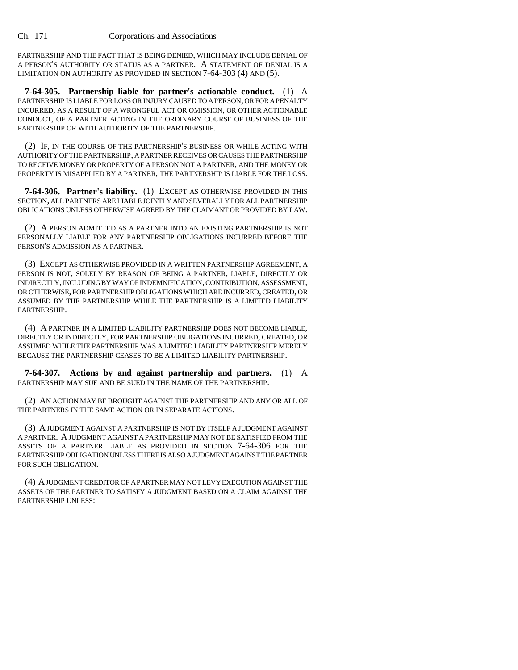PARTNERSHIP AND THE FACT THAT IS BEING DENIED, WHICH MAY INCLUDE DENIAL OF A PERSON'S AUTHORITY OR STATUS AS A PARTNER. A STATEMENT OF DENIAL IS A LIMITATION ON AUTHORITY AS PROVIDED IN SECTION 7-64-303 (4) AND (5).

**7-64-305. Partnership liable for partner's actionable conduct.** (1) A PARTNERSHIP IS LIABLE FOR LOSS OR INJURY CAUSED TO A PERSON, OR FOR A PENALTY INCURRED, AS A RESULT OF A WRONGFUL ACT OR OMISSION, OR OTHER ACTIONABLE CONDUCT, OF A PARTNER ACTING IN THE ORDINARY COURSE OF BUSINESS OF THE PARTNERSHIP OR WITH AUTHORITY OF THE PARTNERSHIP.

(2) IF, IN THE COURSE OF THE PARTNERSHIP'S BUSINESS OR WHILE ACTING WITH AUTHORITY OF THE PARTNERSHIP, A PARTNER RECEIVES OR CAUSES THE PARTNERSHIP TO RECEIVE MONEY OR PROPERTY OF A PERSON NOT A PARTNER, AND THE MONEY OR PROPERTY IS MISAPPLIED BY A PARTNER, THE PARTNERSHIP IS LIABLE FOR THE LOSS.

**7-64-306. Partner's liability.** (1) EXCEPT AS OTHERWISE PROVIDED IN THIS SECTION, ALL PARTNERS ARE LIABLE JOINTLY AND SEVERALLY FOR ALL PARTNERSHIP OBLIGATIONS UNLESS OTHERWISE AGREED BY THE CLAIMANT OR PROVIDED BY LAW.

(2) A PERSON ADMITTED AS A PARTNER INTO AN EXISTING PARTNERSHIP IS NOT PERSONALLY LIABLE FOR ANY PARTNERSHIP OBLIGATIONS INCURRED BEFORE THE PERSON'S ADMISSION AS A PARTNER.

(3) EXCEPT AS OTHERWISE PROVIDED IN A WRITTEN PARTNERSHIP AGREEMENT, A PERSON IS NOT, SOLELY BY REASON OF BEING A PARTNER, LIABLE, DIRECTLY OR INDIRECTLY, INCLUDING BY WAY OF INDEMNIFICATION, CONTRIBUTION, ASSESSMENT, OR OTHERWISE, FOR PARTNERSHIP OBLIGATIONS WHICH ARE INCURRED, CREATED, OR ASSUMED BY THE PARTNERSHIP WHILE THE PARTNERSHIP IS A LIMITED LIABILITY **PARTNERSHIP** 

(4) A PARTNER IN A LIMITED LIABILITY PARTNERSHIP DOES NOT BECOME LIABLE, DIRECTLY OR INDIRECTLY, FOR PARTNERSHIP OBLIGATIONS INCURRED, CREATED, OR ASSUMED WHILE THE PARTNERSHIP WAS A LIMITED LIABILITY PARTNERSHIP MERELY BECAUSE THE PARTNERSHIP CEASES TO BE A LIMITED LIABILITY PARTNERSHIP.

**7-64-307. Actions by and against partnership and partners.** (1) A PARTNERSHIP MAY SUE AND BE SUED IN THE NAME OF THE PARTNERSHIP.

(2) AN ACTION MAY BE BROUGHT AGAINST THE PARTNERSHIP AND ANY OR ALL OF THE PARTNERS IN THE SAME ACTION OR IN SEPARATE ACTIONS.

(3) A JUDGMENT AGAINST A PARTNERSHIP IS NOT BY ITSELF A JUDGMENT AGAINST A PARTNER. A JUDGMENT AGAINST A PARTNERSHIP MAY NOT BE SATISFIED FROM THE ASSETS OF A PARTNER LIABLE AS PROVIDED IN SECTION 7-64-306 FOR THE PARTNERSHIP OBLIGATION UNLESS THERE IS ALSO A JUDGMENT AGAINST THE PARTNER FOR SUCH OBLIGATION.

(4) A JUDGMENT CREDITOR OF A PARTNER MAY NOT LEVY EXECUTION AGAINST THE ASSETS OF THE PARTNER TO SATISFY A JUDGMENT BASED ON A CLAIM AGAINST THE PARTNERSHIP UNLESS: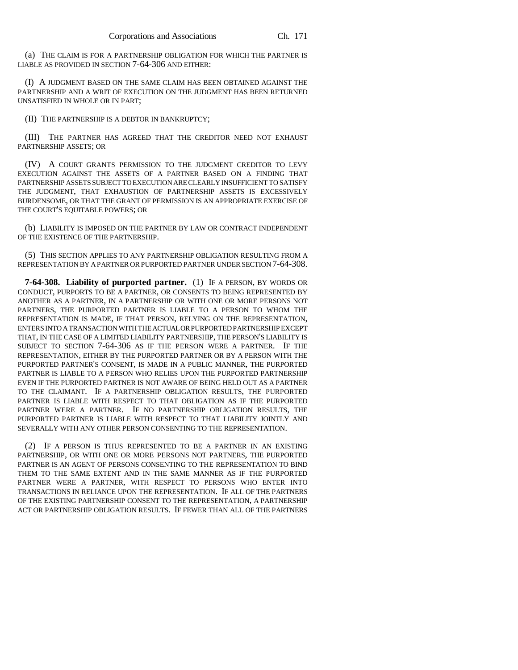(a) THE CLAIM IS FOR A PARTNERSHIP OBLIGATION FOR WHICH THE PARTNER IS LIABLE AS PROVIDED IN SECTION 7-64-306 AND EITHER:

(I) A JUDGMENT BASED ON THE SAME CLAIM HAS BEEN OBTAINED AGAINST THE PARTNERSHIP AND A WRIT OF EXECUTION ON THE JUDGMENT HAS BEEN RETURNED UNSATISFIED IN WHOLE OR IN PART;

(II) THE PARTNERSHIP IS A DEBTOR IN BANKRUPTCY;

(III) THE PARTNER HAS AGREED THAT THE CREDITOR NEED NOT EXHAUST PARTNERSHIP ASSETS; OR

(IV) A COURT GRANTS PERMISSION TO THE JUDGMENT CREDITOR TO LEVY EXECUTION AGAINST THE ASSETS OF A PARTNER BASED ON A FINDING THAT PARTNERSHIP ASSETS SUBJECT TO EXECUTION ARE CLEARLY INSUFFICIENT TO SATISFY THE JUDGMENT, THAT EXHAUSTION OF PARTNERSHIP ASSETS IS EXCESSIVELY BURDENSOME, OR THAT THE GRANT OF PERMISSION IS AN APPROPRIATE EXERCISE OF THE COURT'S EQUITABLE POWERS; OR

(b) LIABILITY IS IMPOSED ON THE PARTNER BY LAW OR CONTRACT INDEPENDENT OF THE EXISTENCE OF THE PARTNERSHIP.

(5) THIS SECTION APPLIES TO ANY PARTNERSHIP OBLIGATION RESULTING FROM A REPRESENTATION BY A PARTNER OR PURPORTED PARTNER UNDER SECTION 7-64-308.

**7-64-308. Liability of purported partner.** (1) IF A PERSON, BY WORDS OR CONDUCT, PURPORTS TO BE A PARTNER, OR CONSENTS TO BEING REPRESENTED BY ANOTHER AS A PARTNER, IN A PARTNERSHIP OR WITH ONE OR MORE PERSONS NOT PARTNERS, THE PURPORTED PARTNER IS LIABLE TO A PERSON TO WHOM THE REPRESENTATION IS MADE, IF THAT PERSON, RELYING ON THE REPRESENTATION, ENTERS INTO A TRANSACTION WITH THE ACTUAL OR PURPORTED PARTNERSHIP EXCEPT THAT, IN THE CASE OF A LIMITED LIABILITY PARTNERSHIP, THE PERSON'S LIABILITY IS SUBJECT TO SECTION 7-64-306 AS IF THE PERSON WERE A PARTNER. IF THE REPRESENTATION, EITHER BY THE PURPORTED PARTNER OR BY A PERSON WITH THE PURPORTED PARTNER'S CONSENT, IS MADE IN A PUBLIC MANNER, THE PURPORTED PARTNER IS LIABLE TO A PERSON WHO RELIES UPON THE PURPORTED PARTNERSHIP EVEN IF THE PURPORTED PARTNER IS NOT AWARE OF BEING HELD OUT AS A PARTNER TO THE CLAIMANT. IF A PARTNERSHIP OBLIGATION RESULTS, THE PURPORTED PARTNER IS LIABLE WITH RESPECT TO THAT OBLIGATION AS IF THE PURPORTED PARTNER WERE A PARTNER. IF NO PARTNERSHIP OBLIGATION RESULTS, THE PURPORTED PARTNER IS LIABLE WITH RESPECT TO THAT LIABILITY JOINTLY AND SEVERALLY WITH ANY OTHER PERSON CONSENTING TO THE REPRESENTATION.

(2) IF A PERSON IS THUS REPRESENTED TO BE A PARTNER IN AN EXISTING PARTNERSHIP, OR WITH ONE OR MORE PERSONS NOT PARTNERS, THE PURPORTED PARTNER IS AN AGENT OF PERSONS CONSENTING TO THE REPRESENTATION TO BIND THEM TO THE SAME EXTENT AND IN THE SAME MANNER AS IF THE PURPORTED PARTNER WERE A PARTNER, WITH RESPECT TO PERSONS WHO ENTER INTO TRANSACTIONS IN RELIANCE UPON THE REPRESENTATION. IF ALL OF THE PARTNERS OF THE EXISTING PARTNERSHIP CONSENT TO THE REPRESENTATION, A PARTNERSHIP ACT OR PARTNERSHIP OBLIGATION RESULTS. IF FEWER THAN ALL OF THE PARTNERS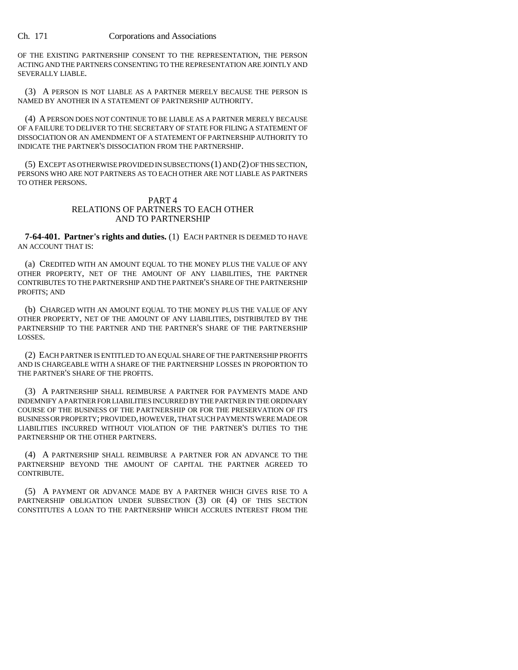OF THE EXISTING PARTNERSHIP CONSENT TO THE REPRESENTATION, THE PERSON ACTING AND THE PARTNERS CONSENTING TO THE REPRESENTATION ARE JOINTLY AND SEVERALLY LIABLE.

(3) A PERSON IS NOT LIABLE AS A PARTNER MERELY BECAUSE THE PERSON IS NAMED BY ANOTHER IN A STATEMENT OF PARTNERSHIP AUTHORITY.

(4) A PERSON DOES NOT CONTINUE TO BE LIABLE AS A PARTNER MERELY BECAUSE OF A FAILURE TO DELIVER TO THE SECRETARY OF STATE FOR FILING A STATEMENT OF DISSOCIATION OR AN AMENDMENT OF A STATEMENT OF PARTNERSHIP AUTHORITY TO INDICATE THE PARTNER'S DISSOCIATION FROM THE PARTNERSHIP.

(5) EXCEPT AS OTHERWISE PROVIDED IN SUBSECTIONS (1) AND (2) OF THIS SECTION, PERSONS WHO ARE NOT PARTNERS AS TO EACH OTHER ARE NOT LIABLE AS PARTNERS TO OTHER PERSONS.

## PART 4 RELATIONS OF PARTNERS TO EACH OTHER AND TO PARTNERSHIP

**7-64-401. Partner's rights and duties.** (1) EACH PARTNER IS DEEMED TO HAVE AN ACCOUNT THAT IS:

(a) CREDITED WITH AN AMOUNT EQUAL TO THE MONEY PLUS THE VALUE OF ANY OTHER PROPERTY, NET OF THE AMOUNT OF ANY LIABILITIES, THE PARTNER CONTRIBUTES TO THE PARTNERSHIP AND THE PARTNER'S SHARE OF THE PARTNERSHIP PROFITS; AND

(b) CHARGED WITH AN AMOUNT EQUAL TO THE MONEY PLUS THE VALUE OF ANY OTHER PROPERTY, NET OF THE AMOUNT OF ANY LIABILITIES, DISTRIBUTED BY THE PARTNERSHIP TO THE PARTNER AND THE PARTNER'S SHARE OF THE PARTNERSHIP LOSSES.

(2) EACH PARTNER IS ENTITLED TO AN EQUAL SHARE OF THE PARTNERSHIP PROFITS AND IS CHARGEABLE WITH A SHARE OF THE PARTNERSHIP LOSSES IN PROPORTION TO THE PARTNER'S SHARE OF THE PROFITS.

(3) A PARTNERSHIP SHALL REIMBURSE A PARTNER FOR PAYMENTS MADE AND INDEMNIFY A PARTNER FOR LIABILITIES INCURRED BY THE PARTNER IN THE ORDINARY COURSE OF THE BUSINESS OF THE PARTNERSHIP OR FOR THE PRESERVATION OF ITS BUSINESS OR PROPERTY; PROVIDED, HOWEVER, THAT SUCH PAYMENTS WERE MADE OR LIABILITIES INCURRED WITHOUT VIOLATION OF THE PARTNER'S DUTIES TO THE PARTNERSHIP OR THE OTHER PARTNERS.

(4) A PARTNERSHIP SHALL REIMBURSE A PARTNER FOR AN ADVANCE TO THE PARTNERSHIP BEYOND THE AMOUNT OF CAPITAL THE PARTNER AGREED TO CONTRIBUTE.

(5) A PAYMENT OR ADVANCE MADE BY A PARTNER WHICH GIVES RISE TO A PARTNERSHIP OBLIGATION UNDER SUBSECTION (3) OR (4) OF THIS SECTION CONSTITUTES A LOAN TO THE PARTNERSHIP WHICH ACCRUES INTEREST FROM THE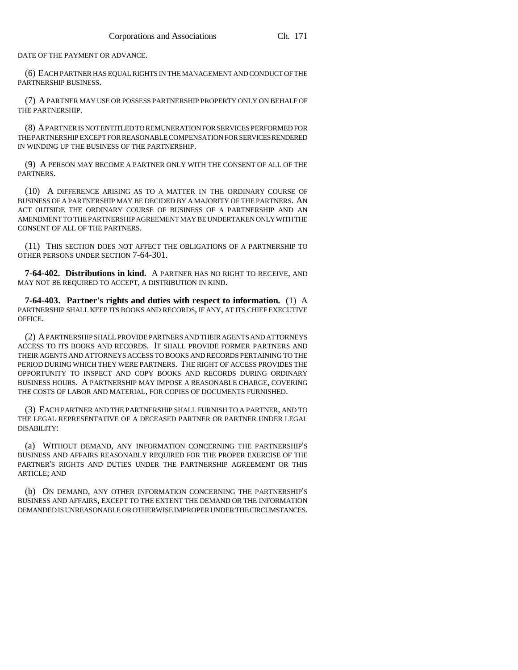DATE OF THE PAYMENT OR ADVANCE.

(6) EACH PARTNER HAS EQUAL RIGHTS IN THE MANAGEMENT AND CONDUCT OF THE PARTNERSHIP BUSINESS.

(7) A PARTNER MAY USE OR POSSESS PARTNERSHIP PROPERTY ONLY ON BEHALF OF THE PARTNERSHIP.

(8) A PARTNER IS NOT ENTITLED TO REMUNERATION FOR SERVICES PERFORMED FOR THE PARTNERSHIP EXCEPT FOR REASONABLE COMPENSATION FOR SERVICES RENDERED IN WINDING UP THE BUSINESS OF THE PARTNERSHIP.

(9) A PERSON MAY BECOME A PARTNER ONLY WITH THE CONSENT OF ALL OF THE PARTNERS.

(10) A DIFFERENCE ARISING AS TO A MATTER IN THE ORDINARY COURSE OF BUSINESS OF A PARTNERSHIP MAY BE DECIDED BY A MAJORITY OF THE PARTNERS. AN ACT OUTSIDE THE ORDINARY COURSE OF BUSINESS OF A PARTNERSHIP AND AN AMENDMENT TO THE PARTNERSHIP AGREEMENT MAY BE UNDERTAKEN ONLY WITH THE CONSENT OF ALL OF THE PARTNERS.

(11) THIS SECTION DOES NOT AFFECT THE OBLIGATIONS OF A PARTNERSHIP TO OTHER PERSONS UNDER SECTION 7-64-301.

**7-64-402. Distributions in kind.** A PARTNER HAS NO RIGHT TO RECEIVE, AND MAY NOT BE REQUIRED TO ACCEPT, A DISTRIBUTION IN KIND.

**7-64-403. Partner's rights and duties with respect to information.** (1) A PARTNERSHIP SHALL KEEP ITS BOOKS AND RECORDS, IF ANY, AT ITS CHIEF EXECUTIVE OFFICE.

(2) A PARTNERSHIP SHALL PROVIDE PARTNERS AND THEIR AGENTS AND ATTORNEYS ACCESS TO ITS BOOKS AND RECORDS. IT SHALL PROVIDE FORMER PARTNERS AND THEIR AGENTS AND ATTORNEYS ACCESS TO BOOKS AND RECORDS PERTAINING TO THE PERIOD DURING WHICH THEY WERE PARTNERS. THE RIGHT OF ACCESS PROVIDES THE OPPORTUNITY TO INSPECT AND COPY BOOKS AND RECORDS DURING ORDINARY BUSINESS HOURS. A PARTNERSHIP MAY IMPOSE A REASONABLE CHARGE, COVERING THE COSTS OF LABOR AND MATERIAL, FOR COPIES OF DOCUMENTS FURNISHED.

(3) EACH PARTNER AND THE PARTNERSHIP SHALL FURNISH TO A PARTNER, AND TO THE LEGAL REPRESENTATIVE OF A DECEASED PARTNER OR PARTNER UNDER LEGAL DISABILITY:

(a) WITHOUT DEMAND, ANY INFORMATION CONCERNING THE PARTNERSHIP'S BUSINESS AND AFFAIRS REASONABLY REQUIRED FOR THE PROPER EXERCISE OF THE PARTNER'S RIGHTS AND DUTIES UNDER THE PARTNERSHIP AGREEMENT OR THIS ARTICLE; AND

(b) ON DEMAND, ANY OTHER INFORMATION CONCERNING THE PARTNERSHIP'S BUSINESS AND AFFAIRS, EXCEPT TO THE EXTENT THE DEMAND OR THE INFORMATION DEMANDED IS UNREASONABLE OR OTHERWISE IMPROPER UNDER THE CIRCUMSTANCES.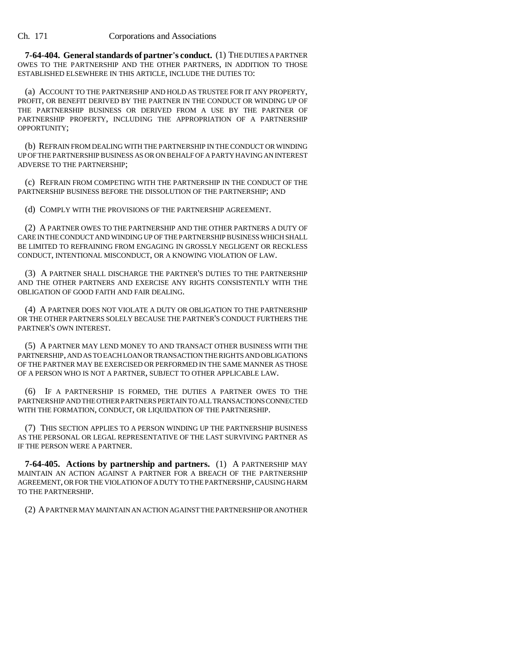**7-64-404. General standards of partner's conduct.** (1) THE DUTIES A PARTNER OWES TO THE PARTNERSHIP AND THE OTHER PARTNERS, IN ADDITION TO THOSE ESTABLISHED ELSEWHERE IN THIS ARTICLE, INCLUDE THE DUTIES TO:

(a) ACCOUNT TO THE PARTNERSHIP AND HOLD AS TRUSTEE FOR IT ANY PROPERTY, PROFIT, OR BENEFIT DERIVED BY THE PARTNER IN THE CONDUCT OR WINDING UP OF THE PARTNERSHIP BUSINESS OR DERIVED FROM A USE BY THE PARTNER OF PARTNERSHIP PROPERTY, INCLUDING THE APPROPRIATION OF A PARTNERSHIP OPPORTUNITY;

(b) REFRAIN FROM DEALING WITH THE PARTNERSHIP IN THE CONDUCT OR WINDING UP OF THE PARTNERSHIP BUSINESS AS OR ON BEHALF OF A PARTY HAVING AN INTEREST ADVERSE TO THE PARTNERSHIP;

(c) REFRAIN FROM COMPETING WITH THE PARTNERSHIP IN THE CONDUCT OF THE PARTNERSHIP BUSINESS BEFORE THE DISSOLUTION OF THE PARTNERSHIP; AND

(d) COMPLY WITH THE PROVISIONS OF THE PARTNERSHIP AGREEMENT.

(2) A PARTNER OWES TO THE PARTNERSHIP AND THE OTHER PARTNERS A DUTY OF CARE IN THE CONDUCT AND WINDING UP OF THE PARTNERSHIP BUSINESS WHICH SHALL BE LIMITED TO REFRAINING FROM ENGAGING IN GROSSLY NEGLIGENT OR RECKLESS CONDUCT, INTENTIONAL MISCONDUCT, OR A KNOWING VIOLATION OF LAW.

(3) A PARTNER SHALL DISCHARGE THE PARTNER'S DUTIES TO THE PARTNERSHIP AND THE OTHER PARTNERS AND EXERCISE ANY RIGHTS CONSISTENTLY WITH THE OBLIGATION OF GOOD FAITH AND FAIR DEALING.

(4) A PARTNER DOES NOT VIOLATE A DUTY OR OBLIGATION TO THE PARTNERSHIP OR THE OTHER PARTNERS SOLELY BECAUSE THE PARTNER'S CONDUCT FURTHERS THE PARTNER'S OWN INTEREST.

(5) A PARTNER MAY LEND MONEY TO AND TRANSACT OTHER BUSINESS WITH THE PARTNERSHIP, AND AS TO EACH LOAN OR TRANSACTION THE RIGHTS AND OBLIGATIONS OF THE PARTNER MAY BE EXERCISED OR PERFORMED IN THE SAME MANNER AS THOSE OF A PERSON WHO IS NOT A PARTNER, SUBJECT TO OTHER APPLICABLE LAW.

(6) IF A PARTNERSHIP IS FORMED, THE DUTIES A PARTNER OWES TO THE PARTNERSHIP AND THE OTHER PARTNERS PERTAIN TO ALL TRANSACTIONS CONNECTED WITH THE FORMATION, CONDUCT, OR LIQUIDATION OF THE PARTNERSHIP.

(7) THIS SECTION APPLIES TO A PERSON WINDING UP THE PARTNERSHIP BUSINESS AS THE PERSONAL OR LEGAL REPRESENTATIVE OF THE LAST SURVIVING PARTNER AS IF THE PERSON WERE A PARTNER.

**7-64-405. Actions by partnership and partners.** (1) A PARTNERSHIP MAY MAINTAIN AN ACTION AGAINST A PARTNER FOR A BREACH OF THE PARTNERSHIP AGREEMENT, OR FOR THE VIOLATION OF A DUTY TO THE PARTNERSHIP, CAUSING HARM TO THE PARTNERSHIP.

(2) A PARTNER MAY MAINTAIN AN ACTION AGAINST THE PARTNERSHIP OR ANOTHER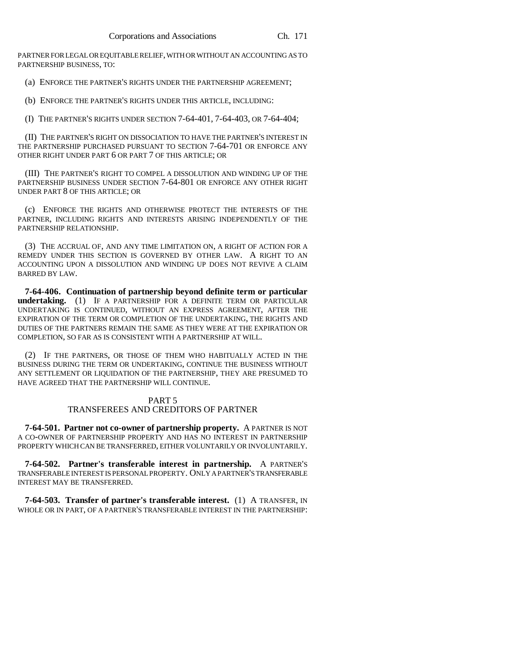PARTNER FOR LEGAL OR EQUITABLE RELIEF, WITH OR WITHOUT AN ACCOUNTING AS TO PARTNERSHIP BUSINESS, TO:

(a) ENFORCE THE PARTNER'S RIGHTS UNDER THE PARTNERSHIP AGREEMENT;

(b) ENFORCE THE PARTNER'S RIGHTS UNDER THIS ARTICLE, INCLUDING:

(I) THE PARTNER'S RIGHTS UNDER SECTION 7-64-401, 7-64-403, OR 7-64-404;

(II) THE PARTNER'S RIGHT ON DISSOCIATION TO HAVE THE PARTNER'S INTEREST IN THE PARTNERSHIP PURCHASED PURSUANT TO SECTION 7-64-701 OR ENFORCE ANY OTHER RIGHT UNDER PART 6 OR PART 7 OF THIS ARTICLE; OR

(III) THE PARTNER'S RIGHT TO COMPEL A DISSOLUTION AND WINDING UP OF THE PARTNERSHIP BUSINESS UNDER SECTION 7-64-801 OR ENFORCE ANY OTHER RIGHT UNDER PART 8 OF THIS ARTICLE; OR

(c) ENFORCE THE RIGHTS AND OTHERWISE PROTECT THE INTERESTS OF THE PARTNER, INCLUDING RIGHTS AND INTERESTS ARISING INDEPENDENTLY OF THE PARTNERSHIP RELATIONSHIP.

(3) THE ACCRUAL OF, AND ANY TIME LIMITATION ON, A RIGHT OF ACTION FOR A REMEDY UNDER THIS SECTION IS GOVERNED BY OTHER LAW. A RIGHT TO AN ACCOUNTING UPON A DISSOLUTION AND WINDING UP DOES NOT REVIVE A CLAIM BARRED BY LAW.

**7-64-406. Continuation of partnership beyond definite term or particular undertaking.** (1) IF A PARTNERSHIP FOR A DEFINITE TERM OR PARTICULAR UNDERTAKING IS CONTINUED, WITHOUT AN EXPRESS AGREEMENT, AFTER THE EXPIRATION OF THE TERM OR COMPLETION OF THE UNDERTAKING, THE RIGHTS AND DUTIES OF THE PARTNERS REMAIN THE SAME AS THEY WERE AT THE EXPIRATION OR COMPLETION, SO FAR AS IS CONSISTENT WITH A PARTNERSHIP AT WILL.

(2) IF THE PARTNERS, OR THOSE OF THEM WHO HABITUALLY ACTED IN THE BUSINESS DURING THE TERM OR UNDERTAKING, CONTINUE THE BUSINESS WITHOUT ANY SETTLEMENT OR LIQUIDATION OF THE PARTNERSHIP, THEY ARE PRESUMED TO HAVE AGREED THAT THE PARTNERSHIP WILL CONTINUE.

## PART 5 TRANSFEREES AND CREDITORS OF PARTNER

**7-64-501. Partner not co-owner of partnership property.** A PARTNER IS NOT A CO-OWNER OF PARTNERSHIP PROPERTY AND HAS NO INTEREST IN PARTNERSHIP PROPERTY WHICH CAN BE TRANSFERRED, EITHER VOLUNTARILY OR INVOLUNTARILY.

**7-64-502. Partner's transferable interest in partnership.** A PARTNER'S TRANSFERABLE INTEREST IS PERSONAL PROPERTY. ONLY A PARTNER'S TRANSFERABLE INTEREST MAY BE TRANSFERRED.

**7-64-503. Transfer of partner's transferable interest.** (1) A TRANSFER, IN WHOLE OR IN PART, OF A PARTNER'S TRANSFERABLE INTEREST IN THE PARTNERSHIP: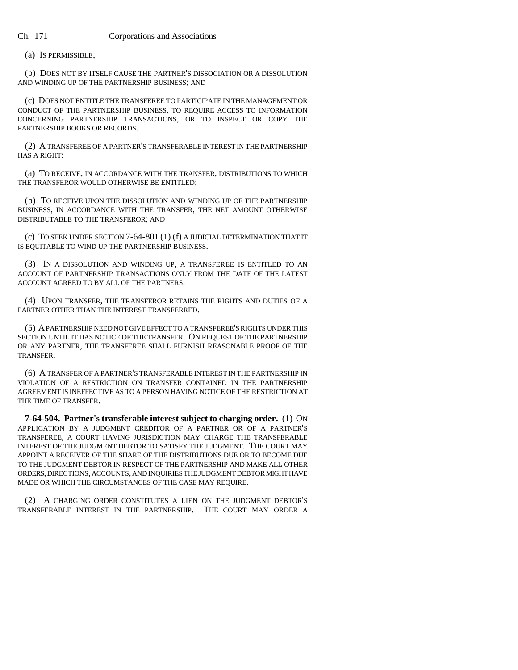(a) IS PERMISSIBLE;

(b) DOES NOT BY ITSELF CAUSE THE PARTNER'S DISSOCIATION OR A DISSOLUTION AND WINDING UP OF THE PARTNERSHIP BUSINESS; AND

(c) DOES NOT ENTITLE THE TRANSFEREE TO PARTICIPATE IN THE MANAGEMENT OR CONDUCT OF THE PARTNERSHIP BUSINESS, TO REQUIRE ACCESS TO INFORMATION CONCERNING PARTNERSHIP TRANSACTIONS, OR TO INSPECT OR COPY THE PARTNERSHIP BOOKS OR RECORDS.

(2) A TRANSFEREE OF A PARTNER'S TRANSFERABLE INTEREST IN THE PARTNERSHIP HAS A RIGHT:

(a) TO RECEIVE, IN ACCORDANCE WITH THE TRANSFER, DISTRIBUTIONS TO WHICH THE TRANSFEROR WOULD OTHERWISE BE ENTITLED;

(b) TO RECEIVE UPON THE DISSOLUTION AND WINDING UP OF THE PARTNERSHIP BUSINESS, IN ACCORDANCE WITH THE TRANSFER, THE NET AMOUNT OTHERWISE DISTRIBUTABLE TO THE TRANSFEROR; AND

(c) TO SEEK UNDER SECTION 7-64-801 (1) (f) A JUDICIAL DETERMINATION THAT IT IS EQUITABLE TO WIND UP THE PARTNERSHIP BUSINESS.

(3) IN A DISSOLUTION AND WINDING UP, A TRANSFEREE IS ENTITLED TO AN ACCOUNT OF PARTNERSHIP TRANSACTIONS ONLY FROM THE DATE OF THE LATEST ACCOUNT AGREED TO BY ALL OF THE PARTNERS.

(4) UPON TRANSFER, THE TRANSFEROR RETAINS THE RIGHTS AND DUTIES OF A PARTNER OTHER THAN THE INTEREST TRANSFERRED.

(5) A PARTNERSHIP NEED NOT GIVE EFFECT TO A TRANSFEREE'S RIGHTS UNDER THIS SECTION UNTIL IT HAS NOTICE OF THE TRANSFER. ON REQUEST OF THE PARTNERSHIP OR ANY PARTNER, THE TRANSFEREE SHALL FURNISH REASONABLE PROOF OF THE TRANSFER.

(6) A TRANSFER OF A PARTNER'S TRANSFERABLE INTEREST IN THE PARTNERSHIP IN VIOLATION OF A RESTRICTION ON TRANSFER CONTAINED IN THE PARTNERSHIP AGREEMENT IS INEFFECTIVE AS TO A PERSON HAVING NOTICE OF THE RESTRICTION AT THE TIME OF TRANSFER.

**7-64-504. Partner's transferable interest subject to charging order.** (1) ON APPLICATION BY A JUDGMENT CREDITOR OF A PARTNER OR OF A PARTNER'S TRANSFEREE, A COURT HAVING JURISDICTION MAY CHARGE THE TRANSFERABLE INTEREST OF THE JUDGMENT DEBTOR TO SATISFY THE JUDGMENT. THE COURT MAY APPOINT A RECEIVER OF THE SHARE OF THE DISTRIBUTIONS DUE OR TO BECOME DUE TO THE JUDGMENT DEBTOR IN RESPECT OF THE PARTNERSHIP AND MAKE ALL OTHER ORDERS, DIRECTIONS, ACCOUNTS, AND INQUIRIES THE JUDGMENT DEBTOR MIGHT HAVE MADE OR WHICH THE CIRCUMSTANCES OF THE CASE MAY REQUIRE.

(2) A CHARGING ORDER CONSTITUTES A LIEN ON THE JUDGMENT DEBTOR'S TRANSFERABLE INTEREST IN THE PARTNERSHIP. THE COURT MAY ORDER A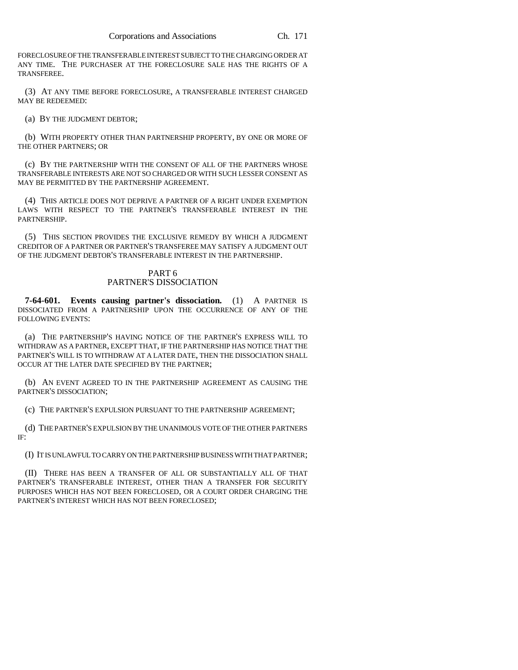FORECLOSURE OF THE TRANSFERABLE INTEREST SUBJECT TO THE CHARGING ORDER AT ANY TIME. THE PURCHASER AT THE FORECLOSURE SALE HAS THE RIGHTS OF A TRANSFEREE.

(3) AT ANY TIME BEFORE FORECLOSURE, A TRANSFERABLE INTEREST CHARGED MAY BE REDEEMED:

(a) BY THE JUDGMENT DEBTOR;

(b) WITH PROPERTY OTHER THAN PARTNERSHIP PROPERTY, BY ONE OR MORE OF THE OTHER PARTNERS; OR

(c) BY THE PARTNERSHIP WITH THE CONSENT OF ALL OF THE PARTNERS WHOSE TRANSFERABLE INTERESTS ARE NOT SO CHARGED OR WITH SUCH LESSER CONSENT AS MAY BE PERMITTED BY THE PARTNERSHIP AGREEMENT.

(4) THIS ARTICLE DOES NOT DEPRIVE A PARTNER OF A RIGHT UNDER EXEMPTION LAWS WITH RESPECT TO THE PARTNER'S TRANSFERABLE INTEREST IN THE PARTNERSHIP.

(5) THIS SECTION PROVIDES THE EXCLUSIVE REMEDY BY WHICH A JUDGMENT CREDITOR OF A PARTNER OR PARTNER'S TRANSFEREE MAY SATISFY A JUDGMENT OUT OF THE JUDGMENT DEBTOR'S TRANSFERABLE INTEREST IN THE PARTNERSHIP.

## PART 6 PARTNER'S DISSOCIATION

**7-64-601. Events causing partner's dissociation.** (1) A PARTNER IS DISSOCIATED FROM A PARTNERSHIP UPON THE OCCURRENCE OF ANY OF THE FOLLOWING EVENTS:

(a) THE PARTNERSHIP'S HAVING NOTICE OF THE PARTNER'S EXPRESS WILL TO WITHDRAW AS A PARTNER, EXCEPT THAT, IF THE PARTNERSHIP HAS NOTICE THAT THE PARTNER'S WILL IS TO WITHDRAW AT A LATER DATE, THEN THE DISSOCIATION SHALL OCCUR AT THE LATER DATE SPECIFIED BY THE PARTNER;

(b) AN EVENT AGREED TO IN THE PARTNERSHIP AGREEMENT AS CAUSING THE PARTNER'S DISSOCIATION;

(c) THE PARTNER'S EXPULSION PURSUANT TO THE PARTNERSHIP AGREEMENT;

(d) THE PARTNER'S EXPULSION BY THE UNANIMOUS VOTE OF THE OTHER PARTNERS IF:

(I) IT IS UNLAWFUL TO CARRY ON THE PARTNERSHIP BUSINESS WITH THAT PARTNER;

(II) THERE HAS BEEN A TRANSFER OF ALL OR SUBSTANTIALLY ALL OF THAT PARTNER'S TRANSFERABLE INTEREST, OTHER THAN A TRANSFER FOR SECURITY PURPOSES WHICH HAS NOT BEEN FORECLOSED, OR A COURT ORDER CHARGING THE PARTNER'S INTEREST WHICH HAS NOT BEEN FORECLOSED;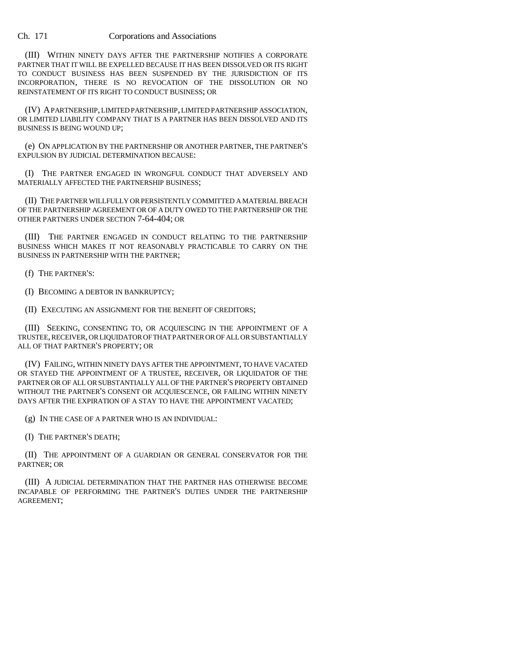(III) WITHIN NINETY DAYS AFTER THE PARTNERSHIP NOTIFIES A CORPORATE PARTNER THAT IT WILL BE EXPELLED BECAUSE IT HAS BEEN DISSOLVED OR ITS RIGHT TO CONDUCT BUSINESS HAS BEEN SUSPENDED BY THE JURISDICTION OF ITS INCORPORATION, THERE IS NO REVOCATION OF THE DISSOLUTION OR NO REINSTATEMENT OF ITS RIGHT TO CONDUCT BUSINESS; OR

(IV) A PARTNERSHIP, LIMITED PARTNERSHIP, LIMITED PARTNERSHIP ASSOCIATION, OR LIMITED LIABILITY COMPANY THAT IS A PARTNER HAS BEEN DISSOLVED AND ITS BUSINESS IS BEING WOUND UP;

(e) ON APPLICATION BY THE PARTNERSHIP OR ANOTHER PARTNER, THE PARTNER'S EXPULSION BY JUDICIAL DETERMINATION BECAUSE:

(I) THE PARTNER ENGAGED IN WRONGFUL CONDUCT THAT ADVERSELY AND MATERIALLY AFFECTED THE PARTNERSHIP BUSINESS;

(II) THE PARTNER WILLFULLY OR PERSISTENTLY COMMITTED A MATERIAL BREACH OF THE PARTNERSHIP AGREEMENT OR OF A DUTY OWED TO THE PARTNERSHIP OR THE OTHER PARTNERS UNDER SECTION 7-64-404; OR

(III) THE PARTNER ENGAGED IN CONDUCT RELATING TO THE PARTNERSHIP BUSINESS WHICH MAKES IT NOT REASONABLY PRACTICABLE TO CARRY ON THE BUSINESS IN PARTNERSHIP WITH THE PARTNER;

(f) THE PARTNER'S:

(I) BECOMING A DEBTOR IN BANKRUPTCY;

(II) EXECUTING AN ASSIGNMENT FOR THE BENEFIT OF CREDITORS;

(III) SEEKING, CONSENTING TO, OR ACQUIESCING IN THE APPOINTMENT OF A TRUSTEE, RECEIVER, OR LIQUIDATOR OF THAT PARTNER OR OF ALL OR SUBSTANTIALLY ALL OF THAT PARTNER'S PROPERTY; OR

(IV) FAILING, WITHIN NINETY DAYS AFTER THE APPOINTMENT, TO HAVE VACATED OR STAYED THE APPOINTMENT OF A TRUSTEE, RECEIVER, OR LIQUIDATOR OF THE PARTNER OR OF ALL OR SUBSTANTIALLY ALL OF THE PARTNER'S PROPERTY OBTAINED WITHOUT THE PARTNER'S CONSENT OR ACQUIESCENCE, OR FAILING WITHIN NINETY DAYS AFTER THE EXPIRATION OF A STAY TO HAVE THE APPOINTMENT VACATED;

(g) IN THE CASE OF A PARTNER WHO IS AN INDIVIDUAL:

(I) THE PARTNER'S DEATH;

(II) THE APPOINTMENT OF A GUARDIAN OR GENERAL CONSERVATOR FOR THE PARTNER; OR

(III) A JUDICIAL DETERMINATION THAT THE PARTNER HAS OTHERWISE BECOME INCAPABLE OF PERFORMING THE PARTNER'S DUTIES UNDER THE PARTNERSHIP AGREEMENT;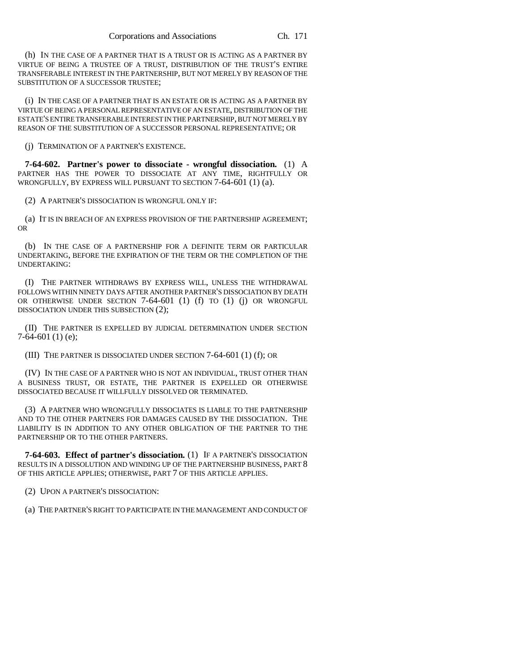(h) IN THE CASE OF A PARTNER THAT IS A TRUST OR IS ACTING AS A PARTNER BY VIRTUE OF BEING A TRUSTEE OF A TRUST, DISTRIBUTION OF THE TRUST'S ENTIRE TRANSFERABLE INTEREST IN THE PARTNERSHIP, BUT NOT MERELY BY REASON OF THE SUBSTITUTION OF A SUCCESSOR TRUSTEE;

(i) IN THE CASE OF A PARTNER THAT IS AN ESTATE OR IS ACTING AS A PARTNER BY VIRTUE OF BEING A PERSONAL REPRESENTATIVE OF AN ESTATE, DISTRIBUTION OF THE ESTATE'S ENTIRE TRANSFERABLE INTEREST IN THE PARTNERSHIP, BUT NOT MERELY BY REASON OF THE SUBSTITUTION OF A SUCCESSOR PERSONAL REPRESENTATIVE; OR

(j) TERMINATION OF A PARTNER'S EXISTENCE.

**7-64-602. Partner's power to dissociate - wrongful dissociation.** (1) A PARTNER HAS THE POWER TO DISSOCIATE AT ANY TIME, RIGHTFULLY OR WRONGFULLY, BY EXPRESS WILL PURSUANT TO SECTION 7-64-601 (1) (a).

(2) A PARTNER'S DISSOCIATION IS WRONGFUL ONLY IF:

(a) IT IS IN BREACH OF AN EXPRESS PROVISION OF THE PARTNERSHIP AGREEMENT; OR

(b) IN THE CASE OF A PARTNERSHIP FOR A DEFINITE TERM OR PARTICULAR UNDERTAKING, BEFORE THE EXPIRATION OF THE TERM OR THE COMPLETION OF THE UNDERTAKING:

(I) THE PARTNER WITHDRAWS BY EXPRESS WILL, UNLESS THE WITHDRAWAL FOLLOWS WITHIN NINETY DAYS AFTER ANOTHER PARTNER'S DISSOCIATION BY DEATH OR OTHERWISE UNDER SECTION 7-64-601 (1) (f) TO (1) (j) OR WRONGFUL DISSOCIATION UNDER THIS SUBSECTION (2);

(II) THE PARTNER IS EXPELLED BY JUDICIAL DETERMINATION UNDER SECTION  $7-64-601(1)$  (e);

(III) THE PARTNER IS DISSOCIATED UNDER SECTION 7-64-601 (1) (f); OR

(IV) IN THE CASE OF A PARTNER WHO IS NOT AN INDIVIDUAL, TRUST OTHER THAN A BUSINESS TRUST, OR ESTATE, THE PARTNER IS EXPELLED OR OTHERWISE DISSOCIATED BECAUSE IT WILLFULLY DISSOLVED OR TERMINATED.

(3) A PARTNER WHO WRONGFULLY DISSOCIATES IS LIABLE TO THE PARTNERSHIP AND TO THE OTHER PARTNERS FOR DAMAGES CAUSED BY THE DISSOCIATION. THE LIABILITY IS IN ADDITION TO ANY OTHER OBLIGATION OF THE PARTNER TO THE PARTNERSHIP OR TO THE OTHER PARTNERS.

**7-64-603. Effect of partner's dissociation.** (1) IF A PARTNER'S DISSOCIATION RESULTS IN A DISSOLUTION AND WINDING UP OF THE PARTNERSHIP BUSINESS, PART 8 OF THIS ARTICLE APPLIES; OTHERWISE, PART 7 OF THIS ARTICLE APPLIES.

(2) UPON A PARTNER'S DISSOCIATION:

(a) THE PARTNER'S RIGHT TO PARTICIPATE IN THE MANAGEMENT AND CONDUCT OF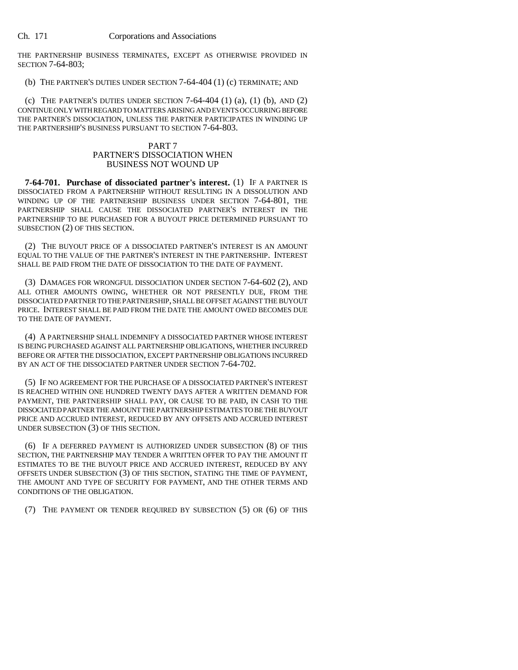THE PARTNERSHIP BUSINESS TERMINATES, EXCEPT AS OTHERWISE PROVIDED IN SECTION 7-64-803;

(b) THE PARTNER'S DUTIES UNDER SECTION 7-64-404 (1) (c) TERMINATE; AND

(c) THE PARTNER'S DUTIES UNDER SECTION  $7-64-404$  (1) (a), (1) (b), AND (2) CONTINUE ONLY WITH REGARD TO MATTERS ARISING AND EVENTS OCCURRING BEFORE THE PARTNER'S DISSOCIATION, UNLESS THE PARTNER PARTICIPATES IN WINDING UP THE PARTNERSHIP'S BUSINESS PURSUANT TO SECTION 7-64-803.

## PART 7 PARTNER'S DISSOCIATION WHEN BUSINESS NOT WOUND UP

**7-64-701. Purchase of dissociated partner's interest.** (1) IF A PARTNER IS DISSOCIATED FROM A PARTNERSHIP WITHOUT RESULTING IN A DISSOLUTION AND WINDING UP OF THE PARTNERSHIP BUSINESS UNDER SECTION 7-64-801, THE PARTNERSHIP SHALL CAUSE THE DISSOCIATED PARTNER'S INTEREST IN THE PARTNERSHIP TO BE PURCHASED FOR A BUYOUT PRICE DETERMINED PURSUANT TO SUBSECTION (2) OF THIS SECTION.

(2) THE BUYOUT PRICE OF A DISSOCIATED PARTNER'S INTEREST IS AN AMOUNT EQUAL TO THE VALUE OF THE PARTNER'S INTEREST IN THE PARTNERSHIP. INTEREST SHALL BE PAID FROM THE DATE OF DISSOCIATION TO THE DATE OF PAYMENT.

(3) DAMAGES FOR WRONGFUL DISSOCIATION UNDER SECTION 7-64-602 (2), AND ALL OTHER AMOUNTS OWING, WHETHER OR NOT PRESENTLY DUE, FROM THE DISSOCIATED PARTNER TO THE PARTNERSHIP, SHALL BE OFFSET AGAINST THE BUYOUT PRICE. INTEREST SHALL BE PAID FROM THE DATE THE AMOUNT OWED BECOMES DUE TO THE DATE OF PAYMENT.

(4) A PARTNERSHIP SHALL INDEMNIFY A DISSOCIATED PARTNER WHOSE INTEREST IS BEING PURCHASED AGAINST ALL PARTNERSHIP OBLIGATIONS, WHETHER INCURRED BEFORE OR AFTER THE DISSOCIATION, EXCEPT PARTNERSHIP OBLIGATIONS INCURRED BY AN ACT OF THE DISSOCIATED PARTNER UNDER SECTION 7-64-702.

(5) IF NO AGREEMENT FOR THE PURCHASE OF A DISSOCIATED PARTNER'S INTEREST IS REACHED WITHIN ONE HUNDRED TWENTY DAYS AFTER A WRITTEN DEMAND FOR PAYMENT, THE PARTNERSHIP SHALL PAY, OR CAUSE TO BE PAID, IN CASH TO THE DISSOCIATED PARTNER THE AMOUNT THE PARTNERSHIP ESTIMATES TO BE THE BUYOUT PRICE AND ACCRUED INTEREST, REDUCED BY ANY OFFSETS AND ACCRUED INTEREST UNDER SUBSECTION (3) OF THIS SECTION.

(6) IF A DEFERRED PAYMENT IS AUTHORIZED UNDER SUBSECTION (8) OF THIS SECTION, THE PARTNERSHIP MAY TENDER A WRITTEN OFFER TO PAY THE AMOUNT IT ESTIMATES TO BE THE BUYOUT PRICE AND ACCRUED INTEREST, REDUCED BY ANY OFFSETS UNDER SUBSECTION (3) OF THIS SECTION, STATING THE TIME OF PAYMENT, THE AMOUNT AND TYPE OF SECURITY FOR PAYMENT, AND THE OTHER TERMS AND CONDITIONS OF THE OBLIGATION.

(7) THE PAYMENT OR TENDER REQUIRED BY SUBSECTION (5) OR (6) OF THIS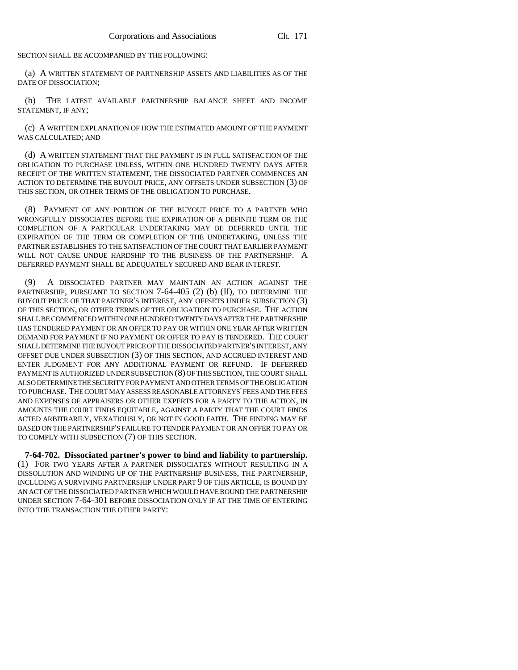SECTION SHALL BE ACCOMPANIED BY THE FOLLOWING:

(a) A WRITTEN STATEMENT OF PARTNERSHIP ASSETS AND LIABILITIES AS OF THE DATE OF DISSOCIATION;

(b) THE LATEST AVAILABLE PARTNERSHIP BALANCE SHEET AND INCOME STATEMENT, IF ANY;

(c) A WRITTEN EXPLANATION OF HOW THE ESTIMATED AMOUNT OF THE PAYMENT WAS CALCULATED; AND

(d) A WRITTEN STATEMENT THAT THE PAYMENT IS IN FULL SATISFACTION OF THE OBLIGATION TO PURCHASE UNLESS, WITHIN ONE HUNDRED TWENTY DAYS AFTER RECEIPT OF THE WRITTEN STATEMENT, THE DISSOCIATED PARTNER COMMENCES AN ACTION TO DETERMINE THE BUYOUT PRICE, ANY OFFSETS UNDER SUBSECTION (3) OF THIS SECTION, OR OTHER TERMS OF THE OBLIGATION TO PURCHASE.

(8) PAYMENT OF ANY PORTION OF THE BUYOUT PRICE TO A PARTNER WHO WRONGFULLY DISSOCIATES BEFORE THE EXPIRATION OF A DEFINITE TERM OR THE COMPLETION OF A PARTICULAR UNDERTAKING MAY BE DEFERRED UNTIL THE EXPIRATION OF THE TERM OR COMPLETION OF THE UNDERTAKING, UNLESS THE PARTNER ESTABLISHES TO THE SATISFACTION OF THE COURT THAT EARLIER PAYMENT WILL NOT CAUSE UNDUE HARDSHIP TO THE BUSINESS OF THE PARTNERSHIP. A DEFERRED PAYMENT SHALL BE ADEQUATELY SECURED AND BEAR INTEREST.

(9) A DISSOCIATED PARTNER MAY MAINTAIN AN ACTION AGAINST THE PARTNERSHIP, PURSUANT TO SECTION 7-64-405 (2) (b) (II), TO DETERMINE THE BUYOUT PRICE OF THAT PARTNER'S INTEREST, ANY OFFSETS UNDER SUBSECTION (3) OF THIS SECTION, OR OTHER TERMS OF THE OBLIGATION TO PURCHASE. THE ACTION SHALL BE COMMENCED WITHIN ONE HUNDRED TWENTY DAYS AFTER THE PARTNERSHIP HAS TENDERED PAYMENT OR AN OFFER TO PAY OR WITHIN ONE YEAR AFTER WRITTEN DEMAND FOR PAYMENT IF NO PAYMENT OR OFFER TO PAY IS TENDERED. THE COURT SHALL DETERMINE THE BUYOUT PRICE OF THE DISSOCIATED PARTNER'S INTEREST, ANY OFFSET DUE UNDER SUBSECTION (3) OF THIS SECTION, AND ACCRUED INTEREST AND ENTER JUDGMENT FOR ANY ADDITIONAL PAYMENT OR REFUND. IF DEFERRED PAYMENT IS AUTHORIZED UNDER SUBSECTION (8) OF THIS SECTION, THE COURT SHALL ALSO DETERMINE THE SECURITY FOR PAYMENT AND OTHER TERMS OF THE OBLIGATION TO PURCHASE. THE COURT MAY ASSESS REASONABLE ATTORNEYS' FEES AND THE FEES AND EXPENSES OF APPRAISERS OR OTHER EXPERTS FOR A PARTY TO THE ACTION, IN AMOUNTS THE COURT FINDS EQUITABLE, AGAINST A PARTY THAT THE COURT FINDS ACTED ARBITRARILY, VEXATIOUSLY, OR NOT IN GOOD FAITH. THE FINDING MAY BE BASED ON THE PARTNERSHIP'S FAILURE TO TENDER PAYMENT OR AN OFFER TO PAY OR TO COMPLY WITH SUBSECTION (7) OF THIS SECTION.

**7-64-702. Dissociated partner's power to bind and liability to partnership.** (1) FOR TWO YEARS AFTER A PARTNER DISSOCIATES WITHOUT RESULTING IN A DISSOLUTION AND WINDING UP OF THE PARTNERSHIP BUSINESS, THE PARTNERSHIP, INCLUDING A SURVIVING PARTNERSHIP UNDER PART 9 OF THIS ARTICLE, IS BOUND BY AN ACT OF THE DISSOCIATED PARTNER WHICH WOULD HAVE BOUND THE PARTNERSHIP UNDER SECTION 7-64-301 BEFORE DISSOCIATION ONLY IF AT THE TIME OF ENTERING INTO THE TRANSACTION THE OTHER PARTY: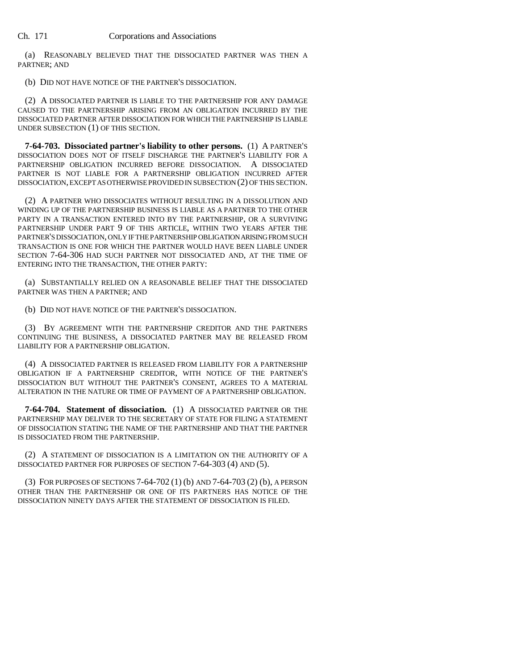(a) REASONABLY BELIEVED THAT THE DISSOCIATED PARTNER WAS THEN A PARTNER; AND

(b) DID NOT HAVE NOTICE OF THE PARTNER'S DISSOCIATION.

(2) A DISSOCIATED PARTNER IS LIABLE TO THE PARTNERSHIP FOR ANY DAMAGE CAUSED TO THE PARTNERSHIP ARISING FROM AN OBLIGATION INCURRED BY THE DISSOCIATED PARTNER AFTER DISSOCIATION FOR WHICH THE PARTNERSHIP IS LIABLE UNDER SUBSECTION (1) OF THIS SECTION.

**7-64-703. Dissociated partner's liability to other persons.** (1) A PARTNER'S DISSOCIATION DOES NOT OF ITSELF DISCHARGE THE PARTNER'S LIABILITY FOR A PARTNERSHIP OBLIGATION INCURRED BEFORE DISSOCIATION. A DISSOCIATED PARTNER IS NOT LIABLE FOR A PARTNERSHIP OBLIGATION INCURRED AFTER DISSOCIATION, EXCEPT AS OTHERWISE PROVIDED IN SUBSECTION (2) OF THIS SECTION.

(2) A PARTNER WHO DISSOCIATES WITHOUT RESULTING IN A DISSOLUTION AND WINDING UP OF THE PARTNERSHIP BUSINESS IS LIABLE AS A PARTNER TO THE OTHER PARTY IN A TRANSACTION ENTERED INTO BY THE PARTNERSHIP, OR A SURVIVING PARTNERSHIP UNDER PART 9 OF THIS ARTICLE, WITHIN TWO YEARS AFTER THE PARTNER'S DISSOCIATION, ONLY IF THE PARTNERSHIP OBLIGATION ARISING FROM SUCH TRANSACTION IS ONE FOR WHICH THE PARTNER WOULD HAVE BEEN LIABLE UNDER SECTION 7-64-306 HAD SUCH PARTNER NOT DISSOCIATED AND, AT THE TIME OF ENTERING INTO THE TRANSACTION, THE OTHER PARTY:

(a) SUBSTANTIALLY RELIED ON A REASONABLE BELIEF THAT THE DISSOCIATED PARTNER WAS THEN A PARTNER; AND

(b) DID NOT HAVE NOTICE OF THE PARTNER'S DISSOCIATION.

(3) BY AGREEMENT WITH THE PARTNERSHIP CREDITOR AND THE PARTNERS CONTINUING THE BUSINESS, A DISSOCIATED PARTNER MAY BE RELEASED FROM LIABILITY FOR A PARTNERSHIP OBLIGATION.

(4) A DISSOCIATED PARTNER IS RELEASED FROM LIABILITY FOR A PARTNERSHIP OBLIGATION IF A PARTNERSHIP CREDITOR, WITH NOTICE OF THE PARTNER'S DISSOCIATION BUT WITHOUT THE PARTNER'S CONSENT, AGREES TO A MATERIAL ALTERATION IN THE NATURE OR TIME OF PAYMENT OF A PARTNERSHIP OBLIGATION.

**7-64-704. Statement of dissociation.** (1) A DISSOCIATED PARTNER OR THE PARTNERSHIP MAY DELIVER TO THE SECRETARY OF STATE FOR FILING A STATEMENT OF DISSOCIATION STATING THE NAME OF THE PARTNERSHIP AND THAT THE PARTNER IS DISSOCIATED FROM THE PARTNERSHIP.

(2) A STATEMENT OF DISSOCIATION IS A LIMITATION ON THE AUTHORITY OF A DISSOCIATED PARTNER FOR PURPOSES OF SECTION 7-64-303 (4) AND (5).

(3) FOR PURPOSES OF SECTIONS 7-64-702 (1) (b) AND 7-64-703 (2) (b), A PERSON OTHER THAN THE PARTNERSHIP OR ONE OF ITS PARTNERS HAS NOTICE OF THE DISSOCIATION NINETY DAYS AFTER THE STATEMENT OF DISSOCIATION IS FILED.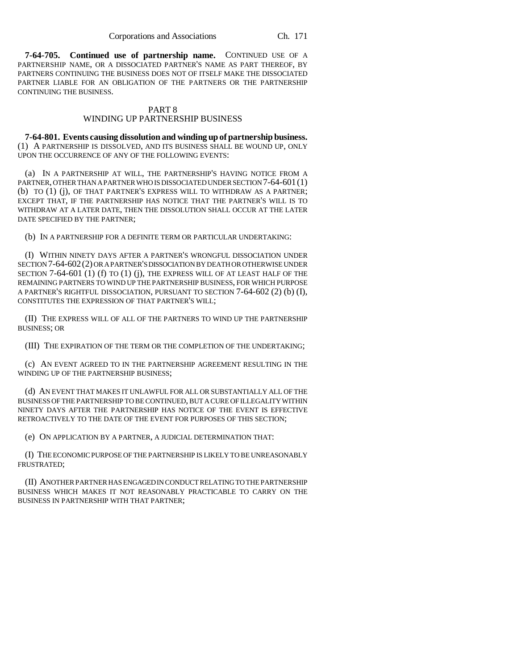**7-64-705. Continued use of partnership name.** CONTINUED USE OF A PARTNERSHIP NAME, OR A DISSOCIATED PARTNER'S NAME AS PART THEREOF, BY PARTNERS CONTINUING THE BUSINESS DOES NOT OF ITSELF MAKE THE DISSOCIATED PARTNER LIABLE FOR AN OBLIGATION OF THE PARTNERS OR THE PARTNERSHIP CONTINUING THE BUSINESS.

## PART 8 WINDING UP PARTNERSHIP BUSINESS

**7-64-801. Events causing dissolution and winding up of partnership business.** (1) A PARTNERSHIP IS DISSOLVED, AND ITS BUSINESS SHALL BE WOUND UP, ONLY UPON THE OCCURRENCE OF ANY OF THE FOLLOWING EVENTS:

(a) IN A PARTNERSHIP AT WILL, THE PARTNERSHIP'S HAVING NOTICE FROM A PARTNER, OTHER THAN A PARTNER WHO IS DISSOCIATED UNDER SECTION 7-64-601(1) (b) TO (1) (j), OF THAT PARTNER'S EXPRESS WILL TO WITHDRAW AS A PARTNER; EXCEPT THAT, IF THE PARTNERSHIP HAS NOTICE THAT THE PARTNER'S WILL IS TO WITHDRAW AT A LATER DATE, THEN THE DISSOLUTION SHALL OCCUR AT THE LATER DATE SPECIFIED BY THE PARTNER;

(b) IN A PARTNERSHIP FOR A DEFINITE TERM OR PARTICULAR UNDERTAKING:

(I) WITHIN NINETY DAYS AFTER A PARTNER'S WRONGFUL DISSOCIATION UNDER SECTION 7-64-602(2) OR A PARTNER'S DISSOCIATION BY DEATH OR OTHERWISE UNDER SECTION 7-64-601 (1) (f) TO (1) (j), THE EXPRESS WILL OF AT LEAST HALF OF THE REMAINING PARTNERS TO WIND UP THE PARTNERSHIP BUSINESS, FOR WHICH PURPOSE A PARTNER'S RIGHTFUL DISSOCIATION, PURSUANT TO SECTION 7-64-602 (2) (b) (I), CONSTITUTES THE EXPRESSION OF THAT PARTNER'S WILL;

(II) THE EXPRESS WILL OF ALL OF THE PARTNERS TO WIND UP THE PARTNERSHIP BUSINESS; OR

(III) THE EXPIRATION OF THE TERM OR THE COMPLETION OF THE UNDERTAKING;

(c) AN EVENT AGREED TO IN THE PARTNERSHIP AGREEMENT RESULTING IN THE WINDING UP OF THE PARTNERSHIP BUSINESS;

(d) AN EVENT THAT MAKES IT UNLAWFUL FOR ALL OR SUBSTANTIALLY ALL OF THE BUSINESS OF THE PARTNERSHIP TO BE CONTINUED, BUT A CURE OF ILLEGALITY WITHIN NINETY DAYS AFTER THE PARTNERSHIP HAS NOTICE OF THE EVENT IS EFFECTIVE RETROACTIVELY TO THE DATE OF THE EVENT FOR PURPOSES OF THIS SECTION;

(e) ON APPLICATION BY A PARTNER, A JUDICIAL DETERMINATION THAT:

(I) THE ECONOMIC PURPOSE OF THE PARTNERSHIP IS LIKELY TO BE UNREASONABLY FRUSTRATED;

(II) ANOTHER PARTNER HAS ENGAGED IN CONDUCT RELATING TO THE PARTNERSHIP BUSINESS WHICH MAKES IT NOT REASONABLY PRACTICABLE TO CARRY ON THE BUSINESS IN PARTNERSHIP WITH THAT PARTNER;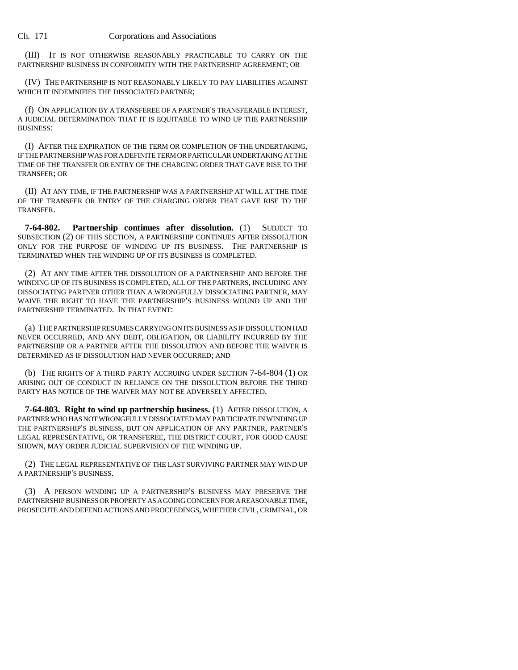(III) IT IS NOT OTHERWISE REASONABLY PRACTICABLE TO CARRY ON THE PARTNERSHIP BUSINESS IN CONFORMITY WITH THE PARTNERSHIP AGREEMENT; OR

(IV) THE PARTNERSHIP IS NOT REASONABLY LIKELY TO PAY LIABILITIES AGAINST WHICH IT INDEMNIFIES THE DISSOCIATED PARTNER;

(f) ON APPLICATION BY A TRANSFEREE OF A PARTNER'S TRANSFERABLE INTEREST, A JUDICIAL DETERMINATION THAT IT IS EQUITABLE TO WIND UP THE PARTNERSHIP BUSINESS:

(I) AFTER THE EXPIRATION OF THE TERM OR COMPLETION OF THE UNDERTAKING, IF THE PARTNERSHIP WAS FOR A DEFINITE TERM OR PARTICULAR UNDERTAKING AT THE TIME OF THE TRANSFER OR ENTRY OF THE CHARGING ORDER THAT GAVE RISE TO THE TRANSFER; OR

(II) AT ANY TIME, IF THE PARTNERSHIP WAS A PARTNERSHIP AT WILL AT THE TIME OF THE TRANSFER OR ENTRY OF THE CHARGING ORDER THAT GAVE RISE TO THE TRANSFER.

**7-64-802. Partnership continues after dissolution.** (1) SUBJECT TO SUBSECTION (2) OF THIS SECTION, A PARTNERSHIP CONTINUES AFTER DISSOLUTION ONLY FOR THE PURPOSE OF WINDING UP ITS BUSINESS. THE PARTNERSHIP IS TERMINATED WHEN THE WINDING UP OF ITS BUSINESS IS COMPLETED.

(2) AT ANY TIME AFTER THE DISSOLUTION OF A PARTNERSHIP AND BEFORE THE WINDING UP OF ITS BUSINESS IS COMPLETED, ALL OF THE PARTNERS, INCLUDING ANY DISSOCIATING PARTNER OTHER THAN A WRONGFULLY DISSOCIATING PARTNER, MAY WAIVE THE RIGHT TO HAVE THE PARTNERSHIP'S BUSINESS WOUND UP AND THE PARTNERSHIP TERMINATED. IN THAT EVENT:

(a) THE PARTNERSHIP RESUMES CARRYING ON ITS BUSINESS AS IF DISSOLUTION HAD NEVER OCCURRED, AND ANY DEBT, OBLIGATION, OR LIABILITY INCURRED BY THE PARTNERSHIP OR A PARTNER AFTER THE DISSOLUTION AND BEFORE THE WAIVER IS DETERMINED AS IF DISSOLUTION HAD NEVER OCCURRED; AND

(b) THE RIGHTS OF A THIRD PARTY ACCRUING UNDER SECTION 7-64-804 (1) OR ARISING OUT OF CONDUCT IN RELIANCE ON THE DISSOLUTION BEFORE THE THIRD PARTY HAS NOTICE OF THE WAIVER MAY NOT BE ADVERSELY AFFECTED.

**7-64-803. Right to wind up partnership business.** (1) AFTER DISSOLUTION, A PARTNER WHO HAS NOT WRONGFULLY DISSOCIATED MAY PARTICIPATE IN WINDING UP THE PARTNERSHIP'S BUSINESS, BUT ON APPLICATION OF ANY PARTNER, PARTNER'S LEGAL REPRESENTATIVE, OR TRANSFEREE, THE DISTRICT COURT, FOR GOOD CAUSE SHOWN, MAY ORDER JUDICIAL SUPERVISION OF THE WINDING UP.

(2) THE LEGAL REPRESENTATIVE OF THE LAST SURVIVING PARTNER MAY WIND UP A PARTNERSHIP'S BUSINESS.

(3) A PERSON WINDING UP A PARTNERSHIP'S BUSINESS MAY PRESERVE THE PARTNERSHIP BUSINESS OR PROPERTY AS A GOING CONCERN FOR A REASONABLE TIME, PROSECUTE AND DEFEND ACTIONS AND PROCEEDINGS, WHETHER CIVIL, CRIMINAL, OR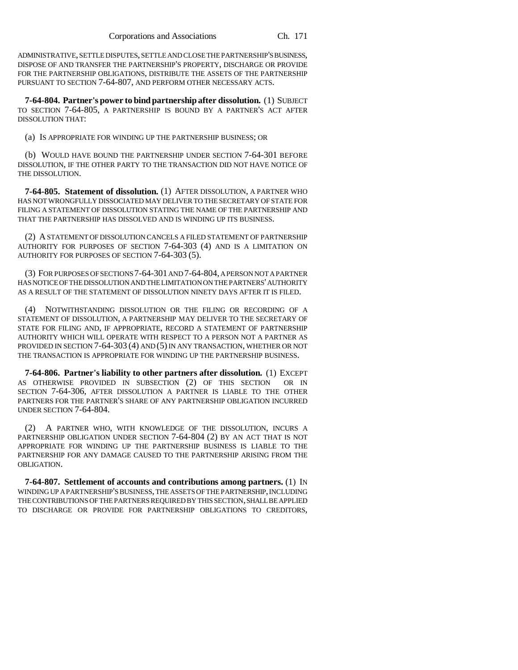ADMINISTRATIVE, SETTLE DISPUTES, SETTLE AND CLOSE THE PARTNERSHIP'S BUSINESS, DISPOSE OF AND TRANSFER THE PARTNERSHIP'S PROPERTY, DISCHARGE OR PROVIDE FOR THE PARTNERSHIP OBLIGATIONS, DISTRIBUTE THE ASSETS OF THE PARTNERSHIP PURSUANT TO SECTION 7-64-807, AND PERFORM OTHER NECESSARY ACTS.

**7-64-804. Partner's power to bind partnership after dissolution.** (1) SUBJECT TO SECTION 7-64-805, A PARTNERSHIP IS BOUND BY A PARTNER'S ACT AFTER DISSOLUTION THAT:

(a) IS APPROPRIATE FOR WINDING UP THE PARTNERSHIP BUSINESS; OR

(b) WOULD HAVE BOUND THE PARTNERSHIP UNDER SECTION 7-64-301 BEFORE DISSOLUTION, IF THE OTHER PARTY TO THE TRANSACTION DID NOT HAVE NOTICE OF THE DISSOLUTION.

**7-64-805. Statement of dissolution.** (1) AFTER DISSOLUTION, A PARTNER WHO HAS NOT WRONGFULLY DISSOCIATED MAY DELIVER TO THE SECRETARY OF STATE FOR FILING A STATEMENT OF DISSOLUTION STATING THE NAME OF THE PARTNERSHIP AND THAT THE PARTNERSHIP HAS DISSOLVED AND IS WINDING UP ITS BUSINESS.

(2) A STATEMENT OF DISSOLUTION CANCELS A FILED STATEMENT OF PARTNERSHIP AUTHORITY FOR PURPOSES OF SECTION 7-64-303 (4) AND IS A LIMITATION ON AUTHORITY FOR PURPOSES OF SECTION 7-64-303 (5).

(3) FOR PURPOSES OF SECTIONS 7-64-301 AND 7-64-804, A PERSON NOT A PARTNER HAS NOTICE OF THE DISSOLUTION AND THE LIMITATION ON THE PARTNERS' AUTHORITY AS A RESULT OF THE STATEMENT OF DISSOLUTION NINETY DAYS AFTER IT IS FILED.

(4) NOTWITHSTANDING DISSOLUTION OR THE FILING OR RECORDING OF A STATEMENT OF DISSOLUTION, A PARTNERSHIP MAY DELIVER TO THE SECRETARY OF STATE FOR FILING AND, IF APPROPRIATE, RECORD A STATEMENT OF PARTNERSHIP AUTHORITY WHICH WILL OPERATE WITH RESPECT TO A PERSON NOT A PARTNER AS PROVIDED IN SECTION 7-64-303 (4) AND (5) IN ANY TRANSACTION, WHETHER OR NOT THE TRANSACTION IS APPROPRIATE FOR WINDING UP THE PARTNERSHIP BUSINESS.

**7-64-806. Partner's liability to other partners after dissolution.** (1) EXCEPT AS OTHERWISE PROVIDED IN SUBSECTION (2) OF THIS SECTION OR IN SECTION 7-64-306, AFTER DISSOLUTION A PARTNER IS LIABLE TO THE OTHER PARTNERS FOR THE PARTNER'S SHARE OF ANY PARTNERSHIP OBLIGATION INCURRED UNDER SECTION 7-64-804.

(2) A PARTNER WHO, WITH KNOWLEDGE OF THE DISSOLUTION, INCURS A PARTNERSHIP OBLIGATION UNDER SECTION 7-64-804 (2) BY AN ACT THAT IS NOT APPROPRIATE FOR WINDING UP THE PARTNERSHIP BUSINESS IS LIABLE TO THE PARTNERSHIP FOR ANY DAMAGE CAUSED TO THE PARTNERSHIP ARISING FROM THE OBLIGATION.

**7-64-807. Settlement of accounts and contributions among partners.** (1) IN WINDING UP A PARTNERSHIP'S BUSINESS, THE ASSETS OF THE PARTNERSHIP, INCLUDING THE CONTRIBUTIONS OF THE PARTNERS REQUIRED BY THIS SECTION, SHALL BE APPLIED TO DISCHARGE OR PROVIDE FOR PARTNERSHIP OBLIGATIONS TO CREDITORS,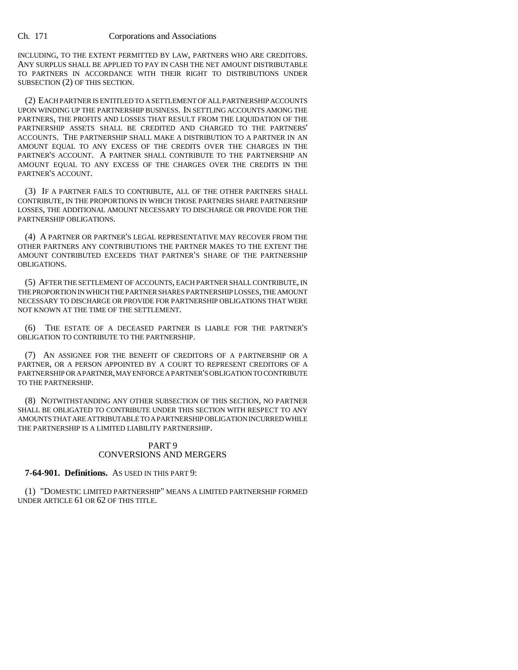INCLUDING, TO THE EXTENT PERMITTED BY LAW, PARTNERS WHO ARE CREDITORS. ANY SURPLUS SHALL BE APPLIED TO PAY IN CASH THE NET AMOUNT DISTRIBUTABLE TO PARTNERS IN ACCORDANCE WITH THEIR RIGHT TO DISTRIBUTIONS UNDER SUBSECTION (2) OF THIS SECTION.

(2) EACH PARTNER IS ENTITLED TO A SETTLEMENT OF ALL PARTNERSHIP ACCOUNTS UPON WINDING UP THE PARTNERSHIP BUSINESS. IN SETTLING ACCOUNTS AMONG THE PARTNERS, THE PROFITS AND LOSSES THAT RESULT FROM THE LIQUIDATION OF THE PARTNERSHIP ASSETS SHALL BE CREDITED AND CHARGED TO THE PARTNERS' ACCOUNTS. THE PARTNERSHIP SHALL MAKE A DISTRIBUTION TO A PARTNER IN AN AMOUNT EQUAL TO ANY EXCESS OF THE CREDITS OVER THE CHARGES IN THE PARTNER'S ACCOUNT. A PARTNER SHALL CONTRIBUTE TO THE PARTNERSHIP AN AMOUNT EQUAL TO ANY EXCESS OF THE CHARGES OVER THE CREDITS IN THE PARTNER'S ACCOUNT.

(3) IF A PARTNER FAILS TO CONTRIBUTE, ALL OF THE OTHER PARTNERS SHALL CONTRIBUTE, IN THE PROPORTIONS IN WHICH THOSE PARTNERS SHARE PARTNERSHIP LOSSES, THE ADDITIONAL AMOUNT NECESSARY TO DISCHARGE OR PROVIDE FOR THE PARTNERSHIP OBLIGATIONS.

(4) A PARTNER OR PARTNER'S LEGAL REPRESENTATIVE MAY RECOVER FROM THE OTHER PARTNERS ANY CONTRIBUTIONS THE PARTNER MAKES TO THE EXTENT THE AMOUNT CONTRIBUTED EXCEEDS THAT PARTNER'S SHARE OF THE PARTNERSHIP OBLIGATIONS.

(5) AFTER THE SETTLEMENT OF ACCOUNTS, EACH PARTNER SHALL CONTRIBUTE, IN THE PROPORTION IN WHICH THE PARTNER SHARES PARTNERSHIP LOSSES, THE AMOUNT NECESSARY TO DISCHARGE OR PROVIDE FOR PARTNERSHIP OBLIGATIONS THAT WERE NOT KNOWN AT THE TIME OF THE SETTLEMENT.

(6) THE ESTATE OF A DECEASED PARTNER IS LIABLE FOR THE PARTNER'S OBLIGATION TO CONTRIBUTE TO THE PARTNERSHIP.

(7) AN ASSIGNEE FOR THE BENEFIT OF CREDITORS OF A PARTNERSHIP OR A PARTNER, OR A PERSON APPOINTED BY A COURT TO REPRESENT CREDITORS OF A PARTNERSHIP OR A PARTNER, MAY ENFORCE A PARTNER'S OBLIGATION TO CONTRIBUTE TO THE PARTNERSHIP.

(8) NOTWITHSTANDING ANY OTHER SUBSECTION OF THIS SECTION, NO PARTNER SHALL BE OBLIGATED TO CONTRIBUTE UNDER THIS SECTION WITH RESPECT TO ANY AMOUNTS THAT ARE ATTRIBUTABLE TO A PARTNERSHIP OBLIGATION INCURRED WHILE THE PARTNERSHIP IS A LIMITED LIABILITY PARTNERSHIP.

## PART 9 CONVERSIONS AND MERGERS

**7-64-901. Definitions.** AS USED IN THIS PART 9:

(1) "DOMESTIC LIMITED PARTNERSHIP" MEANS A LIMITED PARTNERSHIP FORMED UNDER ARTICLE 61 OR 62 OF THIS TITLE.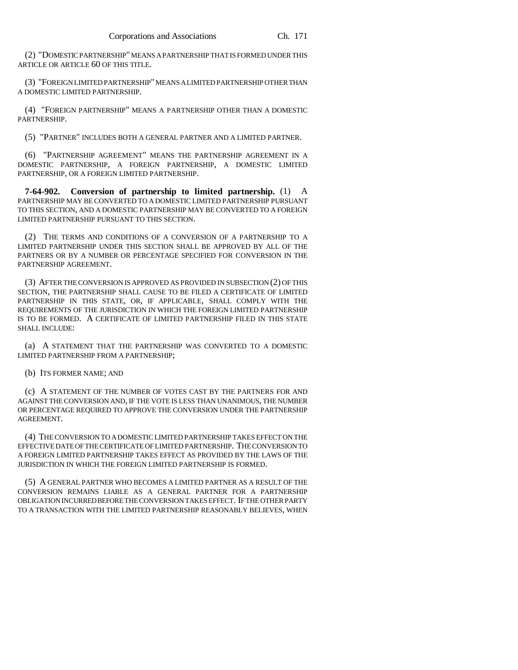(2) "DOMESTIC PARTNERSHIP" MEANS A PARTNERSHIP THAT IS FORMED UNDER THIS ARTICLE OR ARTICLE 60 OF THIS TITLE.

(3) "FOREIGN LIMITED PARTNERSHIP" MEANS A LIMITED PARTNERSHIP OTHER THAN A DOMESTIC LIMITED PARTNERSHIP.

(4) "FOREIGN PARTNERSHIP" MEANS A PARTNERSHIP OTHER THAN A DOMESTIC PARTNERSHIP.

(5) "PARTNER" INCLUDES BOTH A GENERAL PARTNER AND A LIMITED PARTNER.

(6) "PARTNERSHIP AGREEMENT" MEANS THE PARTNERSHIP AGREEMENT IN A DOMESTIC PARTNERSHIP, A FOREIGN PARTNERSHIP, A DOMESTIC LIMITED PARTNERSHIP, OR A FOREIGN LIMITED PARTNERSHIP.

**7-64-902. Conversion of partnership to limited partnership.** (1) A PARTNERSHIP MAY BE CONVERTED TO A DOMESTIC LIMITED PARTNERSHIP PURSUANT TO THIS SECTION, AND A DOMESTIC PARTNERSHIP MAY BE CONVERTED TO A FOREIGN LIMITED PARTNERSHIP PURSUANT TO THIS SECTION.

(2) THE TERMS AND CONDITIONS OF A CONVERSION OF A PARTNERSHIP TO A LIMITED PARTNERSHIP UNDER THIS SECTION SHALL BE APPROVED BY ALL OF THE PARTNERS OR BY A NUMBER OR PERCENTAGE SPECIFIED FOR CONVERSION IN THE PARTNERSHIP AGREEMENT.

(3) AFTER THE CONVERSION IS APPROVED AS PROVIDED IN SUBSECTION (2) OF THIS SECTION, THE PARTNERSHIP SHALL CAUSE TO BE FILED A CERTIFICATE OF LIMITED PARTNERSHIP IN THIS STATE, OR, IF APPLICABLE, SHALL COMPLY WITH THE REQUIREMENTS OF THE JURISDICTION IN WHICH THE FOREIGN LIMITED PARTNERSHIP IS TO BE FORMED. A CERTIFICATE OF LIMITED PARTNERSHIP FILED IN THIS STATE SHALL INCLUDE:

(a) A STATEMENT THAT THE PARTNERSHIP WAS CONVERTED TO A DOMESTIC LIMITED PARTNERSHIP FROM A PARTNERSHIP;

(b) ITS FORMER NAME; AND

(c) A STATEMENT OF THE NUMBER OF VOTES CAST BY THE PARTNERS FOR AND AGAINST THE CONVERSION AND, IF THE VOTE IS LESS THAN UNANIMOUS, THE NUMBER OR PERCENTAGE REQUIRED TO APPROVE THE CONVERSION UNDER THE PARTNERSHIP AGREEMENT.

(4) THE CONVERSION TO A DOMESTIC LIMITED PARTNERSHIP TAKES EFFECT ON THE EFFECTIVE DATE OF THE CERTIFICATE OF LIMITED PARTNERSHIP. THE CONVERSION TO A FOREIGN LIMITED PARTNERSHIP TAKES EFFECT AS PROVIDED BY THE LAWS OF THE JURISDICTION IN WHICH THE FOREIGN LIMITED PARTNERSHIP IS FORMED.

(5) A GENERAL PARTNER WHO BECOMES A LIMITED PARTNER AS A RESULT OF THE CONVERSION REMAINS LIABLE AS A GENERAL PARTNER FOR A PARTNERSHIP OBLIGATION INCURRED BEFORE THE CONVERSION TAKES EFFECT. IF THE OTHER PARTY TO A TRANSACTION WITH THE LIMITED PARTNERSHIP REASONABLY BELIEVES, WHEN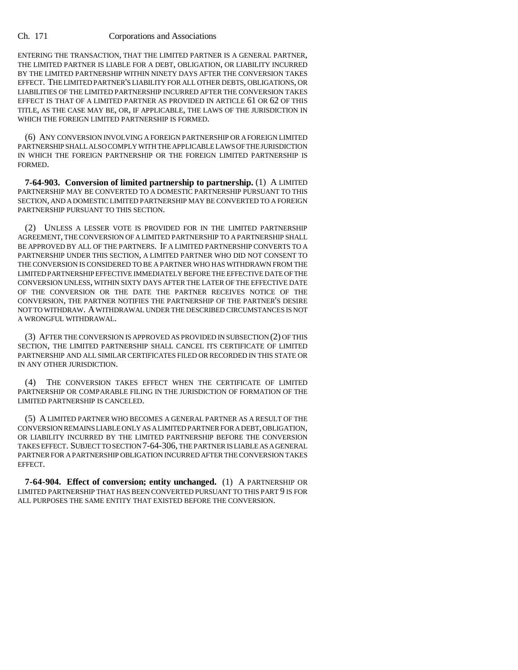ENTERING THE TRANSACTION, THAT THE LIMITED PARTNER IS A GENERAL PARTNER, THE LIMITED PARTNER IS LIABLE FOR A DEBT, OBLIGATION, OR LIABILITY INCURRED BY THE LIMITED PARTNERSHIP WITHIN NINETY DAYS AFTER THE CONVERSION TAKES EFFECT. THE LIMITED PARTNER'S LIABILITY FOR ALL OTHER DEBTS, OBLIGATIONS, OR LIABILITIES OF THE LIMITED PARTNERSHIP INCURRED AFTER THE CONVERSION TAKES EFFECT IS THAT OF A LIMITED PARTNER AS PROVIDED IN ARTICLE 61 OR 62 OF THIS TITLE, AS THE CASE MAY BE, OR, IF APPLICABLE, THE LAWS OF THE JURISDICTION IN WHICH THE FOREIGN LIMITED PARTNERSHIP IS FORMED.

(6) ANY CONVERSION INVOLVING A FOREIGN PARTNERSHIP OR A FOREIGN LIMITED PARTNERSHIP SHALL ALSO COMPLY WITH THE APPLICABLE LAWS OF THE JURISDICTION IN WHICH THE FOREIGN PARTNERSHIP OR THE FOREIGN LIMITED PARTNERSHIP IS FORMED.

**7-64-903. Conversion of limited partnership to partnership.** (1) A LIMITED PARTNERSHIP MAY BE CONVERTED TO A DOMESTIC PARTNERSHIP PURSUANT TO THIS SECTION, AND A DOMESTIC LIMITED PARTNERSHIP MAY BE CONVERTED TO A FOREIGN PARTNERSHIP PURSUANT TO THIS SECTION.

(2) UNLESS A LESSER VOTE IS PROVIDED FOR IN THE LIMITED PARTNERSHIP AGREEMENT, THE CONVERSION OF A LIMITED PARTNERSHIP TO A PARTNERSHIP SHALL BE APPROVED BY ALL OF THE PARTNERS. IF A LIMITED PARTNERSHIP CONVERTS TO A PARTNERSHIP UNDER THIS SECTION, A LIMITED PARTNER WHO DID NOT CONSENT TO THE CONVERSION IS CONSIDERED TO BE A PARTNER WHO HAS WITHDRAWN FROM THE LIMITED PARTNERSHIP EFFECTIVE IMMEDIATELY BEFORE THE EFFECTIVE DATE OF THE CONVERSION UNLESS, WITHIN SIXTY DAYS AFTER THE LATER OF THE EFFECTIVE DATE OF THE CONVERSION OR THE DATE THE PARTNER RECEIVES NOTICE OF THE CONVERSION, THE PARTNER NOTIFIES THE PARTNERSHIP OF THE PARTNER'S DESIRE NOT TO WITHDRAW. A WITHDRAWAL UNDER THE DESCRIBED CIRCUMSTANCES IS NOT A WRONGFUL WITHDRAWAL.

(3) AFTER THE CONVERSION IS APPROVED AS PROVIDED IN SUBSECTION (2) OF THIS SECTION, THE LIMITED PARTNERSHIP SHALL CANCEL ITS CERTIFICATE OF LIMITED PARTNERSHIP AND ALL SIMILAR CERTIFICATES FILED OR RECORDED IN THIS STATE OR IN ANY OTHER JURISDICTION.

(4) THE CONVERSION TAKES EFFECT WHEN THE CERTIFICATE OF LIMITED PARTNERSHIP OR COMPARABLE FILING IN THE JURISDICTION OF FORMATION OF THE LIMITED PARTNERSHIP IS CANCELED.

(5) A LIMITED PARTNER WHO BECOMES A GENERAL PARTNER AS A RESULT OF THE CONVERSION REMAINS LIABLE ONLY AS A LIMITED PARTNER FOR A DEBT, OBLIGATION, OR LIABILITY INCURRED BY THE LIMITED PARTNERSHIP BEFORE THE CONVERSION TAKES EFFECT. SUBJECT TO SECTION 7-64-306, THE PARTNER IS LIABLE AS A GENERAL PARTNER FOR A PARTNERSHIP OBLIGATION INCURRED AFTER THE CONVERSION TAKES EFFECT.

**7-64-904. Effect of conversion; entity unchanged.** (1) A PARTNERSHIP OR LIMITED PARTNERSHIP THAT HAS BEEN CONVERTED PURSUANT TO THIS PART 9 IS FOR ALL PURPOSES THE SAME ENTITY THAT EXISTED BEFORE THE CONVERSION.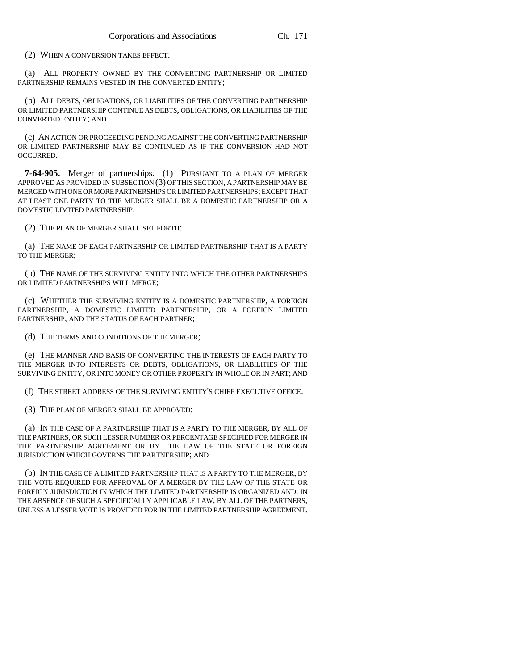(2) WHEN A CONVERSION TAKES EFFECT:

(a) ALL PROPERTY OWNED BY THE CONVERTING PARTNERSHIP OR LIMITED PARTNERSHIP REMAINS VESTED IN THE CONVERTED ENTITY;

(b) ALL DEBTS, OBLIGATIONS, OR LIABILITIES OF THE CONVERTING PARTNERSHIP OR LIMITED PARTNERSHIP CONTINUE AS DEBTS, OBLIGATIONS, OR LIABILITIES OF THE CONVERTED ENTITY; AND

(c) AN ACTION OR PROCEEDING PENDING AGAINST THE CONVERTING PARTNERSHIP OR LIMITED PARTNERSHIP MAY BE CONTINUED AS IF THE CONVERSION HAD NOT OCCURRED.

**7-64-905.** Merger of partnerships. (1) PURSUANT TO A PLAN OF MERGER APPROVED AS PROVIDED IN SUBSECTION (3) OF THIS SECTION, A PARTNERSHIP MAY BE MERGED WITH ONE OR MORE PARTNERSHIPS OR LIMITED PARTNERSHIPS; EXCEPT THAT AT LEAST ONE PARTY TO THE MERGER SHALL BE A DOMESTIC PARTNERSHIP OR A DOMESTIC LIMITED PARTNERSHIP.

(2) THE PLAN OF MERGER SHALL SET FORTH:

(a) THE NAME OF EACH PARTNERSHIP OR LIMITED PARTNERSHIP THAT IS A PARTY TO THE MERGER;

(b) THE NAME OF THE SURVIVING ENTITY INTO WHICH THE OTHER PARTNERSHIPS OR LIMITED PARTNERSHIPS WILL MERGE;

(c) WHETHER THE SURVIVING ENTITY IS A DOMESTIC PARTNERSHIP, A FOREIGN PARTNERSHIP, A DOMESTIC LIMITED PARTNERSHIP, OR A FOREIGN LIMITED PARTNERSHIP, AND THE STATUS OF EACH PARTNER;

(d) THE TERMS AND CONDITIONS OF THE MERGER;

(e) THE MANNER AND BASIS OF CONVERTING THE INTERESTS OF EACH PARTY TO THE MERGER INTO INTERESTS OR DEBTS, OBLIGATIONS, OR LIABILITIES OF THE SURVIVING ENTITY, OR INTO MONEY OR OTHER PROPERTY IN WHOLE OR IN PART; AND

(f) THE STREET ADDRESS OF THE SURVIVING ENTITY'S CHIEF EXECUTIVE OFFICE.

(3) THE PLAN OF MERGER SHALL BE APPROVED:

(a) IN THE CASE OF A PARTNERSHIP THAT IS A PARTY TO THE MERGER, BY ALL OF THE PARTNERS, OR SUCH LESSER NUMBER OR PERCENTAGE SPECIFIED FOR MERGER IN THE PARTNERSHIP AGREEMENT OR BY THE LAW OF THE STATE OR FOREIGN JURISDICTION WHICH GOVERNS THE PARTNERSHIP; AND

(b) IN THE CASE OF A LIMITED PARTNERSHIP THAT IS A PARTY TO THE MERGER, BY THE VOTE REQUIRED FOR APPROVAL OF A MERGER BY THE LAW OF THE STATE OR FOREIGN JURISDICTION IN WHICH THE LIMITED PARTNERSHIP IS ORGANIZED AND, IN THE ABSENCE OF SUCH A SPECIFICALLY APPLICABLE LAW, BY ALL OF THE PARTNERS, UNLESS A LESSER VOTE IS PROVIDED FOR IN THE LIMITED PARTNERSHIP AGREEMENT.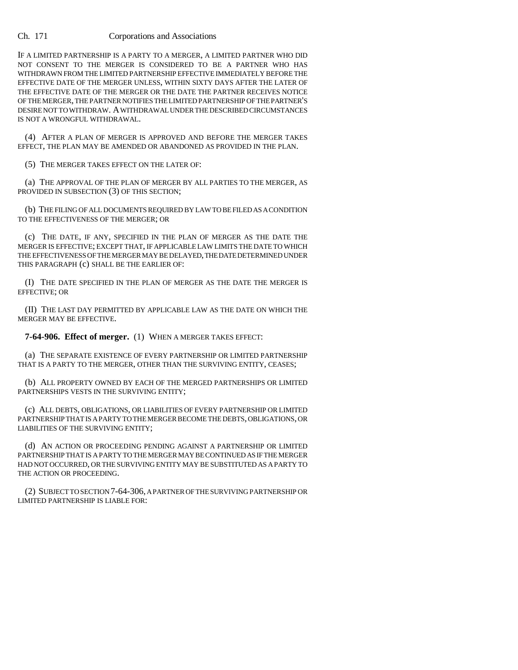IF A LIMITED PARTNERSHIP IS A PARTY TO A MERGER, A LIMITED PARTNER WHO DID NOT CONSENT TO THE MERGER IS CONSIDERED TO BE A PARTNER WHO HAS WITHDRAWN FROM THE LIMITED PARTNERSHIP EFFECTIVE IMMEDIATELY BEFORE THE EFFECTIVE DATE OF THE MERGER UNLESS, WITHIN SIXTY DAYS AFTER THE LATER OF THE EFFECTIVE DATE OF THE MERGER OR THE DATE THE PARTNER RECEIVES NOTICE OF THE MERGER, THE PARTNER NOTIFIES THE LIMITED PARTNERSHIP OF THE PARTNER'S DESIRE NOT TO WITHDRAW. A WITHDRAWAL UNDER THE DESCRIBED CIRCUMSTANCES IS NOT A WRONGFUL WITHDRAWAL.

(4) AFTER A PLAN OF MERGER IS APPROVED AND BEFORE THE MERGER TAKES EFFECT, THE PLAN MAY BE AMENDED OR ABANDONED AS PROVIDED IN THE PLAN.

(5) THE MERGER TAKES EFFECT ON THE LATER OF:

(a) THE APPROVAL OF THE PLAN OF MERGER BY ALL PARTIES TO THE MERGER, AS PROVIDED IN SUBSECTION (3) OF THIS SECTION;

(b) THE FILING OF ALL DOCUMENTS REQUIRED BY LAW TO BE FILED AS A CONDITION TO THE EFFECTIVENESS OF THE MERGER; OR

(c) THE DATE, IF ANY, SPECIFIED IN THE PLAN OF MERGER AS THE DATE THE MERGER IS EFFECTIVE; EXCEPT THAT, IF APPLICABLE LAW LIMITS THE DATE TO WHICH THE EFFECTIVENESS OF THE MERGER MAY BE DELAYED, THE DATE DETERMINED UNDER THIS PARAGRAPH (c) SHALL BE THE EARLIER OF:

(I) THE DATE SPECIFIED IN THE PLAN OF MERGER AS THE DATE THE MERGER IS EFFECTIVE; OR

(II) THE LAST DAY PERMITTED BY APPLICABLE LAW AS THE DATE ON WHICH THE MERGER MAY BE EFFECTIVE.

**7-64-906. Effect of merger.** (1) WHEN A MERGER TAKES EFFECT:

(a) THE SEPARATE EXISTENCE OF EVERY PARTNERSHIP OR LIMITED PARTNERSHIP THAT IS A PARTY TO THE MERGER, OTHER THAN THE SURVIVING ENTITY, CEASES;

(b) ALL PROPERTY OWNED BY EACH OF THE MERGED PARTNERSHIPS OR LIMITED PARTNERSHIPS VESTS IN THE SURVIVING ENTITY;

(c) ALL DEBTS, OBLIGATIONS, OR LIABILITIES OF EVERY PARTNERSHIP OR LIMITED PARTNERSHIP THAT IS A PARTY TO THE MERGER BECOME THE DEBTS, OBLIGATIONS, OR LIABILITIES OF THE SURVIVING ENTITY;

(d) AN ACTION OR PROCEEDING PENDING AGAINST A PARTNERSHIP OR LIMITED PARTNERSHIP THAT IS A PARTY TO THE MERGER MAY BE CONTINUED AS IF THE MERGER HAD NOT OCCURRED, OR THE SURVIVING ENTITY MAY BE SUBSTITUTED AS A PARTY TO THE ACTION OR PROCEEDING.

(2) SUBJECT TO SECTION 7-64-306, A PARTNER OF THE SURVIVING PARTNERSHIP OR LIMITED PARTNERSHIP IS LIABLE FOR: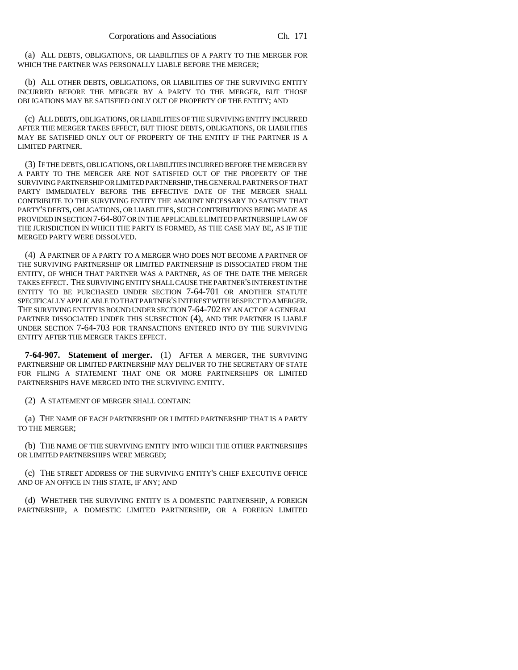(a) ALL DEBTS, OBLIGATIONS, OR LIABILITIES OF A PARTY TO THE MERGER FOR WHICH THE PARTNER WAS PERSONALLY LIABLE BEFORE THE MERGER;

(b) ALL OTHER DEBTS, OBLIGATIONS, OR LIABILITIES OF THE SURVIVING ENTITY INCURRED BEFORE THE MERGER BY A PARTY TO THE MERGER, BUT THOSE OBLIGATIONS MAY BE SATISFIED ONLY OUT OF PROPERTY OF THE ENTITY; AND

(c) ALL DEBTS, OBLIGATIONS, OR LIABILITIES OF THE SURVIVING ENTITY INCURRED AFTER THE MERGER TAKES EFFECT, BUT THOSE DEBTS, OBLIGATIONS, OR LIABILITIES MAY BE SATISFIED ONLY OUT OF PROPERTY OF THE ENTITY IF THE PARTNER IS A LIMITED PARTNER.

(3) IF THE DEBTS, OBLIGATIONS, OR LIABILITIES INCURRED BEFORE THE MERGER BY A PARTY TO THE MERGER ARE NOT SATISFIED OUT OF THE PROPERTY OF THE SURVIVING PARTNERSHIP OR LIMITED PARTNERSHIP, THE GENERAL PARTNERS OF THAT PARTY IMMEDIATELY BEFORE THE EFFECTIVE DATE OF THE MERGER SHALL CONTRIBUTE TO THE SURVIVING ENTITY THE AMOUNT NECESSARY TO SATISFY THAT PARTY'S DEBTS, OBLIGATIONS, OR LIABILITIES, SUCH CONTRIBUTIONS BEING MADE AS PROVIDED IN SECTION 7-64-807 OR IN THE APPLICABLE LIMITED PARTNERSHIP LAW OF THE JURISDICTION IN WHICH THE PARTY IS FORMED, AS THE CASE MAY BE, AS IF THE MERGED PARTY WERE DISSOLVED.

(4) A PARTNER OF A PARTY TO A MERGER WHO DOES NOT BECOME A PARTNER OF THE SURVIVING PARTNERSHIP OR LIMITED PARTNERSHIP IS DISSOCIATED FROM THE ENTITY, OF WHICH THAT PARTNER WAS A PARTNER, AS OF THE DATE THE MERGER TAKES EFFECT. THE SURVIVING ENTITY SHALL CAUSE THE PARTNER'S INTEREST IN THE ENTITY TO BE PURCHASED UNDER SECTION 7-64-701 OR ANOTHER STATUTE SPECIFICALLY APPLICABLE TO THAT PARTNER'S INTEREST WITH RESPECT TO A MERGER. THE SURVIVING ENTITY IS BOUND UNDER SECTION 7-64-702 BY AN ACT OF A GENERAL PARTNER DISSOCIATED UNDER THIS SUBSECTION (4), AND THE PARTNER IS LIABLE UNDER SECTION 7-64-703 FOR TRANSACTIONS ENTERED INTO BY THE SURVIVING ENTITY AFTER THE MERGER TAKES EFFECT.

**7-64-907. Statement of merger.** (1) AFTER A MERGER, THE SURVIVING PARTNERSHIP OR LIMITED PARTNERSHIP MAY DELIVER TO THE SECRETARY OF STATE FOR FILING A STATEMENT THAT ONE OR MORE PARTNERSHIPS OR LIMITED PARTNERSHIPS HAVE MERGED INTO THE SURVIVING ENTITY.

(2) A STATEMENT OF MERGER SHALL CONTAIN:

(a) THE NAME OF EACH PARTNERSHIP OR LIMITED PARTNERSHIP THAT IS A PARTY TO THE MERGER;

(b) THE NAME OF THE SURVIVING ENTITY INTO WHICH THE OTHER PARTNERSHIPS OR LIMITED PARTNERSHIPS WERE MERGED;

(c) THE STREET ADDRESS OF THE SURVIVING ENTITY'S CHIEF EXECUTIVE OFFICE AND OF AN OFFICE IN THIS STATE, IF ANY; AND

(d) WHETHER THE SURVIVING ENTITY IS A DOMESTIC PARTNERSHIP, A FOREIGN PARTNERSHIP, A DOMESTIC LIMITED PARTNERSHIP, OR A FOREIGN LIMITED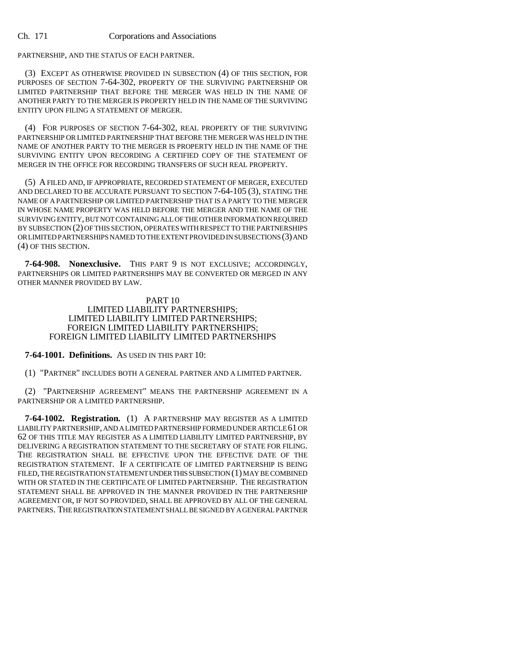PARTNERSHIP, AND THE STATUS OF EACH PARTNER.

(3) EXCEPT AS OTHERWISE PROVIDED IN SUBSECTION (4) OF THIS SECTION, FOR PURPOSES OF SECTION 7-64-302, PROPERTY OF THE SURVIVING PARTNERSHIP OR LIMITED PARTNERSHIP THAT BEFORE THE MERGER WAS HELD IN THE NAME OF ANOTHER PARTY TO THE MERGER IS PROPERTY HELD IN THE NAME OF THE SURVIVING ENTITY UPON FILING A STATEMENT OF MERGER.

(4) FOR PURPOSES OF SECTION 7-64-302, REAL PROPERTY OF THE SURVIVING PARTNERSHIP OR LIMITED PARTNERSHIP THAT BEFORE THE MERGER WAS HELD IN THE NAME OF ANOTHER PARTY TO THE MERGER IS PROPERTY HELD IN THE NAME OF THE SURVIVING ENTITY UPON RECORDING A CERTIFIED COPY OF THE STATEMENT OF MERGER IN THE OFFICE FOR RECORDING TRANSFERS OF SUCH REAL PROPERTY.

(5) A FILED AND, IF APPROPRIATE, RECORDED STATEMENT OF MERGER, EXECUTED AND DECLARED TO BE ACCURATE PURSUANT TO SECTION 7-64-105 (3), STATING THE NAME OF A PARTNERSHIP OR LIMITED PARTNERSHIP THAT IS A PARTY TO THE MERGER IN WHOSE NAME PROPERTY WAS HELD BEFORE THE MERGER AND THE NAME OF THE SURVIVING ENTITY, BUT NOT CONTAINING ALL OF THE OTHER INFORMATION REQUIRED BY SUBSECTION (2) OF THIS SECTION, OPERATES WITH RESPECT TO THE PARTNERSHIPS OR LIMITED PARTNERSHIPS NAMED TO THE EXTENT PROVIDED IN SUBSECTIONS (3) AND (4) OF THIS SECTION.

**7-64-908. Nonexclusive.** THIS PART 9 IS NOT EXCLUSIVE; ACCORDINGLY, PARTNERSHIPS OR LIMITED PARTNERSHIPS MAY BE CONVERTED OR MERGED IN ANY OTHER MANNER PROVIDED BY LAW.

## PART 10 LIMITED LIABILITY PARTNERSHIPS; LIMITED LIABILITY LIMITED PARTNERSHIPS; FOREIGN LIMITED LIABILITY PARTNERSHIPS; FOREIGN LIMITED LIABILITY LIMITED PARTNERSHIPS

**7-64-1001. Definitions.** AS USED IN THIS PART 10:

(1) "PARTNER" INCLUDES BOTH A GENERAL PARTNER AND A LIMITED PARTNER.

(2) "PARTNERSHIP AGREEMENT" MEANS THE PARTNERSHIP AGREEMENT IN A PARTNERSHIP OR A LIMITED PARTNERSHIP.

**7-64-1002. Registration.** (1) A PARTNERSHIP MAY REGISTER AS A LIMITED LIABILITY PARTNERSHIP, AND A LIMITED PARTNERSHIP FORMED UNDER ARTICLE 61 OR 62 OF THIS TITLE MAY REGISTER AS A LIMITED LIABILITY LIMITED PARTNERSHIP, BY DELIVERING A REGISTRATION STATEMENT TO THE SECRETARY OF STATE FOR FILING. THE REGISTRATION SHALL BE EFFECTIVE UPON THE EFFECTIVE DATE OF THE REGISTRATION STATEMENT. IF A CERTIFICATE OF LIMITED PARTNERSHIP IS BEING FILED, THE REGISTRATION STATEMENT UNDER THIS SUBSECTION (1) MAY BE COMBINED WITH OR STATED IN THE CERTIFICATE OF LIMITED PARTNERSHIP. THE REGISTRATION STATEMENT SHALL BE APPROVED IN THE MANNER PROVIDED IN THE PARTNERSHIP AGREEMENT OR, IF NOT SO PROVIDED, SHALL BE APPROVED BY ALL OF THE GENERAL PARTNERS. THE REGISTRATION STATEMENT SHALL BE SIGNED BY A GENERAL PARTNER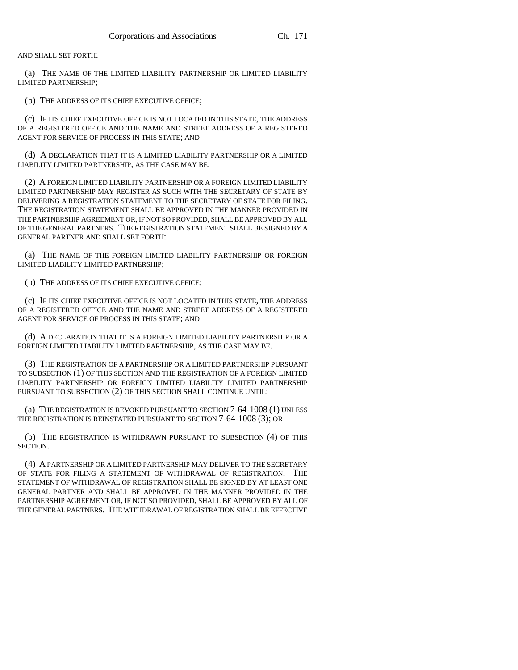AND SHALL SET FORTH:

(a) THE NAME OF THE LIMITED LIABILITY PARTNERSHIP OR LIMITED LIABILITY LIMITED PARTNERSHIP;

(b) THE ADDRESS OF ITS CHIEF EXECUTIVE OFFICE;

(c) IF ITS CHIEF EXECUTIVE OFFICE IS NOT LOCATED IN THIS STATE, THE ADDRESS OF A REGISTERED OFFICE AND THE NAME AND STREET ADDRESS OF A REGISTERED AGENT FOR SERVICE OF PROCESS IN THIS STATE; AND

(d) A DECLARATION THAT IT IS A LIMITED LIABILITY PARTNERSHIP OR A LIMITED LIABILITY LIMITED PARTNERSHIP, AS THE CASE MAY BE.

(2) A FOREIGN LIMITED LIABILITY PARTNERSHIP OR A FOREIGN LIMITED LIABILITY LIMITED PARTNERSHIP MAY REGISTER AS SUCH WITH THE SECRETARY OF STATE BY DELIVERING A REGISTRATION STATEMENT TO THE SECRETARY OF STATE FOR FILING. THE REGISTRATION STATEMENT SHALL BE APPROVED IN THE MANNER PROVIDED IN THE PARTNERSHIP AGREEMENT OR, IF NOT SO PROVIDED, SHALL BE APPROVED BY ALL OF THE GENERAL PARTNERS. THE REGISTRATION STATEMENT SHALL BE SIGNED BY A GENERAL PARTNER AND SHALL SET FORTH:

(a) THE NAME OF THE FOREIGN LIMITED LIABILITY PARTNERSHIP OR FOREIGN LIMITED LIABILITY LIMITED PARTNERSHIP;

(b) THE ADDRESS OF ITS CHIEF EXECUTIVE OFFICE;

(c) IF ITS CHIEF EXECUTIVE OFFICE IS NOT LOCATED IN THIS STATE, THE ADDRESS OF A REGISTERED OFFICE AND THE NAME AND STREET ADDRESS OF A REGISTERED AGENT FOR SERVICE OF PROCESS IN THIS STATE; AND

(d) A DECLARATION THAT IT IS A FOREIGN LIMITED LIABILITY PARTNERSHIP OR A FOREIGN LIMITED LIABILITY LIMITED PARTNERSHIP, AS THE CASE MAY BE.

(3) THE REGISTRATION OF A PARTNERSHIP OR A LIMITED PARTNERSHIP PURSUANT TO SUBSECTION (1) OF THIS SECTION AND THE REGISTRATION OF A FOREIGN LIMITED LIABILITY PARTNERSHIP OR FOREIGN LIMITED LIABILITY LIMITED PARTNERSHIP PURSUANT TO SUBSECTION (2) OF THIS SECTION SHALL CONTINUE UNTIL:

(a) THE REGISTRATION IS REVOKED PURSUANT TO SECTION 7-64-1008 (1) UNLESS THE REGISTRATION IS REINSTATED PURSUANT TO SECTION 7-64-1008 (3); OR

(b) THE REGISTRATION IS WITHDRAWN PURSUANT TO SUBSECTION (4) OF THIS SECTION.

(4) A PARTNERSHIP OR A LIMITED PARTNERSHIP MAY DELIVER TO THE SECRETARY OF STATE FOR FILING A STATEMENT OF WITHDRAWAL OF REGISTRATION. THE STATEMENT OF WITHDRAWAL OF REGISTRATION SHALL BE SIGNED BY AT LEAST ONE GENERAL PARTNER AND SHALL BE APPROVED IN THE MANNER PROVIDED IN THE PARTNERSHIP AGREEMENT OR, IF NOT SO PROVIDED, SHALL BE APPROVED BY ALL OF THE GENERAL PARTNERS. THE WITHDRAWAL OF REGISTRATION SHALL BE EFFECTIVE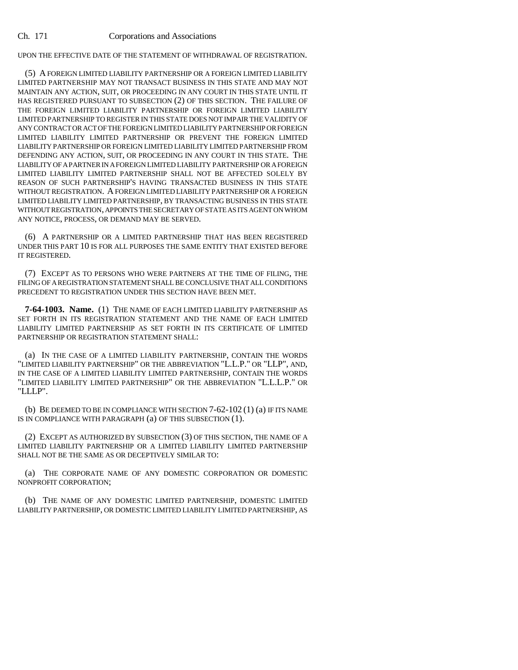UPON THE EFFECTIVE DATE OF THE STATEMENT OF WITHDRAWAL OF REGISTRATION.

(5) A FOREIGN LIMITED LIABILITY PARTNERSHIP OR A FOREIGN LIMITED LIABILITY LIMITED PARTNERSHIP MAY NOT TRANSACT BUSINESS IN THIS STATE AND MAY NOT MAINTAIN ANY ACTION, SUIT, OR PROCEEDING IN ANY COURT IN THIS STATE UNTIL IT HAS REGISTERED PURSUANT TO SUBSECTION (2) OF THIS SECTION. THE FAILURE OF THE FOREIGN LIMITED LIABILITY PARTNERSHIP OR FOREIGN LIMITED LIABILITY LIMITED PARTNERSHIP TO REGISTER IN THIS STATE DOES NOT IMPAIR THE VALIDITY OF ANY CONTRACT OR ACT OF THE FOREIGN LIMITED LIABILITY PARTNERSHIP OR FOREIGN LIMITED LIABILITY LIMITED PARTNERSHIP OR PREVENT THE FOREIGN LIMITED LIABILITY PARTNERSHIP OR FOREIGN LIMITED LIABILITY LIMITED PARTNERSHIP FROM DEFENDING ANY ACTION, SUIT, OR PROCEEDING IN ANY COURT IN THIS STATE. THE LIABILITY OF A PARTNER IN A FOREIGN LIMITED LIABILITY PARTNERSHIP OR A FOREIGN LIMITED LIABILITY LIMITED PARTNERSHIP SHALL NOT BE AFFECTED SOLELY BY REASON OF SUCH PARTNERSHIP'S HAVING TRANSACTED BUSINESS IN THIS STATE WITHOUT REGISTRATION. A FOREIGN LIMITED LIABILITY PARTNERSHIP OR A FOREIGN LIMITED LIABILITY LIMITED PARTNERSHIP, BY TRANSACTING BUSINESS IN THIS STATE WITHOUT REGISTRATION, APPOINTS THE SECRETARY OF STATE AS ITS AGENT ON WHOM ANY NOTICE, PROCESS, OR DEMAND MAY BE SERVED.

(6) A PARTNERSHIP OR A LIMITED PARTNERSHIP THAT HAS BEEN REGISTERED UNDER THIS PART 10 IS FOR ALL PURPOSES THE SAME ENTITY THAT EXISTED BEFORE IT REGISTERED.

(7) EXCEPT AS TO PERSONS WHO WERE PARTNERS AT THE TIME OF FILING, THE FILING OF A REGISTRATION STATEMENT SHALL BE CONCLUSIVE THAT ALL CONDITIONS PRECEDENT TO REGISTRATION UNDER THIS SECTION HAVE BEEN MET.

**7-64-1003. Name.** (1) THE NAME OF EACH LIMITED LIABILITY PARTNERSHIP AS SET FORTH IN ITS REGISTRATION STATEMENT AND THE NAME OF EACH LIMITED LIABILITY LIMITED PARTNERSHIP AS SET FORTH IN ITS CERTIFICATE OF LIMITED PARTNERSHIP OR REGISTRATION STATEMENT SHALL:

(a) IN THE CASE OF A LIMITED LIABILITY PARTNERSHIP, CONTAIN THE WORDS "LIMITED LIABILITY PARTNERSHIP" OR THE ABBREVIATION "L.L.P." OR "LLP", AND, IN THE CASE OF A LIMITED LIABILITY LIMITED PARTNERSHIP, CONTAIN THE WORDS "LIMITED LIABILITY LIMITED PARTNERSHIP" OR THE ABBREVIATION "L.L.L.P." OR "LLLP".

(b) BE DEEMED TO BE IN COMPLIANCE WITH SECTION 7-62-102 (1) (a) IF ITS NAME IS IN COMPLIANCE WITH PARAGRAPH (a) OF THIS SUBSECTION (1).

(2) EXCEPT AS AUTHORIZED BY SUBSECTION (3) OF THIS SECTION, THE NAME OF A LIMITED LIABILITY PARTNERSHIP OR A LIMITED LIABILITY LIMITED PARTNERSHIP SHALL NOT BE THE SAME AS OR DECEPTIVELY SIMILAR TO:

(a) THE CORPORATE NAME OF ANY DOMESTIC CORPORATION OR DOMESTIC NONPROFIT CORPORATION;

(b) THE NAME OF ANY DOMESTIC LIMITED PARTNERSHIP, DOMESTIC LIMITED LIABILITY PARTNERSHIP, OR DOMESTIC LIMITED LIABILITY LIMITED PARTNERSHIP, AS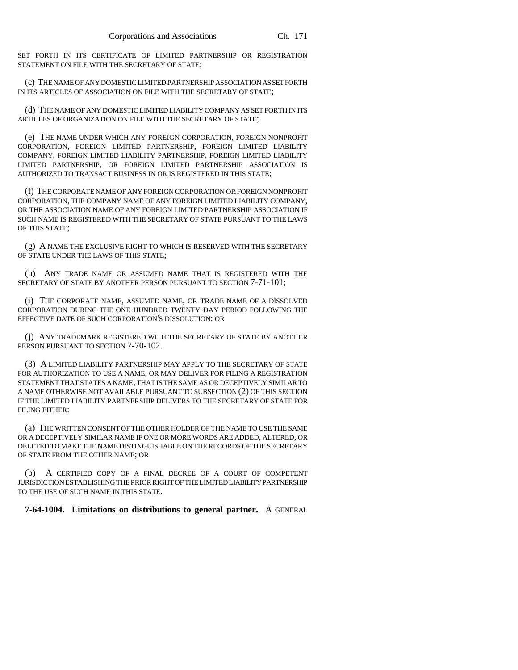SET FORTH IN ITS CERTIFICATE OF LIMITED PARTNERSHIP OR REGISTRATION STATEMENT ON FILE WITH THE SECRETARY OF STATE;

(c) THE NAME OF ANY DOMESTIC LIMITED PARTNERSHIP ASSOCIATION AS SET FORTH IN ITS ARTICLES OF ASSOCIATION ON FILE WITH THE SECRETARY OF STATE;

(d) THE NAME OF ANY DOMESTIC LIMITED LIABILITY COMPANY AS SET FORTH IN ITS ARTICLES OF ORGANIZATION ON FILE WITH THE SECRETARY OF STATE;

(e) THE NAME UNDER WHICH ANY FOREIGN CORPORATION, FOREIGN NONPROFIT CORPORATION, FOREIGN LIMITED PARTNERSHIP, FOREIGN LIMITED LIABILITY COMPANY, FOREIGN LIMITED LIABILITY PARTNERSHIP, FOREIGN LIMITED LIABILITY LIMITED PARTNERSHIP, OR FOREIGN LIMITED PARTNERSHIP ASSOCIATION IS AUTHORIZED TO TRANSACT BUSINESS IN OR IS REGISTERED IN THIS STATE;

(f) THE CORPORATE NAME OF ANY FOREIGN CORPORATION OR FOREIGN NONPROFIT CORPORATION, THE COMPANY NAME OF ANY FOREIGN LIMITED LIABILITY COMPANY, OR THE ASSOCIATION NAME OF ANY FOREIGN LIMITED PARTNERSHIP ASSOCIATION IF SUCH NAME IS REGISTERED WITH THE SECRETARY OF STATE PURSUANT TO THE LAWS OF THIS STATE;

(g) A NAME THE EXCLUSIVE RIGHT TO WHICH IS RESERVED WITH THE SECRETARY OF STATE UNDER THE LAWS OF THIS STATE;

(h) ANY TRADE NAME OR ASSUMED NAME THAT IS REGISTERED WITH THE SECRETARY OF STATE BY ANOTHER PERSON PURSUANT TO SECTION 7-71-101;

(i) THE CORPORATE NAME, ASSUMED NAME, OR TRADE NAME OF A DISSOLVED CORPORATION DURING THE ONE-HUNDRED-TWENTY-DAY PERIOD FOLLOWING THE EFFECTIVE DATE OF SUCH CORPORATION'S DISSOLUTION: OR

(j) ANY TRADEMARK REGISTERED WITH THE SECRETARY OF STATE BY ANOTHER PERSON PURSUANT TO SECTION 7-70-102.

(3) A LIMITED LIABILITY PARTNERSHIP MAY APPLY TO THE SECRETARY OF STATE FOR AUTHORIZATION TO USE A NAME, OR MAY DELIVER FOR FILING A REGISTRATION STATEMENT THAT STATES A NAME, THAT IS THE SAME AS OR DECEPTIVELY SIMILAR TO A NAME OTHERWISE NOT AVAILABLE PURSUANT TO SUBSECTION (2) OF THIS SECTION IF THE LIMITED LIABILITY PARTNERSHIP DELIVERS TO THE SECRETARY OF STATE FOR FILING EITHER:

(a) THE WRITTEN CONSENT OF THE OTHER HOLDER OF THE NAME TO USE THE SAME OR A DECEPTIVELY SIMILAR NAME IF ONE OR MORE WORDS ARE ADDED, ALTERED, OR DELETED TO MAKE THE NAME DISTINGUISHABLE ON THE RECORDS OF THE SECRETARY OF STATE FROM THE OTHER NAME; OR

(b) A CERTIFIED COPY OF A FINAL DECREE OF A COURT OF COMPETENT JURISDICTION ESTABLISHING THE PRIOR RIGHT OF THE LIMITED LIABILITY PARTNERSHIP TO THE USE OF SUCH NAME IN THIS STATE.

**7-64-1004. Limitations on distributions to general partner.** A GENERAL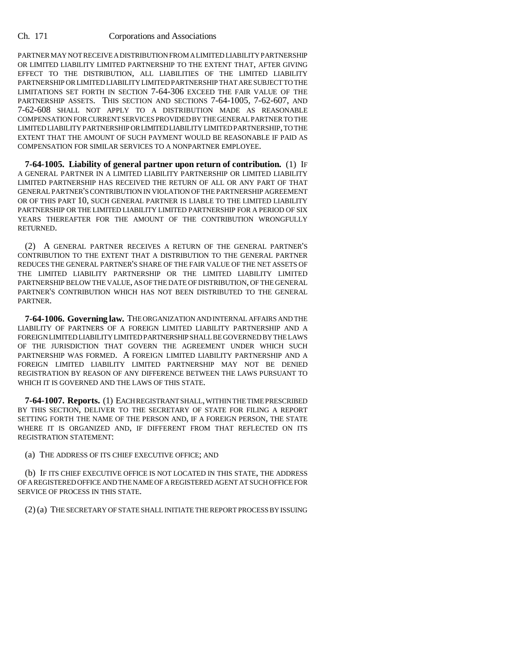PARTNER MAY NOT RECEIVE A DISTRIBUTION FROM A LIMITED LIABILITY PARTNERSHIP OR LIMITED LIABILITY LIMITED PARTNERSHIP TO THE EXTENT THAT, AFTER GIVING EFFECT TO THE DISTRIBUTION, ALL LIABILITIES OF THE LIMITED LIABILITY PARTNERSHIP OR LIMITED LIABILITY LIMITED PARTNERSHIP THAT ARE SUBJECT TO THE LIMITATIONS SET FORTH IN SECTION 7-64-306 EXCEED THE FAIR VALUE OF THE PARTNERSHIP ASSETS. THIS SECTION AND SECTIONS 7-64-1005, 7-62-607, AND 7-62-608 SHALL NOT APPLY TO A DISTRIBUTION MADE AS REASONABLE COMPENSATION FOR CURRENT SERVICES PROVIDED BY THE GENERAL PARTNER TO THE LIMITED LIABILITY PARTNERSHIP OR LIMITED LIABILITY LIMITED PARTNERSHIP, TO THE EXTENT THAT THE AMOUNT OF SUCH PAYMENT WOULD BE REASONABLE IF PAID AS COMPENSATION FOR SIMILAR SERVICES TO A NONPARTNER EMPLOYEE.

**7-64-1005. Liability of general partner upon return of contribution.** (1) IF A GENERAL PARTNER IN A LIMITED LIABILITY PARTNERSHIP OR LIMITED LIABILITY LIMITED PARTNERSHIP HAS RECEIVED THE RETURN OF ALL OR ANY PART OF THAT GENERAL PARTNER'S CONTRIBUTION IN VIOLATION OF THE PARTNERSHIP AGREEMENT OR OF THIS PART 10, SUCH GENERAL PARTNER IS LIABLE TO THE LIMITED LIABILITY PARTNERSHIP OR THE LIMITED LIABILITY LIMITED PARTNERSHIP FOR A PERIOD OF SIX YEARS THEREAFTER FOR THE AMOUNT OF THE CONTRIBUTION WRONGFULLY RETURNED.

(2) A GENERAL PARTNER RECEIVES A RETURN OF THE GENERAL PARTNER'S CONTRIBUTION TO THE EXTENT THAT A DISTRIBUTION TO THE GENERAL PARTNER REDUCES THE GENERAL PARTNER'S SHARE OF THE FAIR VALUE OF THE NET ASSETS OF THE LIMITED LIABILITY PARTNERSHIP OR THE LIMITED LIABILITY LIMITED PARTNERSHIP BELOW THE VALUE, AS OF THE DATE OF DISTRIBUTION, OF THE GENERAL PARTNER'S CONTRIBUTION WHICH HAS NOT BEEN DISTRIBUTED TO THE GENERAL PARTNER.

**7-64-1006. Governing law.** THE ORGANIZATION AND INTERNAL AFFAIRS AND THE LIABILITY OF PARTNERS OF A FOREIGN LIMITED LIABILITY PARTNERSHIP AND A FOREIGN LIMITED LIABILITY LIMITED PARTNERSHIP SHALL BE GOVERNED BY THE LAWS OF THE JURISDICTION THAT GOVERN THE AGREEMENT UNDER WHICH SUCH PARTNERSHIP WAS FORMED. A FOREIGN LIMITED LIABILITY PARTNERSHIP AND A FOREIGN LIMITED LIABILITY LIMITED PARTNERSHIP MAY NOT BE DENIED REGISTRATION BY REASON OF ANY DIFFERENCE BETWEEN THE LAWS PURSUANT TO WHICH IT IS GOVERNED AND THE LAWS OF THIS STATE.

**7-64-1007. Reports.** (1) EACH REGISTRANT SHALL, WITHIN THE TIME PRESCRIBED BY THIS SECTION, DELIVER TO THE SECRETARY OF STATE FOR FILING A REPORT SETTING FORTH THE NAME OF THE PERSON AND, IF A FOREIGN PERSON, THE STATE WHERE IT IS ORGANIZED AND, IF DIFFERENT FROM THAT REFLECTED ON ITS REGISTRATION STATEMENT:

(a) THE ADDRESS OF ITS CHIEF EXECUTIVE OFFICE; AND

(b) IF ITS CHIEF EXECUTIVE OFFICE IS NOT LOCATED IN THIS STATE, THE ADDRESS OF A REGISTERED OFFICE AND THE NAME OF A REGISTERED AGENT AT SUCH OFFICE FOR SERVICE OF PROCESS IN THIS STATE.

(2) (a) THE SECRETARY OF STATE SHALL INITIATE THE REPORT PROCESS BY ISSUING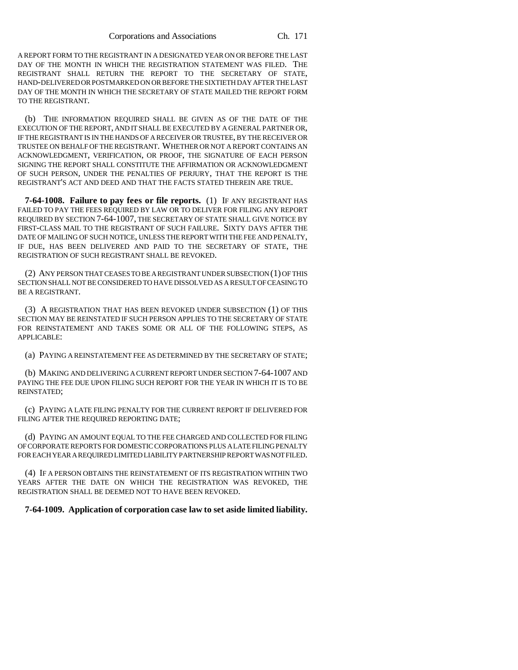A REPORT FORM TO THE REGISTRANT IN A DESIGNATED YEAR ON OR BEFORE THE LAST DAY OF THE MONTH IN WHICH THE REGISTRATION STATEMENT WAS FILED. THE REGISTRANT SHALL RETURN THE REPORT TO THE SECRETARY OF STATE, HAND-DELIVERED OR POSTMARKED ON OR BEFORE THE SIXTIETH DAY AFTER THE LAST DAY OF THE MONTH IN WHICH THE SECRETARY OF STATE MAILED THE REPORT FORM TO THE REGISTRANT.

(b) THE INFORMATION REQUIRED SHALL BE GIVEN AS OF THE DATE OF THE EXECUTION OF THE REPORT, AND IT SHALL BE EXECUTED BY A GENERAL PARTNER OR, IF THE REGISTRANT IS IN THE HANDS OF A RECEIVER OR TRUSTEE, BY THE RECEIVER OR TRUSTEE ON BEHALF OF THE REGISTRANT. WHETHER OR NOT A REPORT CONTAINS AN ACKNOWLEDGMENT, VERIFICATION, OR PROOF, THE SIGNATURE OF EACH PERSON SIGNING THE REPORT SHALL CONSTITUTE THE AFFIRMATION OR ACKNOWLEDGMENT OF SUCH PERSON, UNDER THE PENALTIES OF PERJURY, THAT THE REPORT IS THE REGISTRANT'S ACT AND DEED AND THAT THE FACTS STATED THEREIN ARE TRUE.

**7-64-1008. Failure to pay fees or file reports.** (1) IF ANY REGISTRANT HAS FAILED TO PAY THE FEES REQUIRED BY LAW OR TO DELIVER FOR FILING ANY REPORT REQUIRED BY SECTION 7-64-1007, THE SECRETARY OF STATE SHALL GIVE NOTICE BY FIRST-CLASS MAIL TO THE REGISTRANT OF SUCH FAILURE. SIXTY DAYS AFTER THE DATE OF MAILING OF SUCH NOTICE, UNLESS THE REPORT WITH THE FEE AND PENALTY, IF DUE, HAS BEEN DELIVERED AND PAID TO THE SECRETARY OF STATE, THE REGISTRATION OF SUCH REGISTRANT SHALL BE REVOKED.

(2) ANY PERSON THAT CEASES TO BE A REGISTRANT UNDER SUBSECTION (1) OF THIS SECTION SHALL NOT BE CONSIDERED TO HAVE DISSOLVED AS A RESULT OF CEASING TO BE A REGISTRANT.

(3) A REGISTRATION THAT HAS BEEN REVOKED UNDER SUBSECTION (1) OF THIS SECTION MAY BE REINSTATED IF SUCH PERSON APPLIES TO THE SECRETARY OF STATE FOR REINSTATEMENT AND TAKES SOME OR ALL OF THE FOLLOWING STEPS, AS APPLICABLE:

(a) PAYING A REINSTATEMENT FEE AS DETERMINED BY THE SECRETARY OF STATE;

(b) MAKING AND DELIVERING A CURRENT REPORT UNDER SECTION 7-64-1007 AND PAYING THE FEE DUE UPON FILING SUCH REPORT FOR THE YEAR IN WHICH IT IS TO BE REINSTATED;

(c) PAYING A LATE FILING PENALTY FOR THE CURRENT REPORT IF DELIVERED FOR FILING AFTER THE REQUIRED REPORTING DATE;

(d) PAYING AN AMOUNT EQUAL TO THE FEE CHARGED AND COLLECTED FOR FILING OF CORPORATE REPORTS FOR DOMESTIC CORPORATIONS PLUS A LATE FILING PENALTY FOR EACH YEAR A REQUIRED LIMITED LIABILITY PARTNERSHIP REPORT WAS NOT FILED.

(4) IF A PERSON OBTAINS THE REINSTATEMENT OF ITS REGISTRATION WITHIN TWO YEARS AFTER THE DATE ON WHICH THE REGISTRATION WAS REVOKED, THE REGISTRATION SHALL BE DEEMED NOT TO HAVE BEEN REVOKED.

**7-64-1009. Application of corporation case law to set aside limited liability.**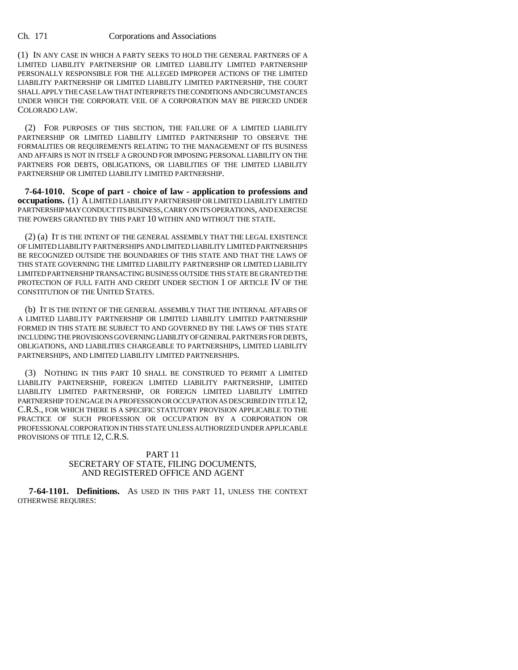(1) IN ANY CASE IN WHICH A PARTY SEEKS TO HOLD THE GENERAL PARTNERS OF A LIMITED LIABILITY PARTNERSHIP OR LIMITED LIABILITY LIMITED PARTNERSHIP PERSONALLY RESPONSIBLE FOR THE ALLEGED IMPROPER ACTIONS OF THE LIMITED LIABILITY PARTNERSHIP OR LIMITED LIABILITY LIMITED PARTNERSHIP, THE COURT SHALL APPLY THE CASE LAW THAT INTERPRETS THE CONDITIONS AND CIRCUMSTANCES UNDER WHICH THE CORPORATE VEIL OF A CORPORATION MAY BE PIERCED UNDER COLORADO LAW.

(2) FOR PURPOSES OF THIS SECTION, THE FAILURE OF A LIMITED LIABILITY PARTNERSHIP OR LIMITED LIABILITY LIMITED PARTNERSHIP TO OBSERVE THE FORMALITIES OR REQUIREMENTS RELATING TO THE MANAGEMENT OF ITS BUSINESS AND AFFAIRS IS NOT IN ITSELF A GROUND FOR IMPOSING PERSONAL LIABILITY ON THE PARTNERS FOR DEBTS, OBLIGATIONS, OR LIABILITIES OF THE LIMITED LIABILITY PARTNERSHIP OR LIMITED LIABILITY LIMITED PARTNERSHIP.

**7-64-1010. Scope of part - choice of law - application to professions and occupations.** (1) A LIMITED LIABILITY PARTNERSHIP OR LIMITED LIABILITY LIMITED PARTNERSHIP MAY CONDUCT ITS BUSINESS, CARRY ON ITS OPERATIONS, AND EXERCISE THE POWERS GRANTED BY THIS PART 10 WITHIN AND WITHOUT THE STATE.

(2) (a) IT IS THE INTENT OF THE GENERAL ASSEMBLY THAT THE LEGAL EXISTENCE OF LIMITED LIABILITY PARTNERSHIPS AND LIMITED LIABILITY LIMITED PARTNERSHIPS BE RECOGNIZED OUTSIDE THE BOUNDARIES OF THIS STATE AND THAT THE LAWS OF THIS STATE GOVERNING THE LIMITED LIABILITY PARTNERSHIP OR LIMITED LIABILITY LIMITED PARTNERSHIP TRANSACTING BUSINESS OUTSIDE THIS STATE BE GRANTED THE PROTECTION OF FULL FAITH AND CREDIT UNDER SECTION 1 OF ARTICLE IV OF THE CONSTITUTION OF THE UNITED STATES.

(b) IT IS THE INTENT OF THE GENERAL ASSEMBLY THAT THE INTERNAL AFFAIRS OF A LIMITED LIABILITY PARTNERSHIP OR LIMITED LIABILITY LIMITED PARTNERSHIP FORMED IN THIS STATE BE SUBJECT TO AND GOVERNED BY THE LAWS OF THIS STATE INCLUDING THE PROVISIONS GOVERNING LIABILITY OF GENERAL PARTNERS FOR DEBTS, OBLIGATIONS, AND LIABILITIES CHARGEABLE TO PARTNERSHIPS, LIMITED LIABILITY PARTNERSHIPS, AND LIMITED LIABILITY LIMITED PARTNERSHIPS.

(3) NOTHING IN THIS PART 10 SHALL BE CONSTRUED TO PERMIT A LIMITED LIABILITY PARTNERSHIP, FOREIGN LIMITED LIABILITY PARTNERSHIP, LIMITED LIABILITY LIMITED PARTNERSHIP, OR FOREIGN LIMITED LIABILITY LIMITED PARTNERSHIP TO ENGAGE IN A PROFESSION OR OCCUPATION AS DESCRIBED IN TITLE 12, C.R.S., FOR WHICH THERE IS A SPECIFIC STATUTORY PROVISION APPLICABLE TO THE PRACTICE OF SUCH PROFESSION OR OCCUPATION BY A CORPORATION OR PROFESSIONAL CORPORATION IN THIS STATE UNLESS AUTHORIZED UNDER APPLICABLE PROVISIONS OF TITLE 12, C.R.S.

## PART 11 SECRETARY OF STATE, FILING DOCUMENTS, AND REGISTERED OFFICE AND AGENT

 **7-64-1101. Definitions.** AS USED IN THIS PART 11, UNLESS THE CONTEXT OTHERWISE REQUIRES: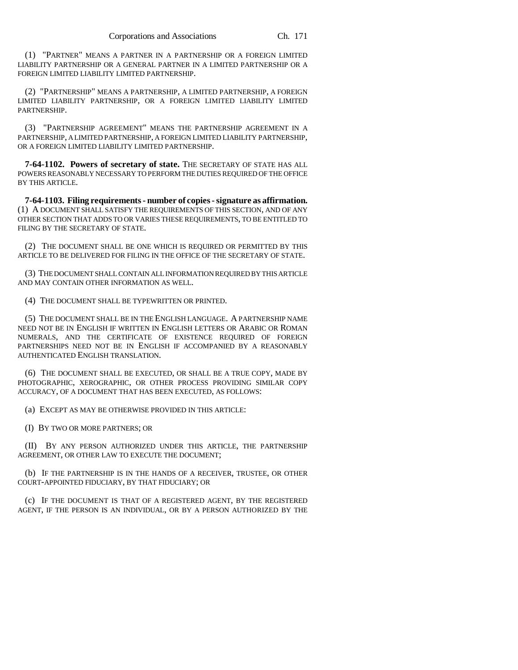(1) "PARTNER" MEANS A PARTNER IN A PARTNERSHIP OR A FOREIGN LIMITED LIABILITY PARTNERSHIP OR A GENERAL PARTNER IN A LIMITED PARTNERSHIP OR A FOREIGN LIMITED LIABILITY LIMITED PARTNERSHIP.

(2) "PARTNERSHIP" MEANS A PARTNERSHIP, A LIMITED PARTNERSHIP, A FOREIGN LIMITED LIABILITY PARTNERSHIP, OR A FOREIGN LIMITED LIABILITY LIMITED PARTNERSHIP.

(3) "PARTNERSHIP AGREEMENT" MEANS THE PARTNERSHIP AGREEMENT IN A PARTNERSHIP, A LIMITED PARTNERSHIP, A FOREIGN LIMITED LIABILITY PARTNERSHIP, OR A FOREIGN LIMITED LIABILITY LIMITED PARTNERSHIP.

**7-64-1102. Powers of secretary of state.** THE SECRETARY OF STATE HAS ALL POWERS REASONABLY NECESSARY TO PERFORM THE DUTIES REQUIRED OF THE OFFICE BY THIS ARTICLE.

**7-64-1103. Filing requirements - number of copies - signature as affirmation.** (1) A DOCUMENT SHALL SATISFY THE REQUIREMENTS OF THIS SECTION, AND OF ANY OTHER SECTION THAT ADDS TO OR VARIES THESE REQUIREMENTS, TO BE ENTITLED TO FILING BY THE SECRETARY OF STATE.

(2) THE DOCUMENT SHALL BE ONE WHICH IS REQUIRED OR PERMITTED BY THIS ARTICLE TO BE DELIVERED FOR FILING IN THE OFFICE OF THE SECRETARY OF STATE.

(3) THE DOCUMENT SHALL CONTAIN ALL INFORMATION REQUIRED BY THIS ARTICLE AND MAY CONTAIN OTHER INFORMATION AS WELL.

(4) THE DOCUMENT SHALL BE TYPEWRITTEN OR PRINTED.

(5) THE DOCUMENT SHALL BE IN THE ENGLISH LANGUAGE. A PARTNERSHIP NAME NEED NOT BE IN ENGLISH IF WRITTEN IN ENGLISH LETTERS OR ARABIC OR ROMAN NUMERALS, AND THE CERTIFICATE OF EXISTENCE REQUIRED OF FOREIGN PARTNERSHIPS NEED NOT BE IN ENGLISH IF ACCOMPANIED BY A REASONABLY AUTHENTICATED ENGLISH TRANSLATION.

(6) THE DOCUMENT SHALL BE EXECUTED, OR SHALL BE A TRUE COPY, MADE BY PHOTOGRAPHIC, XEROGRAPHIC, OR OTHER PROCESS PROVIDING SIMILAR COPY ACCURACY, OF A DOCUMENT THAT HAS BEEN EXECUTED, AS FOLLOWS:

(a) EXCEPT AS MAY BE OTHERWISE PROVIDED IN THIS ARTICLE:

(I) BY TWO OR MORE PARTNERS; OR

(II) BY ANY PERSON AUTHORIZED UNDER THIS ARTICLE, THE PARTNERSHIP AGREEMENT, OR OTHER LAW TO EXECUTE THE DOCUMENT;

(b) IF THE PARTNERSHIP IS IN THE HANDS OF A RECEIVER, TRUSTEE, OR OTHER COURT-APPOINTED FIDUCIARY, BY THAT FIDUCIARY; OR

(c) IF THE DOCUMENT IS THAT OF A REGISTERED AGENT, BY THE REGISTERED AGENT, IF THE PERSON IS AN INDIVIDUAL, OR BY A PERSON AUTHORIZED BY THE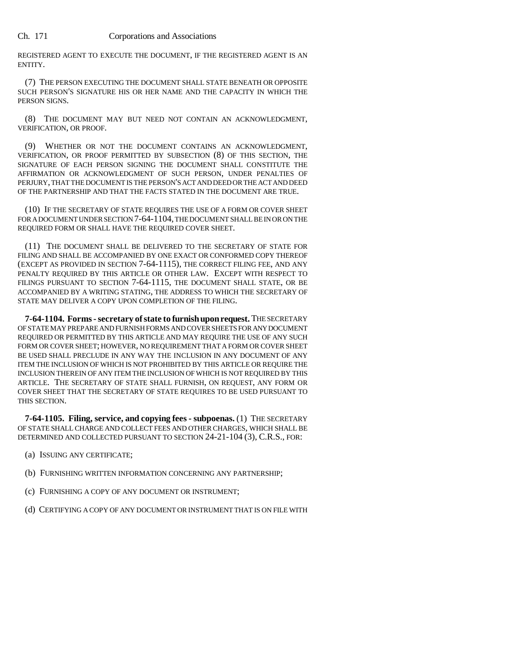REGISTERED AGENT TO EXECUTE THE DOCUMENT, IF THE REGISTERED AGENT IS AN ENTITY.

(7) THE PERSON EXECUTING THE DOCUMENT SHALL STATE BENEATH OR OPPOSITE SUCH PERSON'S SIGNATURE HIS OR HER NAME AND THE CAPACITY IN WHICH THE PERSON SIGNS.

(8) THE DOCUMENT MAY BUT NEED NOT CONTAIN AN ACKNOWLEDGMENT, VERIFICATION, OR PROOF.

(9) WHETHER OR NOT THE DOCUMENT CONTAINS AN ACKNOWLEDGMENT, VERIFICATION, OR PROOF PERMITTED BY SUBSECTION (8) OF THIS SECTION, THE SIGNATURE OF EACH PERSON SIGNING THE DOCUMENT SHALL CONSTITUTE THE AFFIRMATION OR ACKNOWLEDGMENT OF SUCH PERSON, UNDER PENALTIES OF PERJURY, THAT THE DOCUMENT IS THE PERSON'S ACT AND DEED OR THE ACT AND DEED OF THE PARTNERSHIP AND THAT THE FACTS STATED IN THE DOCUMENT ARE TRUE.

(10) IF THE SECRETARY OF STATE REQUIRES THE USE OF A FORM OR COVER SHEET FOR A DOCUMENT UNDER SECTION 7-64-1104, THE DOCUMENT SHALL BE IN OR ON THE REQUIRED FORM OR SHALL HAVE THE REQUIRED COVER SHEET.

(11) THE DOCUMENT SHALL BE DELIVERED TO THE SECRETARY OF STATE FOR FILING AND SHALL BE ACCOMPANIED BY ONE EXACT OR CONFORMED COPY THEREOF (EXCEPT AS PROVIDED IN SECTION 7-64-1115), THE CORRECT FILING FEE, AND ANY PENALTY REQUIRED BY THIS ARTICLE OR OTHER LAW. EXCEPT WITH RESPECT TO FILINGS PURSUANT TO SECTION 7-64-1115, THE DOCUMENT SHALL STATE, OR BE ACCOMPANIED BY A WRITING STATING, THE ADDRESS TO WHICH THE SECRETARY OF STATE MAY DELIVER A COPY UPON COMPLETION OF THE FILING.

**7-64-1104. Forms - secretary of state to furnish upon request.** THE SECRETARY OF STATE MAY PREPARE AND FURNISH FORMS AND COVER SHEETS FOR ANY DOCUMENT REQUIRED OR PERMITTED BY THIS ARTICLE AND MAY REQUIRE THE USE OF ANY SUCH FORM OR COVER SHEET; HOWEVER, NO REQUIREMENT THAT A FORM OR COVER SHEET BE USED SHALL PRECLUDE IN ANY WAY THE INCLUSION IN ANY DOCUMENT OF ANY ITEM THE INCLUSION OF WHICH IS NOT PROHIBITED BY THIS ARTICLE OR REQUIRE THE INCLUSION THEREIN OF ANY ITEM THE INCLUSION OF WHICH IS NOT REQUIRED BY THIS ARTICLE. THE SECRETARY OF STATE SHALL FURNISH, ON REQUEST, ANY FORM OR COVER SHEET THAT THE SECRETARY OF STATE REQUIRES TO BE USED PURSUANT TO THIS SECTION.

**7-64-1105. Filing, service, and copying fees - subpoenas.** (1) THE SECRETARY OF STATE SHALL CHARGE AND COLLECT FEES AND OTHER CHARGES, WHICH SHALL BE DETERMINED AND COLLECTED PURSUANT TO SECTION 24-21-104 (3), C.R.S., FOR:

- (a) ISSUING ANY CERTIFICATE;
- (b) FURNISHING WRITTEN INFORMATION CONCERNING ANY PARTNERSHIP;
- (c) FURNISHING A COPY OF ANY DOCUMENT OR INSTRUMENT;
- (d) CERTIFYING A COPY OF ANY DOCUMENT OR INSTRUMENT THAT IS ON FILE WITH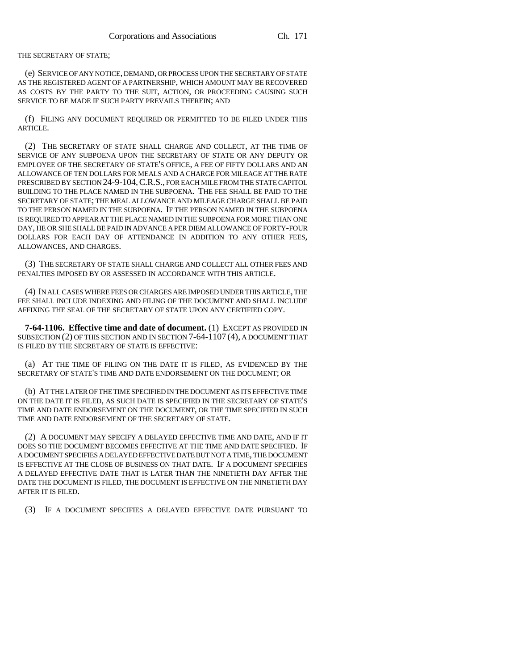THE SECRETARY OF STATE;

(e) SERVICE OF ANY NOTICE, DEMAND, OR PROCESS UPON THE SECRETARY OF STATE AS THE REGISTERED AGENT OF A PARTNERSHIP, WHICH AMOUNT MAY BE RECOVERED AS COSTS BY THE PARTY TO THE SUIT, ACTION, OR PROCEEDING CAUSING SUCH SERVICE TO BE MADE IF SUCH PARTY PREVAILS THEREIN; AND

(f) FILING ANY DOCUMENT REQUIRED OR PERMITTED TO BE FILED UNDER THIS ARTICLE.

(2) THE SECRETARY OF STATE SHALL CHARGE AND COLLECT, AT THE TIME OF SERVICE OF ANY SUBPOENA UPON THE SECRETARY OF STATE OR ANY DEPUTY OR EMPLOYEE OF THE SECRETARY OF STATE'S OFFICE, A FEE OF FIFTY DOLLARS AND AN ALLOWANCE OF TEN DOLLARS FOR MEALS AND A CHARGE FOR MILEAGE AT THE RATE PRESCRIBED BY SECTION 24-9-104,C.R.S., FOR EACH MILE FROM THE STATE CAPITOL BUILDING TO THE PLACE NAMED IN THE SUBPOENA. THE FEE SHALL BE PAID TO THE SECRETARY OF STATE; THE MEAL ALLOWANCE AND MILEAGE CHARGE SHALL BE PAID TO THE PERSON NAMED IN THE SUBPOENA. IF THE PERSON NAMED IN THE SUBPOENA IS REQUIRED TO APPEAR AT THE PLACE NAMED IN THE SUBPOENA FOR MORE THAN ONE DAY, HE OR SHE SHALL BE PAID IN ADVANCE A PER DIEM ALLOWANCE OF FORTY-FOUR DOLLARS FOR EACH DAY OF ATTENDANCE IN ADDITION TO ANY OTHER FEES, ALLOWANCES, AND CHARGES.

(3) THE SECRETARY OF STATE SHALL CHARGE AND COLLECT ALL OTHER FEES AND PENALTIES IMPOSED BY OR ASSESSED IN ACCORDANCE WITH THIS ARTICLE.

(4) IN ALL CASES WHERE FEES OR CHARGES ARE IMPOSED UNDER THIS ARTICLE, THE FEE SHALL INCLUDE INDEXING AND FILING OF THE DOCUMENT AND SHALL INCLUDE AFFIXING THE SEAL OF THE SECRETARY OF STATE UPON ANY CERTIFIED COPY.

**7-64-1106. Effective time and date of document.** (1) EXCEPT AS PROVIDED IN SUBSECTION (2) OF THIS SECTION AND IN SECTION 7-64-1107 (4), A DOCUMENT THAT IS FILED BY THE SECRETARY OF STATE IS EFFECTIVE:

(a) AT THE TIME OF FILING ON THE DATE IT IS FILED, AS EVIDENCED BY THE SECRETARY OF STATE'S TIME AND DATE ENDORSEMENT ON THE DOCUMENT; OR

(b) AT THE LATER OF THE TIME SPECIFIED IN THE DOCUMENT AS ITS EFFECTIVE TIME ON THE DATE IT IS FILED, AS SUCH DATE IS SPECIFIED IN THE SECRETARY OF STATE'S TIME AND DATE ENDORSEMENT ON THE DOCUMENT, OR THE TIME SPECIFIED IN SUCH TIME AND DATE ENDORSEMENT OF THE SECRETARY OF STATE.

(2) A DOCUMENT MAY SPECIFY A DELAYED EFFECTIVE TIME AND DATE, AND IF IT DOES SO THE DOCUMENT BECOMES EFFECTIVE AT THE TIME AND DATE SPECIFIED. IF A DOCUMENT SPECIFIES A DELAYED EFFECTIVE DATE BUT NOT A TIME, THE DOCUMENT IS EFFECTIVE AT THE CLOSE OF BUSINESS ON THAT DATE. IF A DOCUMENT SPECIFIES A DELAYED EFFECTIVE DATE THAT IS LATER THAN THE NINETIETH DAY AFTER THE DATE THE DOCUMENT IS FILED, THE DOCUMENT IS EFFECTIVE ON THE NINETIETH DAY AFTER IT IS FILED.

(3) IF A DOCUMENT SPECIFIES A DELAYED EFFECTIVE DATE PURSUANT TO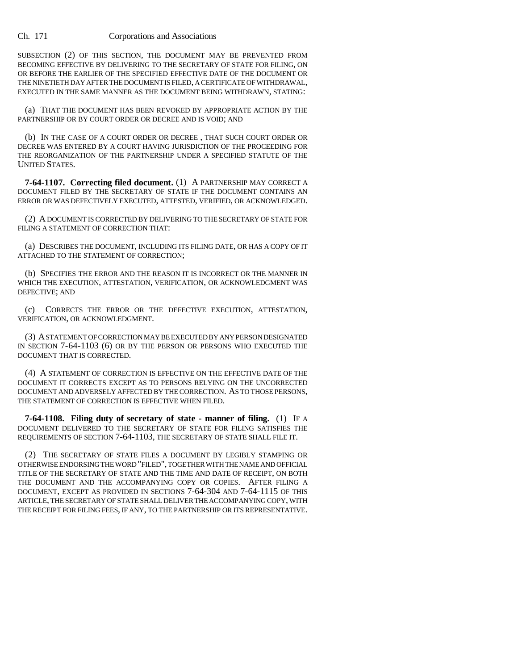SUBSECTION (2) OF THIS SECTION, THE DOCUMENT MAY BE PREVENTED FROM BECOMING EFFECTIVE BY DELIVERING TO THE SECRETARY OF STATE FOR FILING, ON OR BEFORE THE EARLIER OF THE SPECIFIED EFFECTIVE DATE OF THE DOCUMENT OR THE NINETIETH DAY AFTER THE DOCUMENT IS FILED, A CERTIFICATE OF WITHDRAWAL, EXECUTED IN THE SAME MANNER AS THE DOCUMENT BEING WITHDRAWN, STATING:

(a) THAT THE DOCUMENT HAS BEEN REVOKED BY APPROPRIATE ACTION BY THE PARTNERSHIP OR BY COURT ORDER OR DECREE AND IS VOID; AND

(b) IN THE CASE OF A COURT ORDER OR DECREE , THAT SUCH COURT ORDER OR DECREE WAS ENTERED BY A COURT HAVING JURISDICTION OF THE PROCEEDING FOR THE REORGANIZATION OF THE PARTNERSHIP UNDER A SPECIFIED STATUTE OF THE UNITED STATES.

**7-64-1107. Correcting filed document.** (1) A PARTNERSHIP MAY CORRECT A DOCUMENT FILED BY THE SECRETARY OF STATE IF THE DOCUMENT CONTAINS AN ERROR OR WAS DEFECTIVELY EXECUTED, ATTESTED, VERIFIED, OR ACKNOWLEDGED.

(2) A DOCUMENT IS CORRECTED BY DELIVERING TO THE SECRETARY OF STATE FOR FILING A STATEMENT OF CORRECTION THAT:

(a) DESCRIBES THE DOCUMENT, INCLUDING ITS FILING DATE, OR HAS A COPY OF IT ATTACHED TO THE STATEMENT OF CORRECTION;

(b) SPECIFIES THE ERROR AND THE REASON IT IS INCORRECT OR THE MANNER IN WHICH THE EXECUTION, ATTESTATION, VERIFICATION, OR ACKNOWLEDGMENT WAS DEFECTIVE; AND

(c) CORRECTS THE ERROR OR THE DEFECTIVE EXECUTION, ATTESTATION, VERIFICATION, OR ACKNOWLEDGMENT.

(3) A STATEMENT OF CORRECTION MAY BE EXECUTED BY ANY PERSON DESIGNATED IN SECTION 7-64-1103 (6) OR BY THE PERSON OR PERSONS WHO EXECUTED THE DOCUMENT THAT IS CORRECTED.

(4) A STATEMENT OF CORRECTION IS EFFECTIVE ON THE EFFECTIVE DATE OF THE DOCUMENT IT CORRECTS EXCEPT AS TO PERSONS RELYING ON THE UNCORRECTED DOCUMENT AND ADVERSELY AFFECTED BY THE CORRECTION. AS TO THOSE PERSONS, THE STATEMENT OF CORRECTION IS EFFECTIVE WHEN FILED.

**7-64-1108. Filing duty of secretary of state - manner of filing.** (1) IF A DOCUMENT DELIVERED TO THE SECRETARY OF STATE FOR FILING SATISFIES THE REQUIREMENTS OF SECTION 7-64-1103, THE SECRETARY OF STATE SHALL FILE IT.

(2) THE SECRETARY OF STATE FILES A DOCUMENT BY LEGIBLY STAMPING OR OTHERWISE ENDORSING THE WORD "FILED", TOGETHER WITH THE NAME AND OFFICIAL TITLE OF THE SECRETARY OF STATE AND THE TIME AND DATE OF RECEIPT, ON BOTH THE DOCUMENT AND THE ACCOMPANYING COPY OR COPIES. AFTER FILING A DOCUMENT, EXCEPT AS PROVIDED IN SECTIONS 7-64-304 AND 7-64-1115 OF THIS ARTICLE, THE SECRETARY OF STATE SHALL DELIVER THE ACCOMPANYING COPY, WITH THE RECEIPT FOR FILING FEES, IF ANY, TO THE PARTNERSHIP OR ITS REPRESENTATIVE.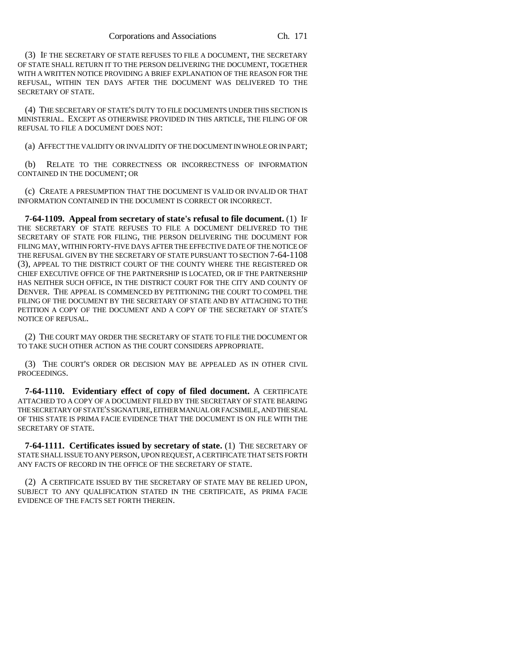(3) IF THE SECRETARY OF STATE REFUSES TO FILE A DOCUMENT, THE SECRETARY OF STATE SHALL RETURN IT TO THE PERSON DELIVERING THE DOCUMENT, TOGETHER WITH A WRITTEN NOTICE PROVIDING A BRIEF EXPLANATION OF THE REASON FOR THE REFUSAL, WITHIN TEN DAYS AFTER THE DOCUMENT WAS DELIVERED TO THE SECRETARY OF STATE.

(4) THE SECRETARY OF STATE'S DUTY TO FILE DOCUMENTS UNDER THIS SECTION IS MINISTERIAL. EXCEPT AS OTHERWISE PROVIDED IN THIS ARTICLE, THE FILING OF OR REFUSAL TO FILE A DOCUMENT DOES NOT:

(a) AFFECT THE VALIDITY OR INVALIDITY OF THE DOCUMENT IN WHOLE OR IN PART;

(b) RELATE TO THE CORRECTNESS OR INCORRECTNESS OF INFORMATION CONTAINED IN THE DOCUMENT; OR

(c) CREATE A PRESUMPTION THAT THE DOCUMENT IS VALID OR INVALID OR THAT INFORMATION CONTAINED IN THE DOCUMENT IS CORRECT OR INCORRECT.

**7-64-1109. Appeal from secretary of state's refusal to file document.** (1) IF THE SECRETARY OF STATE REFUSES TO FILE A DOCUMENT DELIVERED TO THE SECRETARY OF STATE FOR FILING, THE PERSON DELIVERING THE DOCUMENT FOR FILING MAY, WITHIN FORTY-FIVE DAYS AFTER THE EFFECTIVE DATE OF THE NOTICE OF THE REFUSAL GIVEN BY THE SECRETARY OF STATE PURSUANT TO SECTION 7-64-1108 (3), APPEAL TO THE DISTRICT COURT OF THE COUNTY WHERE THE REGISTERED OR CHIEF EXECUTIVE OFFICE OF THE PARTNERSHIP IS LOCATED, OR IF THE PARTNERSHIP HAS NEITHER SUCH OFFICE, IN THE DISTRICT COURT FOR THE CITY AND COUNTY OF DENVER. THE APPEAL IS COMMENCED BY PETITIONING THE COURT TO COMPEL THE FILING OF THE DOCUMENT BY THE SECRETARY OF STATE AND BY ATTACHING TO THE PETITION A COPY OF THE DOCUMENT AND A COPY OF THE SECRETARY OF STATE'S NOTICE OF REFUSAL.

(2) THE COURT MAY ORDER THE SECRETARY OF STATE TO FILE THE DOCUMENT OR TO TAKE SUCH OTHER ACTION AS THE COURT CONSIDERS APPROPRIATE.

(3) THE COURT'S ORDER OR DECISION MAY BE APPEALED AS IN OTHER CIVIL PROCEEDINGS.

**7-64-1110. Evidentiary effect of copy of filed document.** A CERTIFICATE ATTACHED TO A COPY OF A DOCUMENT FILED BY THE SECRETARY OF STATE BEARING THE SECRETARY OF STATE'S SIGNATURE, EITHER MANUAL OR FACSIMILE, AND THE SEAL OF THIS STATE IS PRIMA FACIE EVIDENCE THAT THE DOCUMENT IS ON FILE WITH THE SECRETARY OF STATE.

**7-64-1111. Certificates issued by secretary of state.** (1) THE SECRETARY OF STATE SHALL ISSUE TO ANY PERSON, UPON REQUEST, A CERTIFICATE THAT SETS FORTH ANY FACTS OF RECORD IN THE OFFICE OF THE SECRETARY OF STATE.

(2) A CERTIFICATE ISSUED BY THE SECRETARY OF STATE MAY BE RELIED UPON, SUBJECT TO ANY QUALIFICATION STATED IN THE CERTIFICATE, AS PRIMA FACIE EVIDENCE OF THE FACTS SET FORTH THEREIN.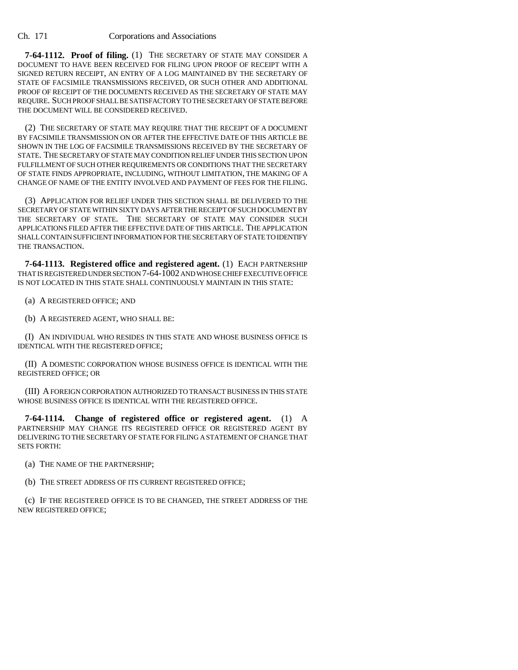**7-64-1112. Proof of filing.** (1) THE SECRETARY OF STATE MAY CONSIDER A DOCUMENT TO HAVE BEEN RECEIVED FOR FILING UPON PROOF OF RECEIPT WITH A SIGNED RETURN RECEIPT, AN ENTRY OF A LOG MAINTAINED BY THE SECRETARY OF STATE OF FACSIMILE TRANSMISSIONS RECEIVED, OR SUCH OTHER AND ADDITIONAL PROOF OF RECEIPT OF THE DOCUMENTS RECEIVED AS THE SECRETARY OF STATE MAY REQUIRE. SUCH PROOF SHALL BE SATISFACTORY TO THE SECRETARY OF STATE BEFORE THE DOCUMENT WILL BE CONSIDERED RECEIVED.

(2) THE SECRETARY OF STATE MAY REQUIRE THAT THE RECEIPT OF A DOCUMENT BY FACSIMILE TRANSMISSION ON OR AFTER THE EFFECTIVE DATE OF THIS ARTICLE BE SHOWN IN THE LOG OF FACSIMILE TRANSMISSIONS RECEIVED BY THE SECRETARY OF STATE. THE SECRETARY OF STATE MAY CONDITION RELIEF UNDER THIS SECTION UPON FULFILLMENT OF SUCH OTHER REQUIREMENTS OR CONDITIONS THAT THE SECRETARY OF STATE FINDS APPROPRIATE, INCLUDING, WITHOUT LIMITATION, THE MAKING OF A CHANGE OF NAME OF THE ENTITY INVOLVED AND PAYMENT OF FEES FOR THE FILING.

(3) APPLICATION FOR RELIEF UNDER THIS SECTION SHALL BE DELIVERED TO THE SECRETARY OF STATE WITHIN SIXTY DAYS AFTER THE RECEIPT OF SUCH DOCUMENT BY THE SECRETARY OF STATE. THE SECRETARY OF STATE MAY CONSIDER SUCH APPLICATIONS FILED AFTER THE EFFECTIVE DATE OF THIS ARTICLE. THE APPLICATION SHALL CONTAIN SUFFICIENT INFORMATION FOR THE SECRETARY OF STATE TO IDENTIFY THE TRANSACTION.

**7-64-1113. Registered office and registered agent.** (1) EACH PARTNERSHIP THAT IS REGISTERED UNDER SECTION 7-64-1002 AND WHOSE CHIEF EXECUTIVE OFFICE IS NOT LOCATED IN THIS STATE SHALL CONTINUOUSLY MAINTAIN IN THIS STATE:

(a) A REGISTERED OFFICE; AND

(b) A REGISTERED AGENT, WHO SHALL BE:

(I) AN INDIVIDUAL WHO RESIDES IN THIS STATE AND WHOSE BUSINESS OFFICE IS IDENTICAL WITH THE REGISTERED OFFICE;

(II) A DOMESTIC CORPORATION WHOSE BUSINESS OFFICE IS IDENTICAL WITH THE REGISTERED OFFICE; OR

(III) A FOREIGN CORPORATION AUTHORIZED TO TRANSACT BUSINESS IN THIS STATE WHOSE BUSINESS OFFICE IS IDENTICAL WITH THE REGISTERED OFFICE.

**7-64-1114. Change of registered office or registered agent.** (1) A PARTNERSHIP MAY CHANGE ITS REGISTERED OFFICE OR REGISTERED AGENT BY DELIVERING TO THE SECRETARY OF STATE FOR FILING A STATEMENT OF CHANGE THAT SETS FORTH:

(a) THE NAME OF THE PARTNERSHIP;

(b) THE STREET ADDRESS OF ITS CURRENT REGISTERED OFFICE;

(c) IF THE REGISTERED OFFICE IS TO BE CHANGED, THE STREET ADDRESS OF THE NEW REGISTERED OFFICE;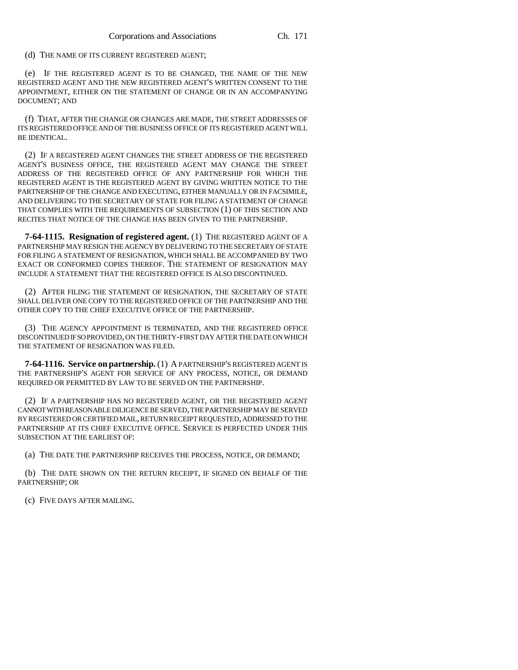(d) THE NAME OF ITS CURRENT REGISTERED AGENT;

(e) IF THE REGISTERED AGENT IS TO BE CHANGED, THE NAME OF THE NEW REGISTERED AGENT AND THE NEW REGISTERED AGENT'S WRITTEN CONSENT TO THE APPOINTMENT, EITHER ON THE STATEMENT OF CHANGE OR IN AN ACCOMPANYING DOCUMENT; AND

(f) THAT, AFTER THE CHANGE OR CHANGES ARE MADE, THE STREET ADDRESSES OF ITS REGISTERED OFFICE AND OF THE BUSINESS OFFICE OF ITS REGISTERED AGENT WILL BE IDENTICAL.

(2) IF A REGISTERED AGENT CHANGES THE STREET ADDRESS OF THE REGISTERED AGENT'S BUSINESS OFFICE, THE REGISTERED AGENT MAY CHANGE THE STREET ADDRESS OF THE REGISTERED OFFICE OF ANY PARTNERSHIP FOR WHICH THE REGISTERED AGENT IS THE REGISTERED AGENT BY GIVING WRITTEN NOTICE TO THE PARTNERSHIP OF THE CHANGE AND EXECUTING, EITHER MANUALLY OR IN FACSIMILE, AND DELIVERING TO THE SECRETARY OF STATE FOR FILING A STATEMENT OF CHANGE THAT COMPLIES WITH THE REQUIREMENTS OF SUBSECTION (1) OF THIS SECTION AND RECITES THAT NOTICE OF THE CHANGE HAS BEEN GIVEN TO THE PARTNERSHIP.

**7-64-1115. Resignation of registered agent.** (1) THE REGISTERED AGENT OF A PARTNERSHIP MAY RESIGN THE AGENCY BY DELIVERING TO THE SECRETARY OF STATE FOR FILING A STATEMENT OF RESIGNATION, WHICH SHALL BE ACCOMPANIED BY TWO EXACT OR CONFORMED COPIES THEREOF. THE STATEMENT OF RESIGNATION MAY INCLUDE A STATEMENT THAT THE REGISTERED OFFICE IS ALSO DISCONTINUED.

(2) AFTER FILING THE STATEMENT OF RESIGNATION, THE SECRETARY OF STATE SHALL DELIVER ONE COPY TO THE REGISTERED OFFICE OF THE PARTNERSHIP AND THE OTHER COPY TO THE CHIEF EXECUTIVE OFFICE OF THE PARTNERSHIP.

(3) THE AGENCY APPOINTMENT IS TERMINATED, AND THE REGISTERED OFFICE DISCONTINUED IF SO PROVIDED, ON THE THIRTY-FIRST DAY AFTER THE DATE ON WHICH THE STATEMENT OF RESIGNATION WAS FILED.

**7-64-1116. Service on partnership.** (1) A PARTNERSHIP'S REGISTERED AGENT IS THE PARTNERSHIP'S AGENT FOR SERVICE OF ANY PROCESS, NOTICE, OR DEMAND REQUIRED OR PERMITTED BY LAW TO BE SERVED ON THE PARTNERSHIP.

(2) IF A PARTNERSHIP HAS NO REGISTERED AGENT, OR THE REGISTERED AGENT CANNOT WITH REASONABLE DILIGENCE BE SERVED, THE PARTNERSHIP MAY BE SERVED BY REGISTERED OR CERTIFIED MAIL, RETURN RECEIPT REQUESTED, ADDRESSED TO THE PARTNERSHIP AT ITS CHIEF EXECUTIVE OFFICE. SERVICE IS PERFECTED UNDER THIS SUBSECTION AT THE EARLIEST OF:

(a) THE DATE THE PARTNERSHIP RECEIVES THE PROCESS, NOTICE, OR DEMAND;

(b) THE DATE SHOWN ON THE RETURN RECEIPT, IF SIGNED ON BEHALF OF THE PARTNERSHIP; OR

(c) FIVE DAYS AFTER MAILING.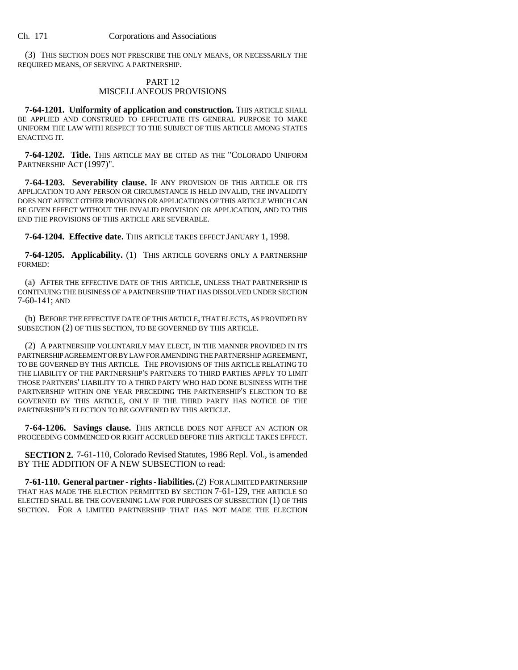(3) THIS SECTION DOES NOT PRESCRIBE THE ONLY MEANS, OR NECESSARILY THE REQUIRED MEANS, OF SERVING A PARTNERSHIP.

## PART 12 MISCELLANEOUS PROVISIONS

**7-64-1201. Uniformity of application and construction.** THIS ARTICLE SHALL BE APPLIED AND CONSTRUED TO EFFECTUATE ITS GENERAL PURPOSE TO MAKE UNIFORM THE LAW WITH RESPECT TO THE SUBJECT OF THIS ARTICLE AMONG STATES ENACTING IT.

**7-64-1202. Title.** THIS ARTICLE MAY BE CITED AS THE "COLORADO UNIFORM PARTNERSHIP ACT (1997)".

**7-64-1203. Severability clause.** IF ANY PROVISION OF THIS ARTICLE OR ITS APPLICATION TO ANY PERSON OR CIRCUMSTANCE IS HELD INVALID, THE INVALIDITY DOES NOT AFFECT OTHER PROVISIONS OR APPLICATIONS OF THIS ARTICLE WHICH CAN BE GIVEN EFFECT WITHOUT THE INVALID PROVISION OR APPLICATION, AND TO THIS END THE PROVISIONS OF THIS ARTICLE ARE SEVERABLE.

**7-64-1204. Effective date.** THIS ARTICLE TAKES EFFECT JANUARY 1, 1998.

**7-64-1205. Applicability.** (1) THIS ARTICLE GOVERNS ONLY A PARTNERSHIP FORMED:

(a) AFTER THE EFFECTIVE DATE OF THIS ARTICLE, UNLESS THAT PARTNERSHIP IS CONTINUING THE BUSINESS OF A PARTNERSHIP THAT HAS DISSOLVED UNDER SECTION 7-60-141; AND

(b) BEFORE THE EFFECTIVE DATE OF THIS ARTICLE, THAT ELECTS, AS PROVIDED BY SUBSECTION (2) OF THIS SECTION, TO BE GOVERNED BY THIS ARTICLE.

(2) A PARTNERSHIP VOLUNTARILY MAY ELECT, IN THE MANNER PROVIDED IN ITS PARTNERSHIP AGREEMENT OR BY LAW FOR AMENDING THE PARTNERSHIP AGREEMENT, TO BE GOVERNED BY THIS ARTICLE. THE PROVISIONS OF THIS ARTICLE RELATING TO THE LIABILITY OF THE PARTNERSHIP'S PARTNERS TO THIRD PARTIES APPLY TO LIMIT THOSE PARTNERS' LIABILITY TO A THIRD PARTY WHO HAD DONE BUSINESS WITH THE PARTNERSHIP WITHIN ONE YEAR PRECEDING THE PARTNERSHIP'S ELECTION TO BE GOVERNED BY THIS ARTICLE, ONLY IF THE THIRD PARTY HAS NOTICE OF THE PARTNERSHIP'S ELECTION TO BE GOVERNED BY THIS ARTICLE.

**7-64-1206. Savings clause.** THIS ARTICLE DOES NOT AFFECT AN ACTION OR PROCEEDING COMMENCED OR RIGHT ACCRUED BEFORE THIS ARTICLE TAKES EFFECT.

**SECTION 2.** 7-61-110, Colorado Revised Statutes, 1986 Repl. Vol., is amended BY THE ADDITION OF A NEW SUBSECTION to read:

**7-61-110. General partner - rights - liabilities.** (2) FOR A LIMITED PARTNERSHIP THAT HAS MADE THE ELECTION PERMITTED BY SECTION 7-61-129, THE ARTICLE SO ELECTED SHALL BE THE GOVERNING LAW FOR PURPOSES OF SUBSECTION (1) OF THIS SECTION. FOR A LIMITED PARTNERSHIP THAT HAS NOT MADE THE ELECTION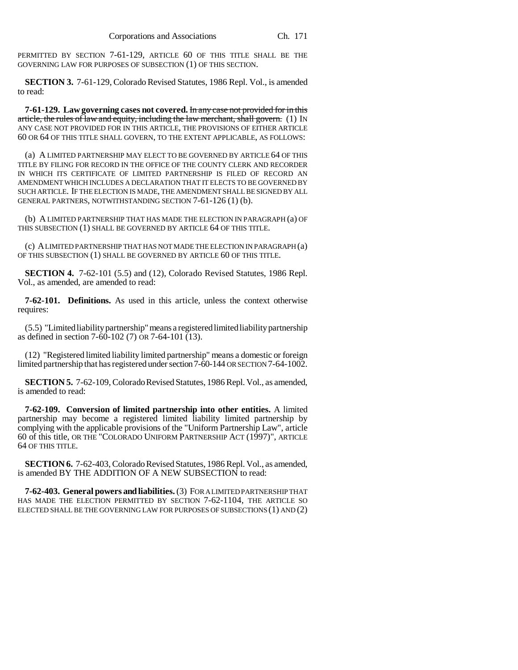PERMITTED BY SECTION 7-61-129, ARTICLE 60 OF THIS TITLE SHALL BE THE GOVERNING LAW FOR PURPOSES OF SUBSECTION (1) OF THIS SECTION.

**SECTION 3.** 7-61-129, Colorado Revised Statutes, 1986 Repl. Vol., is amended to read:

**7-61-129. Law governing cases not covered.** In any case not provided for in this article, the rules of law and equity, including the law merchant, shall govern. (1) IN ANY CASE NOT PROVIDED FOR IN THIS ARTICLE, THE PROVISIONS OF EITHER ARTICLE 60 OR 64 OF THIS TITLE SHALL GOVERN, TO THE EXTENT APPLICABLE, AS FOLLOWS:

(a) A LIMITED PARTNERSHIP MAY ELECT TO BE GOVERNED BY ARTICLE 64 OF THIS TITLE BY FILING FOR RECORD IN THE OFFICE OF THE COUNTY CLERK AND RECORDER IN WHICH ITS CERTIFICATE OF LIMITED PARTNERSHIP IS FILED OF RECORD AN AMENDMENT WHICH INCLUDES A DECLARATION THAT IT ELECTS TO BE GOVERNED BY SUCH ARTICLE. IF THE ELECTION IS MADE, THE AMENDMENT SHALL BE SIGNED BY ALL GENERAL PARTNERS, NOTWITHSTANDING SECTION 7-61-126 (1) (b).

(b) A LIMITED PARTNERSHIP THAT HAS MADE THE ELECTION IN PARAGRAPH (a) OF THIS SUBSECTION (1) SHALL BE GOVERNED BY ARTICLE 64 OF THIS TITLE.

(c) A LIMITED PARTNERSHIP THAT HAS NOT MADE THE ELECTION IN PARAGRAPH (a) OF THIS SUBSECTION (1) SHALL BE GOVERNED BY ARTICLE 60 OF THIS TITLE.

**SECTION 4.** 7-62-101 (5.5) and (12), Colorado Revised Statutes, 1986 Repl. Vol., as amended, are amended to read:

**7-62-101. Definitions.** As used in this article, unless the context otherwise requires:

(5.5) "Limited liability partnership" means a registered limited liability partnership as defined in section 7-60-102 (7) OR 7-64-101 (13).

(12) "Registered limited liability limited partnership" means a domestic or foreign limited partnership that has registered under section 7-60-144 OR SECTION 7-64-1002.

**SECTION 5.** 7-62-109, Colorado Revised Statutes, 1986 Repl. Vol., as amended, is amended to read:

**7-62-109. Conversion of limited partnership into other entities.** A limited partnership may become a registered limited liability limited partnership by complying with the applicable provisions of the "Uniform Partnership Law", article 60 of this title, OR THE "COLORADO UNIFORM PARTNERSHIP ACT (1997)", ARTICLE 64 OF THIS TITLE.

**SECTION 6.** 7-62-403, Colorado Revised Statutes, 1986 Repl. Vol., as amended, is amended BY THE ADDITION OF A NEW SUBSECTION to read:

**7-62-403. General powers and liabilities.** (3) FOR A LIMITED PARTNERSHIP THAT HAS MADE THE ELECTION PERMITTED BY SECTION 7-62-1104, THE ARTICLE SO ELECTED SHALL BE THE GOVERNING LAW FOR PURPOSES OF SUBSECTIONS (1) AND (2)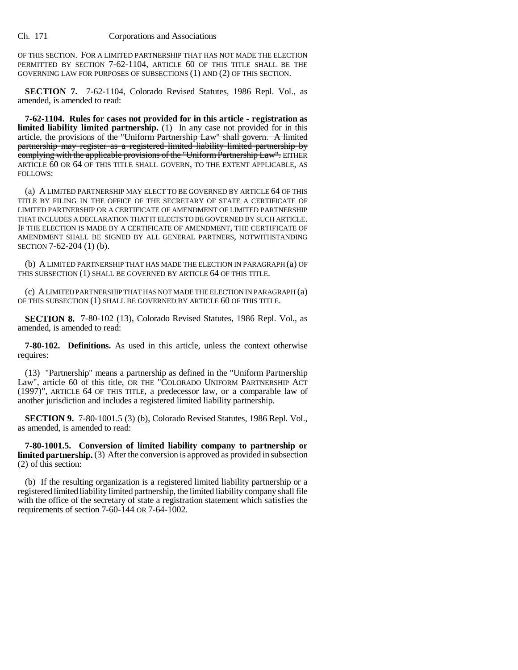OF THIS SECTION. FOR A LIMITED PARTNERSHIP THAT HAS NOT MADE THE ELECTION PERMITTED BY SECTION 7-62-1104, ARTICLE 60 OF THIS TITLE SHALL BE THE GOVERNING LAW FOR PURPOSES OF SUBSECTIONS (1) AND (2) OF THIS SECTION.

**SECTION 7.** 7-62-1104, Colorado Revised Statutes, 1986 Repl. Vol., as amended, is amended to read:

**7-62-1104. Rules for cases not provided for in this article - registration as limited liability limited partnership.** (1) In any case not provided for in this article, the provisions of the "Uniform Partnership Law" shall govern. A limited partnership may register as a registered limited liability limited partnership by complying with the applicable provisions of the "Uniform Partnership Law". EITHER ARTICLE 60 OR 64 OF THIS TITLE SHALL GOVERN, TO THE EXTENT APPLICABLE, AS FOLLOWS:

(a) A LIMITED PARTNERSHIP MAY ELECT TO BE GOVERNED BY ARTICLE 64 OF THIS TITLE BY FILING IN THE OFFICE OF THE SECRETARY OF STATE A CERTIFICATE OF LIMITED PARTNERSHIP OR A CERTIFICATE OF AMENDMENT OF LIMITED PARTNERSHIP THAT INCLUDES A DECLARATION THAT IT ELECTS TO BE GOVERNED BY SUCH ARTICLE. IF THE ELECTION IS MADE BY A CERTIFICATE OF AMENDMENT, THE CERTIFICATE OF AMENDMENT SHALL BE SIGNED BY ALL GENERAL PARTNERS, NOTWITHSTANDING SECTION 7-62-204 (1) (b).

(b) A LIMITED PARTNERSHIP THAT HAS MADE THE ELECTION IN PARAGRAPH (a) OF THIS SUBSECTION (1) SHALL BE GOVERNED BY ARTICLE 64 OF THIS TITLE.

(c) A LIMITED PARTNERSHIP THAT HAS NOT MADE THE ELECTION IN PARAGRAPH (a) OF THIS SUBSECTION (1) SHALL BE GOVERNED BY ARTICLE 60 OF THIS TITLE.

**SECTION 8.** 7-80-102 (13), Colorado Revised Statutes, 1986 Repl. Vol., as amended, is amended to read:

**7-80-102. Definitions.** As used in this article, unless the context otherwise requires:

(13) "Partnership" means a partnership as defined in the "Uniform Partnership Law", article 60 of this title, OR THE "COLORADO UNIFORM PARTNERSHIP ACT (1997)", ARTICLE 64 OF THIS TITLE, a predecessor law, or a comparable law of another jurisdiction and includes a registered limited liability partnership.

**SECTION 9.** 7-80-1001.5 (3) (b), Colorado Revised Statutes, 1986 Repl. Vol., as amended, is amended to read:

**7-80-1001.5. Conversion of limited liability company to partnership or limited partnership.** (3) After the conversion is approved as provided in subsection (2) of this section:

(b) If the resulting organization is a registered limited liability partnership or a registered limited liability limited partnership, the limited liability company shall file with the office of the secretary of state a registration statement which satisfies the requirements of section 7-60-144 OR 7-64-1002.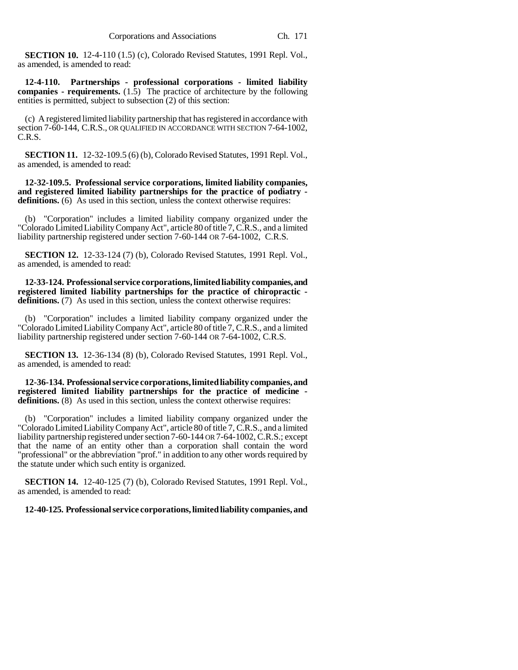**SECTION 10.** 12-4-110 (1.5) (c), Colorado Revised Statutes, 1991 Repl. Vol., as amended, is amended to read:

**12-4-110. Partnerships - professional corporations - limited liability companies - requirements.** (1.5) The practice of architecture by the following entities is permitted, subject to subsection (2) of this section:

(c) A registered limited liability partnership that has registered in accordance with section 7-60-144, C.R.S., OR QUALIFIED IN ACCORDANCE WITH SECTION 7-64-1002, C.R.S.

**SECTION 11.** 12-32-109.5 (6) (b), Colorado Revised Statutes, 1991 Repl. Vol., as amended, is amended to read:

**12-32-109.5. Professional service corporations, limited liability companies, and registered limited liability partnerships for the practice of podiatry**  definitions. (6) As used in this section, unless the context otherwise requires:

(b) "Corporation" includes a limited liability company organized under the "Colorado Limited Liability Company Act", article 80 of title 7, C.R.S., and a limited liability partnership registered under section 7-60-144 OR 7-64-1002, C.R.S.

**SECTION 12.** 12-33-124 (7) (b), Colorado Revised Statutes, 1991 Repl. Vol., as amended, is amended to read:

**12-33-124. Professional service corporations, limited liability companies, and registered limited liability partnerships for the practice of chiropractic definitions.** (7) As used in this section, unless the context otherwise requires:

"Corporation" includes a limited liability company organized under the "Colorado Limited Liability Company Act", article 80 of title 7, C.R.S., and a limited liability partnership registered under section 7-60-144 OR 7-64-1002, C.R.S.

**SECTION 13.** 12-36-134 (8) (b), Colorado Revised Statutes, 1991 Repl. Vol., as amended, is amended to read:

**12-36-134. Professional service corporations, limited liability companies, and registered limited liability partnerships for the practice of medicine**  definitions. (8) As used in this section, unless the context otherwise requires:

(b) "Corporation" includes a limited liability company organized under the "Colorado Limited Liability Company Act", article 80 of title 7, C.R.S., and a limited liability partnership registered under section 7-60-144 OR 7-64-1002, C.R.S.; except that the name of an entity other than a corporation shall contain the word "professional" or the abbreviation "prof." in addition to any other words required by the statute under which such entity is organized.

**SECTION 14.** 12-40-125 (7) (b), Colorado Revised Statutes, 1991 Repl. Vol., as amended, is amended to read:

**12-40-125. Professional service corporations, limited liability companies, and**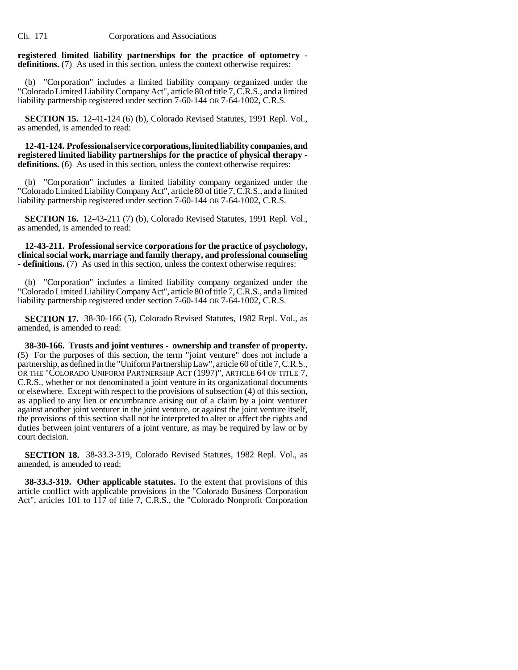## **registered limited liability partnerships for the practice of optometry definitions.** (7) As used in this section, unless the context otherwise requires:

(b) "Corporation" includes a limited liability company organized under the "Colorado Limited Liability Company Act", article 80 of title 7, C.R.S., and a limited liability partnership registered under section 7-60-144 OR 7-64-1002, C.R.S.

**SECTION 15.** 12-41-124 (6) (b), Colorado Revised Statutes, 1991 Repl. Vol., as amended, is amended to read:

**12-41-124. Professional service corporations, limited liability companies, and registered limited liability partnerships for the practice of physical therapy**  definitions. (6) As used in this section, unless the context otherwise requires:

(b) "Corporation" includes a limited liability company organized under the "Colorado Limited Liability Company Act", article 80 of title 7, C.R.S., and a limited liability partnership registered under section 7-60-144 OR 7-64-1002, C.R.S.

**SECTION 16.** 12-43-211 (7) (b), Colorado Revised Statutes, 1991 Repl. Vol., as amended, is amended to read:

**12-43-211. Professional service corporations for the practice of psychology, clinical social work, marriage and family therapy, and professional counseling - definitions.** (7) As used in this section, unless the context otherwise requires:

(b) "Corporation" includes a limited liability company organized under the "Colorado Limited Liability Company Act", article 80 of title 7, C.R.S., and a limited liability partnership registered under section 7-60-144 OR 7-64-1002, C.R.S.

**SECTION 17.** 38-30-166 (5), Colorado Revised Statutes, 1982 Repl. Vol., as amended, is amended to read:

**38-30-166. Trusts and joint ventures - ownership and transfer of property.** (5) For the purposes of this section, the term "joint venture" does not include a partnership, as defined in the "Uniform Partnership Law", article 60 of title 7, C.R.S., OR THE "COLORADO UNIFORM PARTNERSHIP ACT (1997)", ARTICLE 64 OF TITLE 7, C.R.S., whether or not denominated a joint venture in its organizational documents or elsewhere. Except with respect to the provisions of subsection (4) of this section, as applied to any lien or encumbrance arising out of a claim by a joint venturer against another joint venturer in the joint venture, or against the joint venture itself, the provisions of this section shall not be interpreted to alter or affect the rights and duties between joint venturers of a joint venture, as may be required by law or by court decision.

**SECTION 18.** 38-33.3-319, Colorado Revised Statutes, 1982 Repl. Vol., as amended, is amended to read:

**38-33.3-319. Other applicable statutes.** To the extent that provisions of this article conflict with applicable provisions in the "Colorado Business Corporation Act", articles 101 to 117 of title 7, C.R.S., the "Colorado Nonprofit Corporation